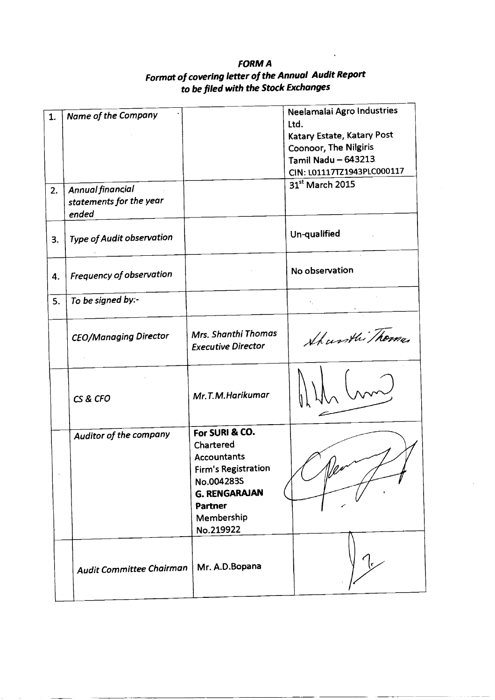# **FORMA Format of covering letter of the Annual Audit Report to be filed with the Stock Exchanges**

| 1.<br>2. | Name of the Company<br>Annual financial<br>statements for the year |                                                                                                                                                | Neelamalai Agro Industries<br>Ltd.<br>Katary Estate, Katary Post<br>Coonoor, The Nilgiris<br>Tamil Nadu - 643213<br>CIN: L01117TZ1943PLC000117<br>31st March 2015 |
|----------|--------------------------------------------------------------------|------------------------------------------------------------------------------------------------------------------------------------------------|-------------------------------------------------------------------------------------------------------------------------------------------------------------------|
|          | ended                                                              |                                                                                                                                                |                                                                                                                                                                   |
| 3.       | <b>Type of Audit observation</b>                                   |                                                                                                                                                | Un-qualified                                                                                                                                                      |
| 4.       | Frequency of observation                                           |                                                                                                                                                | No observation                                                                                                                                                    |
| 5.       | To be signed by:-                                                  |                                                                                                                                                |                                                                                                                                                                   |
|          | <b>CEO/Managing Director</b>                                       | Mrs. Shanthi Thomas<br><b>Executive Director</b>                                                                                               | Sharsthi Thoma.                                                                                                                                                   |
|          | CS & CFO                                                           | Mr.T.M.Harikumar                                                                                                                               |                                                                                                                                                                   |
|          | Auditor of the company                                             | For SURI & CO.<br>Chartered<br><b>Accountants</b><br><b>Firm's Registration</b><br>No.0042835<br><b>G. RENGARAJAN</b><br>Partner<br>Membership |                                                                                                                                                                   |
|          | Audit Committee Chairman                                           | No.219922<br>Mr. A.D.Bopana                                                                                                                    |                                                                                                                                                                   |
|          |                                                                    |                                                                                                                                                |                                                                                                                                                                   |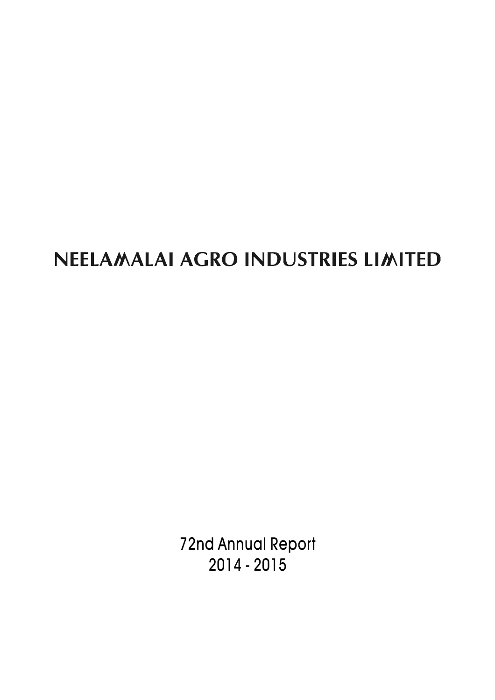# NEELAMALAI AGRO INDUSTRIES LIMITED

72nd Annual Report 2014 - 2015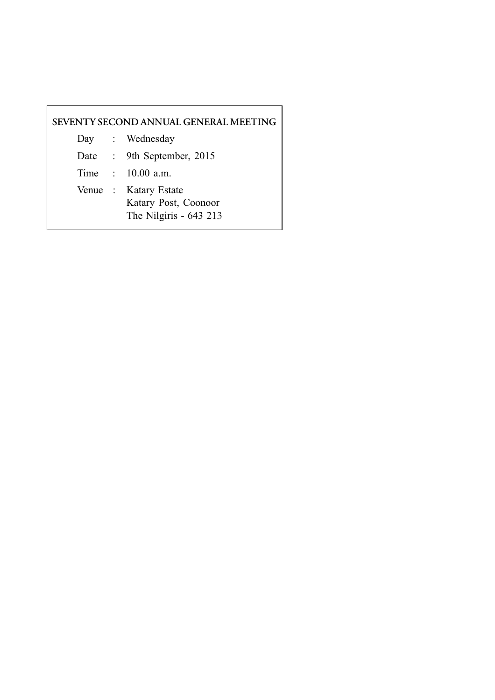# **SEVENTY SECOND ANNUAL GENERAL MEETING**

- Day : Wednesday
- Date : 9th September, 2015

Time : 10.00 a.m.

Venue : Katary Estate Katary Post, Coonoor The Nilgiris - 643 213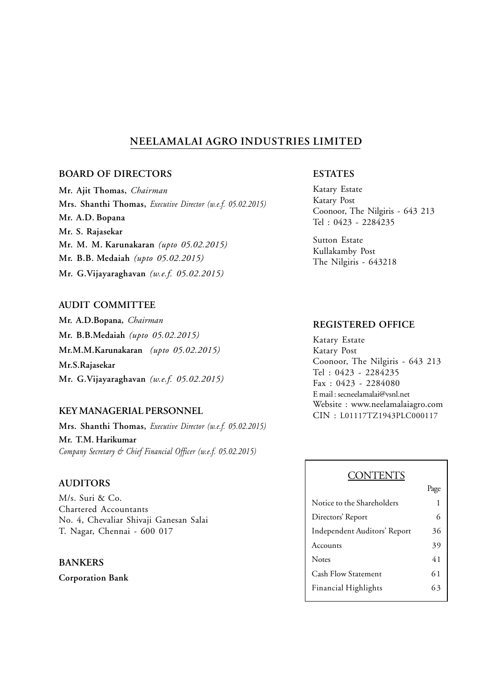# **NEELAMALAI AGRO INDUSTRIES LIMITED**

## **BOARD OF DIRECTORS**

**Mr. Ajit Thomas,** *Chairman* **Mrs. Shanthi Thomas,** *Executive Director (w.e.f. 05.02.2015)* **Mr. A.D. Bopana Mr. S. Rajasekar Mr. M. M. Karunakaran** *(upto 05.02.2015)* **Mr. B.B. Medaiah** *(upto 05.02.2015)* **Mr. G.Vijayaraghavan** *(w.e.f. 05.02.2015)*

## **AUDIT COMMITTEE**

**Mr. A.D.Bopana,** *Chairman* **Mr. B.B.Medaiah** *(upto 05.02.2015)* **Mr.M.M.Karunakaran** *(upto 05.02.2015)* **Mr.S.Rajasekar Mr. G.Vijayaraghavan** *(w.e.f. 05.02.2015)*

## **KEY MANAGERIAL PERSONNEL**

**Mrs. Shanthi Thomas,** *Executive Director (w.e.f. 05.02.2015)* **Mr. T.M. Harikumar** *Company Secretary & Chief Financial Officer (w.e.f. 05.02.2015)*

## **AUDITORS**

M/s. Suri & Co. Chartered Accountants No. 4, Chevaliar Shivaji Ganesan Salai T. Nagar, Chennai - 600 017

## **BANKERS**

**Corporation Bank**

## **ESTATES**

Katary Estate Katary Post Coonoor, The Nilgiris - 643 213 Tel : 0423 - 2284235

Sutton Estate Kullakamby Post The Nilgiris - 643218

## **REGISTERED OFFICE**

Katary Estate Katary Post Coonoor, The Nilgiris - 643 213 Tel : 0423 - 2284235 Fax : 0423 - 2284080 E mail : secneelamalai@vsnl.net Website : www.neelamalaiagro.com CIN : L01117TZ1943PLC000117

## **CONTENTS**

|                              | Page |
|------------------------------|------|
| Notice to the Shareholders   | 1    |
| Directors' Report            | 6    |
| Independent Auditors' Report | 36   |
| Accounts                     | 39   |
| <b>Notes</b>                 | 41   |
| <b>Cash Flow Statement</b>   | 61   |
| <b>Financial Highlights</b>  | 63   |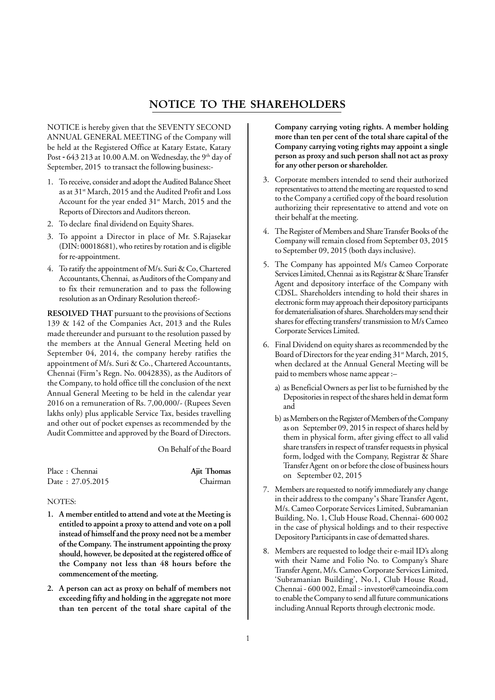# **NOTICE TO THE SHAREHOLDERS**

NOTICE is hereby given that the SEVENTY SECOND ANNUAL GENERAL MEETING of the Company will be held at the Registered Office at Katary Estate, Katary Post - 643 213 at 10.00 A.M. on Wednesday, the 9<sup>th</sup> day of September, 2015 to transact the following business:-

- 1. To receive, consider and adopt the Audited Balance Sheet as at 31<sup>st</sup> March, 2015 and the Audited Profit and Loss Account for the year ended 31<sup>st</sup> March, 2015 and the Reports of Directors and Auditors thereon.
- 2. To declare final dividend on Equity Shares.
- 3. To appoint a Director in place of Mr. S.Rajasekar (DIN: 00018681), who retires by rotation and is eligible for re-appointment.
- 4. To ratify the appointment of M/s. Suri & Co, Chartered Accountants, Chennai, as Auditors of the Company and to fix their remuneration and to pass the following resolution as an Ordinary Resolution thereof:-

**RESOLVED THAT** pursuant to the provisions of Sections 139 & 142 of the Companies Act, 2013 and the Rules made thereunder and pursuant to the resolution passed by the members at the Annual General Meeting held on September 04, 2014, the company hereby ratifies the appointment of M/s. Suri & Co., Chartered Accountants, Chennai (Firm's Regn. No. 004283S), as the Auditors of the Company, to hold office till the conclusion of the next Annual General Meeting to be held in the calendar year 2016 on a remuneration of Rs. 7,00,000/- (Rupees Seven lakhs only) plus applicable Service Tax, besides travelling and other out of pocket expenses as recommended by the Audit Committee and approved by the Board of Directors.

On Behalf of the Board

Place : Chennai **Ajit Thomas** Date : 27.05.2015 Chairman

#### NOTES:

- **1. A member entitled to attend and vote at the Meeting is entitled to appoint a proxy to attend and vote on a poll instead of himself and the proxy need not be a member of the Company. The instrument appointing the proxy should, however, be deposited at the registered office of the Company not less than 48 hours before the commencement of the meeting.**
- **2. A person can act as proxy on behalf of members not exceeding fifty and holding in the aggregate not more than ten percent of the total share capital of the**

**Company carrying voting rights. A member holding more than ten per cent of the total share capital of the Company carrying voting rights may appoint a single person as proxy and such person shall not act as proxy for any other person or shareholder.**

- 3. Corporate members intended to send their authorized representatives to attend the meeting are requested to send to the Company a certified copy of the board resolution authorizing their representative to attend and vote on their behalf at the meeting.
- 4. The Register of Members and Share Transfer Books of the Company will remain closed from September 03, 2015 to September 09, 2015 (both days inclusive).
- 5. The Company has appointed M/s Cameo Corporate Services Limited, Chennai as its Registrar & Share Transfer Agent and depository interface of the Company with CDSL. Shareholders intending to hold their shares in electronic form may approach their depository participants for dematerialisation of shares. Shareholders may send their shares for effecting transfers/ transmission to M/s Cameo Corporate Services Limited.
- 6. Final Dividend on equity shares as recommended by the Board of Directors for the year ending 31<sup>st</sup> March, 2015, when declared at the Annual General Meeting will be paid to members whose name appear :–
	- a) as Beneficial Owners as per list to be furnished by the Depositories in respect of the shares held in demat form and
	- b) as Members on the Register of Members of the Company as on September 09, 2015 in respect of shares held by them in physical form, after giving effect to all valid share transfers in respect of transfer requests in physical form, lodged with the Company, Registrar & Share Transfer Agent on or before the close of business hours on September 02, 2015
- 7. Members are requested to notify immediately any change in their address to the company's Share Transfer Agent, M/s. Cameo Corporate Services Limited, Subramanian Building, No. 1, Club House Road, Chennai- 600 002 in the case of physical holdings and to their respective Depository Participants in case of dematted shares.
- 8. Members are requested to lodge their e-mail ID's along with their Name and Folio No. to Company's Share Transfer Agent, M/s. Cameo Corporate Services Limited, 'Subramanian Building', No.1, Club House Road, Chennai - 600 002, Email :- investor@cameoindia.com to enable the Company to send all future communications including Annual Reports through electronic mode.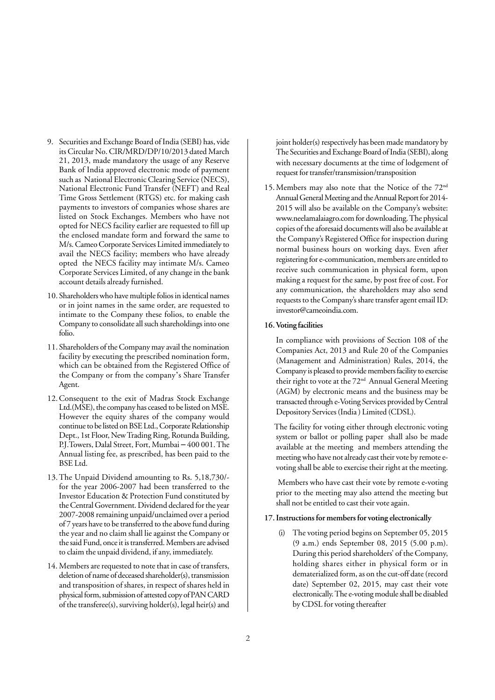- 9. Securities and Exchange Board of India (SEBI) has, vide its Circular No. CIR/MRD/DP/10/2013 dated March 21, 2013, made mandatory the usage of any Reserve Bank of India approved electronic mode of payment such as National Electronic Clearing Service (NECS), National Electronic Fund Transfer (NEFT) and Real Time Gross Settlement (RTGS) etc. for making cash payments to investors of companies whose shares are listed on Stock Exchanges. Members who have not opted for NECS facility earlier are requested to fill up the enclosed mandate form and forward the same to M/s. Cameo Corporate Services Limited immediately to avail the NECS facility; members who have already opted the NECS facility may intimate M/s. Cameo Corporate Services Limited, of any change in the bank account details already furnished.
- 10. Shareholders who have multiple folios in identical names or in joint names in the same order, are requested to intimate to the Company these folios, to enable the Company to consolidate all such shareholdings into one folio.
- 11. Shareholders of the Company may avail the nomination facility by executing the prescribed nomination form, which can be obtained from the Registered Office of the Company or from the company's Share Transfer Agent.
- 12. Consequent to the exit of Madras Stock Exchange Ltd.(MSE), the company has ceased to be listed on MSE. However the equity shares of the company would continue to be listed on BSE Ltd., Corporate Relationship Dept., 1st Floor, New Trading Ring, Rotunda Building, P.J.Towers, Dalal Street, Fort, Mumbai – 400 001. The Annual listing fee, as prescribed, has been paid to the BSE Ltd.
- 13. The Unpaid Dividend amounting to Rs. 5,18,730/ for the year 2006-2007 had been transferred to the Investor Education & Protection Fund constituted by the Central Government. Dividend declared for the year 2007-2008 remaining unpaid/unclaimed over a period of 7 years have to be transferred to the above fund during the year and no claim shall lie against the Company or the said Fund, once it is transferred. Members are advised to claim the unpaid dividend, if any, immediately.
- 14. Members are requested to note that in case of transfers, deletion of name of deceased shareholder(s), transmission and transposition of shares, in respect of shares held in physical form, submission of attested copy of PAN CARD of the transferee(s), surviving holder(s), legal heir(s) and

joint holder(s) respectively has been made mandatory by The Securities and Exchange Board of India (SEBI), along with necessary documents at the time of lodgement of request for transfer/transmission/transposition

15. Members may also note that the Notice of the 72nd Annual General Meeting and the Annual Report for 2014- 2015 will also be available on the Company's website: www.neelamalaiagro.com for downloading. The physical copies of the aforesaid documents will also be available at the Company's Registered Office for inspection during normal business hours on working days. Even after registering for e-communication, members are entitled to receive such communication in physical form, upon making a request for the same, by post free of cost. For any communication, the shareholders may also send requests to the Company's share transfer agent email ID: investor@cameoindia.com.

#### **16. Voting facilities**

In compliance with provisions of Section 108 of the Companies Act, 2013 and Rule 20 of the Companies (Management and Administration) Rules, 2014, the Company is pleased to provide members facility to exercise their right to vote at the 72<sup>nd</sup> Annual General Meeting (AGM) by electronic means and the business may be transacted through e-Voting Services provided by Central Depository Services (India ) Limited (CDSL).

 The facility for voting either through electronic voting system or ballot or polling paper shall also be made available at the meeting and members attending the meeting who have not already cast their vote by remote evoting shall be able to exercise their right at the meeting.

 Members who have cast their vote by remote e-voting prior to the meeting may also attend the meeting but shall not be entitled to cast their vote again.

#### **17. Instructions for members for voting electronically**

(i) The voting period begins on September 05, 2015 (9 a.m.) ends September 08, 2015 (5.00 p.m). During this period shareholders' of the Company, holding shares either in physical form or in dematerialized form, as on the cut-off date (record date) September 02, 2015, may cast their vote electronically. The e-voting module shall be disabled by CDSL for voting thereafter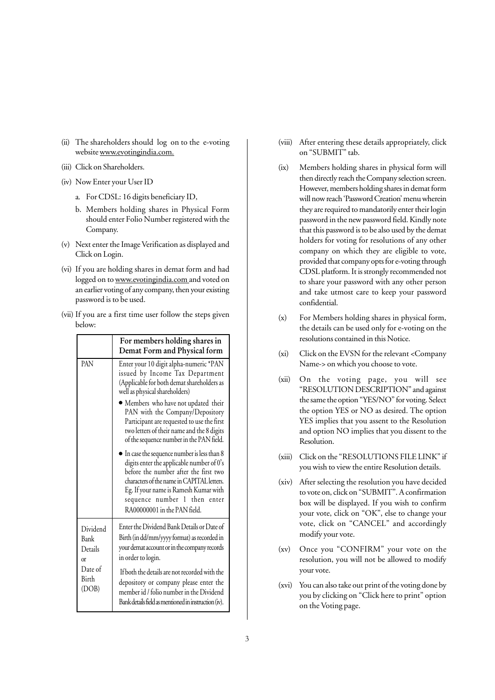- (ii) The shareholders should log on to the e-voting website www.evotingindia.com.
- (iii) Click on Shareholders.
- (iv) Now Enter your User ID
	- a. For CDSL: 16 digits beneficiary ID,
	- b. Members holding shares in Physical Form should enter Folio Number registered with the Company.
- (v) Next enter the Image Verification as displayed and Click on Login.
- (vi) If you are holding shares in demat form and had logged on to www.evotingindia.com and voted on an earlier voting of any company, then your existing password is to be used.
- (vii) If you are a first time user follow the steps given below:

|                                   | For members holding shares in<br>Demat Form and Physical form                                                                                                                                                                                                                                     |
|-----------------------------------|---------------------------------------------------------------------------------------------------------------------------------------------------------------------------------------------------------------------------------------------------------------------------------------------------|
| PAN                               | Enter your 10 digit alpha-numeric *PAN<br>issued by Income Tax Department<br>(Applicable for both demat shareholders as<br>well as physical shareholders)                                                                                                                                         |
|                                   | • Members who have not updated their<br>PAN with the Company/Depository<br>Participant are requested to use the first<br>two letters of their name and the 8 digits<br>of the sequence number in the PAN field.                                                                                   |
|                                   | $\bullet$ In case the sequence number is less than 8<br>digits enter the applicable number of 0's<br>before the number after the first two<br>characters of the name in CAPITAL letters.<br>Eg. If your name is Ramesh Kumar with<br>sequence number 1 then enter<br>RA00000001 in the PAN field. |
| Dividend<br>Bank<br>Details<br>or | Enter the Dividend Bank Details or Date of<br>Birth (in dd/mm/yyyy format) as recorded in<br>your demat account or in the company records<br>in order to login.                                                                                                                                   |
| Date of<br><b>Birth</b><br>(DOB)  | If both the details are not recorded with the<br>depository or company please enter the<br>member id / folio number in the Dividend<br>Bank details field as mentioned in instruction (iv).                                                                                                       |

- (viii) After entering these details appropriately, click on "SUBMIT" tab.
- (ix) Members holding shares in physical form will then directly reach the Company selection screen. However, members holding shares in demat form will now reach 'Password Creation' menu wherein they are required to mandatorily enter their login password in the new password field. Kindly note that this password is to be also used by the demat holders for voting for resolutions of any other company on which they are eligible to vote, provided that company opts for e-voting through CDSL platform. It is strongly recommended not to share your password with any other person and take utmost care to keep your password confidential.
- (x) For Members holding shares in physical form, the details can be used only for e-voting on the resolutions contained in this Notice.
- (xi) Click on the EVSN for the relevant <Company Name-> on which you choose to vote.
- (xii) On the voting page, you will see "RESOLUTION DESCRIPTION" and against the same the option "YES/NO" for voting. Select the option YES or NO as desired. The option YES implies that you assent to the Resolution and option NO implies that you dissent to the Resolution.
- (xiii) Click on the "RESOLUTIONS FILE LINK" if you wish to view the entire Resolution details.
- (xiv) After selecting the resolution you have decided to vote on, click on "SUBMIT". A confirmation box will be displayed. If you wish to confirm your vote, click on "OK", else to change your vote, click on "CANCEL" and accordingly modify your vote.
- (xv) Once you "CONFIRM" your vote on the resolution, you will not be allowed to modify your vote.
- (xvi) You can also take out print of the voting done by you by clicking on "Click here to print" option on the Voting page.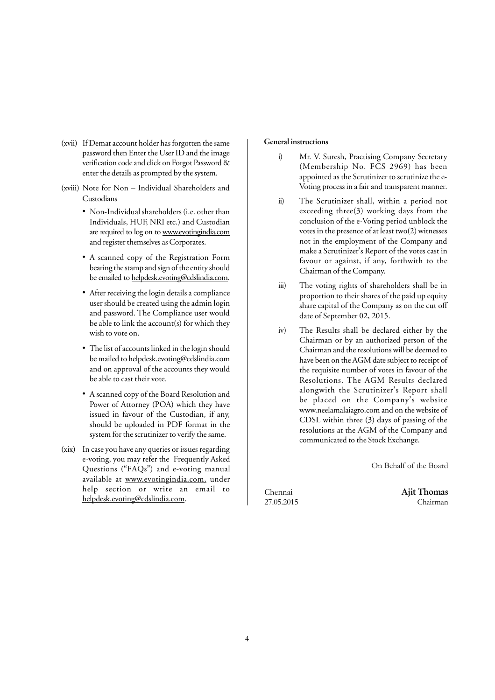- (xvii) If Demat account holder has forgotten the same password then Enter the User ID and the image verification code and click on Forgot Password & enter the details as prompted by the system.
- (xviii) Note for Non Individual Shareholders and Custodians
	- Non-Individual shareholders (i.e. other than Individuals, HUF, NRI etc.) and Custodian are required to log on to www.evotingindia.com and register themselves as Corporates.
	- A scanned copy of the Registration Form bearing the stamp and sign of the entity should be emailed to helpdesk.evoting@cdslindia.com.
	- After receiving the login details a compliance user should be created using the admin login and password. The Compliance user would be able to link the account(s) for which they wish to vote on.
	- The list of accounts linked in the login should be mailed to helpdesk.evoting@cdslindia.com and on approval of the accounts they would be able to cast their vote.
	- A scanned copy of the Board Resolution and Power of Attorney (POA) which they have issued in favour of the Custodian, if any, should be uploaded in PDF format in the system for the scrutinizer to verify the same.
- (xix) In case you have any queries or issues regarding e-voting, you may refer the Frequently Asked Questions ("FAQs") and e-voting manual available at www.evotingindia.com, under help section or write an email to helpdesk.evoting@cdslindia.com.

#### **General instructions**

- i) Mr. V. Suresh, Practising Company Secretary (Membership No. FCS 2969) has been appointed as the Scrutinizer to scrutinize the e-Voting process in a fair and transparent manner.
- ii) The Scrutinizer shall, within a period not exceeding three(3) working days from the conclusion of the e-Voting period unblock the votes in the presence of at least two(2) witnesses not in the employment of the Company and make a Scrutinizer's Report of the votes cast in favour or against, if any, forthwith to the Chairman of the Company.
- iii) The voting rights of shareholders shall be in proportion to their shares of the paid up equity share capital of the Company as on the cut off date of September 02, 2015.
- iv) The Results shall be declared either by the Chairman or by an authorized person of the Chairman and the resolutions will be deemed to have been on the AGM date subject to receipt of the requisite number of votes in favour of the Resolutions. The AGM Results declared alongwith the Scrutinizer's Report shall be placed on the Company's website www.neelamalaiagro.com and on the website of CDSL within three (3) days of passing of the resolutions at the AGM of the Company and communicated to the Stock Exchange.

On Behalf of the Board

Chennai **Ajit Thomas** 27.05.2015 Chairman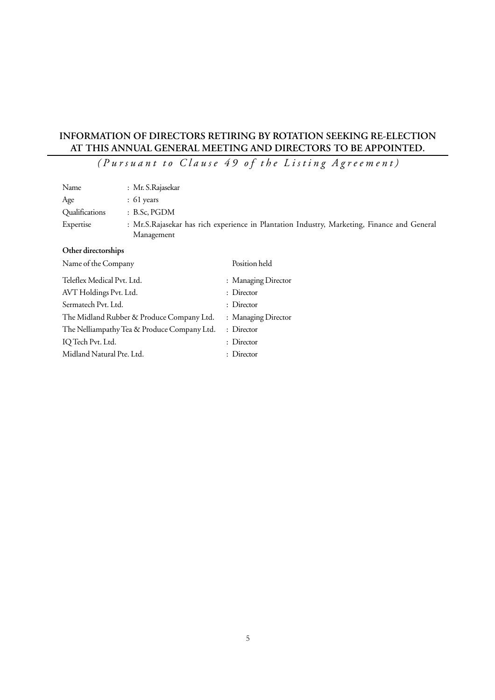# **INFORMATION OF DIRECTORS RETIRING BY ROTATION SEEKING RE-ELECTION AT THIS ANNUAL GENERAL MEETING AND DIRECTORS TO BE APPOINTED.**

*(Pursuant to Clause 49 of the Listing Agreement)*

| Name                                        | : Mr. S.Rajasekar |                                                                                             |
|---------------------------------------------|-------------------|---------------------------------------------------------------------------------------------|
| Age                                         | $: 61$ years      |                                                                                             |
| Qualifications                              | : B.Sc, PGDM      |                                                                                             |
| Expertise                                   | Management        | : Mr.S.Rajasekar has rich experience in Plantation Industry, Marketing, Finance and General |
| Other directorships                         |                   |                                                                                             |
| Name of the Company                         |                   | Position held                                                                               |
| Teleflex Medical Pvt. Ltd.                  |                   | : Managing Director                                                                         |
| AVT Holdings Pvt. Ltd.                      |                   | : Director                                                                                  |
| Sermatech Pvt. Ltd.                         |                   | : Director                                                                                  |
| The Midland Rubber & Produce Company Ltd.   |                   | : Managing Director                                                                         |
| The Nelliampathy Tea & Produce Company Ltd. |                   | : Director                                                                                  |
| IQ Tech Pvt. Ltd.                           |                   | : Director                                                                                  |
| Midland Natural Pte. Ltd.                   |                   | : Director                                                                                  |
|                                             |                   |                                                                                             |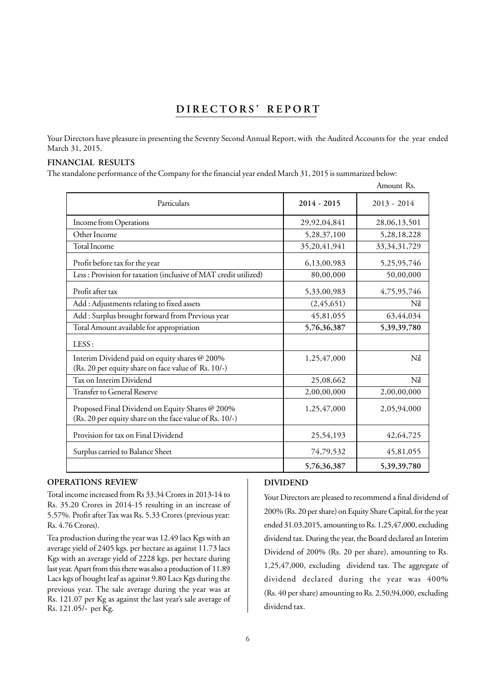# **DIRECTORS' REPORT**

Your Directors have pleasure in presenting the Seventy Second Annual Report, with the Audited Accounts for the year ended March 31, 2015.

#### **FINANCIAL RESULTS**

The standalone performance of the Company for the financial year ended March 31, 2015 is summarized below:

|                                                                                                            |               | Amount Rs.      |
|------------------------------------------------------------------------------------------------------------|---------------|-----------------|
| Particulars                                                                                                | $2014 - 2015$ | $2013 - 2014$   |
| Income from Operations                                                                                     | 29,92,04,841  | 28,06,13,501    |
| Other Income                                                                                               | 5,28,37,100   | 5,28,18,228     |
| <b>Total Income</b>                                                                                        | 35,20,41,941  | 33, 34, 31, 729 |
| Profit before tax for the year                                                                             | 6,13,00,983   | 5,25,95,746     |
| Less: Provision for taxation (inclusive of MAT credit utilized)                                            | 80,00,000     | 50,00,000       |
| Profit after tax                                                                                           | 5,33,00,983   | 4,75,95,746     |
| Add: Adjustments relating to fixed assets                                                                  | (2,45,651)    | Nil             |
| Add : Surplus brought forward from Previous year                                                           | 45,81,055     | 63,44,034       |
| Total Amount available for appropriation                                                                   | 5,76,36,387   | 5,39,39,780     |
| LESS:                                                                                                      |               |                 |
| Interim Dividend paid on equity shares @ 200%<br>(Rs. 20 per equity share on face value of Rs. 10/-)       | 1,25,47,000   | Nil             |
| Tax on Interim Dividend                                                                                    | 25,08,662     | Nil             |
| Transfer to General Reserve                                                                                | 2,00,00,000   | 2,00,00,000     |
| Proposed Final Dividend on Equity Shares @ 200%<br>(Rs. 20 per equity share on the face value of Rs. 10/-) | 1,25,47,000   | 2,05,94,000     |
| Provision for tax on Final Dividend                                                                        | 25,54,193     | 42,64,725       |
| Surplus carried to Balance Sheet                                                                           | 74,79,532     | 45,81,055       |
|                                                                                                            | 5,76,36,387   | 5,39,39,780     |

## **OPERATIONS REVIEW**

Total income increased from Rs 33.34 Crores in 2013-14 to Rs. 35.20 Crores in 2014-15 resulting in an increase of 5.57%. Profit after Tax was Rs. 5.33 Crores (previous year: Rs. 4.76 Crores).

Tea production during the year was 12.49 lacs Kgs with an average yield of 2405 kgs. per hectare as against 11.73 lacs Kgs with an average yield of 2228 kgs. per hectare during last year. Apart from this there was also a production of 11.89 Lacs kgs of bought leaf as against 9.80 Lacs Kgs during the previous year. The sale average during the year was at Rs. 121.07 per Kg as against the last year's sale average of Rs. 121.05/- per Kg.

## **DIVIDEND**

Your Directors are pleased to recommend a final dividend of 200% (Rs. 20 per share) on Equity Share Capital, for the year ended 31.03.2015, amounting to Rs. 1,25,47,000, excluding dividend tax. During the year, the Board declared an Interim Dividend of 200% (Rs. 20 per share), amounting to Rs. 1,25,47,000, excluding dividend tax. The aggregate of dividend declared during the year was 400% (Rs. 40 per share) amounting to Rs. 2,50,94,000, excluding dividend tax.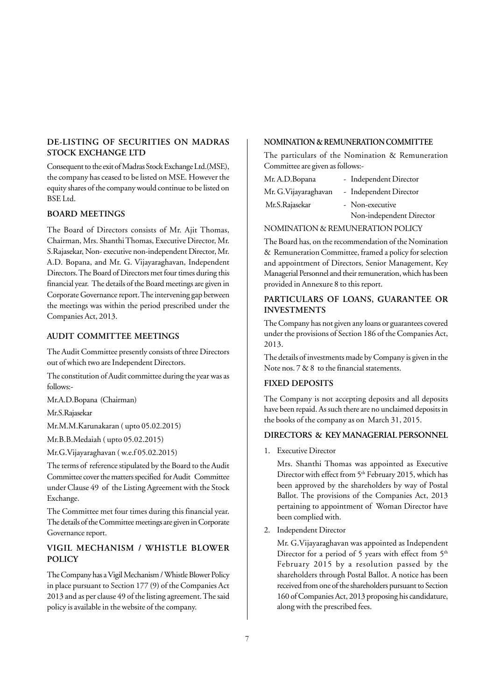## **DE-LISTING OF SECURITIES ON MADRAS STOCK EXCHANGE LTD**

Consequent to the exit of Madras Stock Exchange Ltd.(MSE), the company has ceased to be listed on MSE. However the equity shares of the company would continue to be listed on BSE Ltd.

## **BOARD MEETINGS**

The Board of Directors consists of Mr. Ajit Thomas, Chairman, Mrs. Shanthi Thomas, Executive Director, Mr. S.Rajasekar, Non- executive non-independent Director, Mr. A.D. Bopana, and Mr. G. Vijayaraghavan, Independent Directors. The Board of Directors met four times during this financial year. The details of the Board meetings are given in Corporate Governance report. The intervening gap between the meetings was within the period prescribed under the Companies Act, 2013.

#### **AUDIT COMMITTEE MEETINGS**

The Audit Committee presently consists of three Directors out of which two are Independent Directors.

The constitution of Audit committee during the year was as follows:-

Mr.A.D.Bopana (Chairman)

Mr.S.Rajasekar

Mr.M.M.Karunakaran ( upto 05.02.2015)

Mr.B.B.Medaiah ( upto 05.02.2015)

Mr.G.Vijayaraghavan ( w.e.f 05.02.2015)

The terms of reference stipulated by the Board to the Audit Committee cover the matters specified for Audit Committee under Clause 49 of the Listing Agreement with the Stock Exchange.

The Committee met four times during this financial year. The details of the Committee meetings are given in Corporate Governance report.

## **VIGIL MECHANISM / WHISTLE BLOWER POLICY**

The Company has a Vigil Mechanism / Whistle Blower Policy in place pursuant to Section 177 (9) of the Companies Act 2013 and as per clause 49 of the listing agreement. The said policy is available in the website of the company.

## **NOMINATION & REMUNERATION COMMITTEE**

The particulars of the Nomination & Remuneration Committee are given as follows:-

| Mr. A.D.Bopana        | - Independent Director   |
|-----------------------|--------------------------|
| Mr. G. Vijayaraghavan | - Independent Director   |
| Mr.S.Rajasekar        | - Non-executive          |
|                       | Non-independent Director |

#### NOMINATION & REMUNERATION POLICY

The Board has, on the recommendation of the Nomination & Remuneration Committee, framed a policy for selection and appointment of Directors, Senior Management, Key Managerial Personnel and their remuneration, which has been provided in Annexure 8 to this report.

## **PARTICULARS OF LOANS, GUARANTEE OR INVESTMENTS**

The Company has not given any loans or guarantees covered under the provisions of Section 186 of the Companies Act, 2013.

The details of investments made by Company is given in the Note nos. 7 & 8 to the financial statements.

#### **FIXED DEPOSITS**

The Company is not accepting deposits and all deposits have been repaid. As such there are no unclaimed deposits in the books of the company as on March 31, 2015.

#### **DIRECTORS & KEY MANAGERIAL PERSONNEL**

1. Executive Director

Mrs. Shanthi Thomas was appointed as Executive Director with effect from 5<sup>th</sup> February 2015, which has been approved by the shareholders by way of Postal Ballot. The provisions of the Companies Act, 2013 pertaining to appointment of Woman Director have been complied with.

2. Independent Director

Mr. G.Vijayaraghavan was appointed as Independent Director for a period of 5 years with effect from  $5<sup>th</sup>$ February 2015 by a resolution passed by the shareholders through Postal Ballot. A notice has been received from one of the shareholders pursuant to Section 160 of Companies Act, 2013 proposing his candidature, along with the prescribed fees.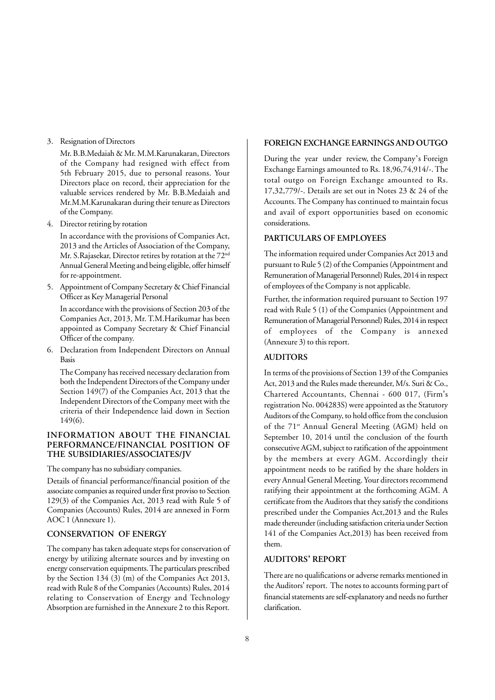3. Resignation of Directors

Mr. B.B.Medaiah & Mr. M.M.Karunakaran, Directors of the Company had resigned with effect from 5th February 2015, due to personal reasons. Your Directors place on record, their appreciation for the valuable services rendered by Mr. B.B.Medaiah and Mr.M.M.Karunakaran during their tenure as Directors of the Company.

4. Director retiring by rotation

In accordance with the provisions of Companies Act, 2013 and the Articles of Association of the Company, Mr. S.Rajasekar, Director retires by rotation at the 72nd Annual General Meeting and being eligible, offer himself for re-appointment.

5. Appointment of Company Secretary & Chief Financial Officer as Key Managerial Personal

In accordance with the provisions of Section 203 of the Companies Act, 2013, Mr. T.M.Harikumar has been appointed as Company Secretary & Chief Financial Officer of the company.

6. Declaration from Independent Directors on Annual Basis

The Company has received necessary declaration from both the Independent Directors of the Company under Section 149(7) of the Companies Act, 2013 that the Independent Directors of the Company meet with the criteria of their Independence laid down in Section 149(6).

## **INFORMATION ABOUT THE FINANCIAL PERFORMANCE/FINANCIAL POSITION OF THE SUBSIDIARIES/ASSOCIATES/JV**

The company has no subsidiary companies.

Details of financial performance/financial position of the associate companies as required under first proviso to Section 129(3) of the Companies Act, 2013 read with Rule 5 of Companies (Accounts) Rules, 2014 are annexed in Form AOC 1 (Annexure 1).

## **CONSERVATION OF ENERGY**

The company has taken adequate steps for conservation of energy by utilizing alternate sources and by investing on energy conservation equipments. The particulars prescribed by the Section 134 (3) (m) of the Companies Act 2013, read with Rule 8 of the Companies (Accounts) Rules, 2014 relating to Conservation of Energy and Technology Absorption are furnished in the Annexure 2 to this Report.

#### **FOREIGN EXCHANGE EARNINGS AND OUTGO**

During the year under review, the Company's Foreign Exchange Earnings amounted to Rs. 18,96,74,914/-. The total outgo on Foreign Exchange amounted to Rs. 17,32,779/-. Details are set out in Notes 23 & 24 of the Accounts. The Company has continued to maintain focus and avail of export opportunities based on economic considerations.

#### **PARTICULARS OF EMPLOYEES**

The information required under Companies Act 2013 and pursuant to Rule 5 (2) of the Companies (Appointment and Remuneration of Managerial Personnel) Rules, 2014 in respect of employees of the Company is not applicable.

Further, the information required pursuant to Section 197 read with Rule 5 (1) of the Companies (Appointment and Remuneration of Managerial Personnel) Rules, 2014 in respect of employees of the Company is annexed (Annexure 3) to this report.

#### **AUDITORS**

In terms of the provisions of Section 139 of the Companies Act, 2013 and the Rules made thereunder, M/s. Suri & Co., Chartered Accountants, Chennai - 600 017, (Firm's registration No. 004283S) were appointed as the Statutory Auditors of the Company, to hold office from the conclusion of the 71<sup>st</sup> Annual General Meeting (AGM) held on September 10, 2014 until the conclusion of the fourth consecutive AGM, subject to ratification of the appointment by the members at every AGM. Accordingly their appointment needs to be ratified by the share holders in every Annual General Meeting. Your directors recommend ratifying their appointment at the forthcoming AGM. A certificate from the Auditors that they satisfy the conditions prescribed under the Companies Act,2013 and the Rules made thereunder (including satisfaction criteria under Section 141 of the Companies Act,2013) has been received from them.

#### **AUDITORS' REPORT**

There are no qualifications or adverse remarks mentioned in the Auditors' report. The notes to accounts forming part of financial statements are self-explanatory and needs no further clarification.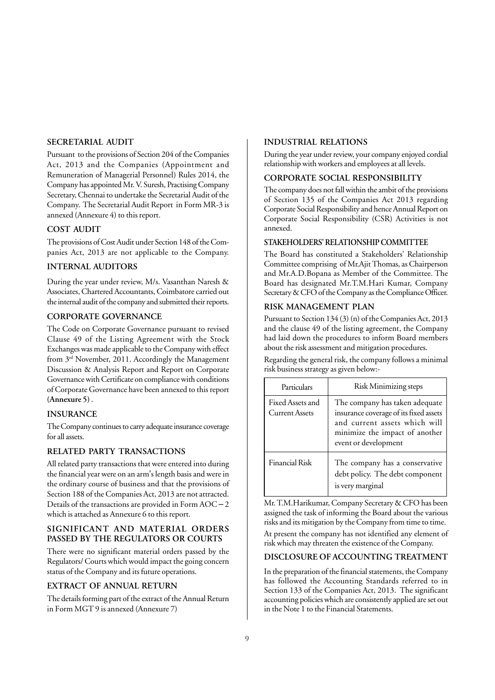#### **SECRETARIAL AUDIT**

Pursuant to the provisions of Section 204 of the Companies Act, 2013 and the Companies (Appointment and Remuneration of Managerial Personnel) Rules 2014, the Company has appointed Mr. V. Suresh, Practising Company Secretary, Chennai to undertake the Secretarial Audit of the Company. The Secretarial Audit Report in Form MR-3 is annexed (Annexure 4) to this report.

#### **COST AUDIT**

The provisions of Cost Audit under Section 148 of the Companies Act, 2013 are not applicable to the Company.

#### **INTERNAL AUDITORS**

During the year under review, M/s. Vasanthan Naresh & Associates, Chartered Accountants, Coimbatore carried out the internal audit of the company and submitted their reports.

#### **CORPORATE GOVERNANCE**

The Code on Corporate Governance pursuant to revised Clause 49 of the Listing Agreement with the Stock Exchanges was made applicable to the Company with effect from 3rd November, 2011. Accordingly the Management Discussion & Analysis Report and Report on Corporate Governance with Certificate on compliance with conditions of Corporate Governance have been annexed to this report **(Annexure 5)** .

#### **INSURANCE**

The Company continues to carry adequate insurance coverage for all assets.

## **RELATED PARTY TRANSACTIONS**

All related party transactions that were entered into during the financial year were on an arm's length basis and were in the ordinary course of business and that the provisions of Section 188 of the Companies Act, 2013 are not attracted. Details of the transactions are provided in Form AOC – 2 which is attached as Annexure 6 to this report.

#### **SIGNIFICANT AND MATERIAL ORDERS PASSED BY THE REGULATORS OR COURTS**

There were no significant material orders passed by the Regulators/ Courts which would impact the going concern status of the Company and its future operations.

### **EXTRACT OF ANNUAL RETURN**

The details forming part of the extract of the Annual Return in Form MGT 9 is annexed (Annexure 7)

#### **INDUSTRIAL RELATIONS**

During the year under review, your company enjoyed cordial relationship with workers and employees at all levels.

#### **CORPORATE SOCIAL RESPONSIBILITY**

The company does not fall within the ambit of the provisions of Section 135 of the Companies Act 2013 regarding Corporate Social Responsibility and hence Annual Report on Corporate Social Responsibility (CSR) Activities is not annexed.

#### **STAKEHOLDERS' RELATIONSHIP COMMITTEE**

The Board has constituted a Stakeholders' Relationship Committee comprising of Mr.Ajit Thomas, as Chairperson and Mr.A.D.Bopana as Member of the Committee. The Board has designated Mr.T.M.Hari Kumar, Company Secretary & CFO of the Company as the Compliance Officer.

#### **RISK MANAGEMENT PLAN**

Pursuant to Section 134 (3) (n) of the Companies Act, 2013 and the clause 49 of the listing agreement, the Company had laid down the procedures to inform Board members about the risk assessment and mitigation procedures.

Regarding the general risk, the company follows a minimal risk business strategy as given below:-

| Particulars                               | Risk Minimizing steps                                                                                                                                               |
|-------------------------------------------|---------------------------------------------------------------------------------------------------------------------------------------------------------------------|
| Fixed Assets and<br><b>Current Assets</b> | The company has taken adequate<br>insurance coverage of its fixed assets<br>and current assets which will<br>minimize the impact of another<br>event or development |
| <b>Financial Risk</b>                     | The company has a conservative<br>debt policy. The debt component<br>is very marginal                                                                               |

Mr. T.M.Harikumar, Company Secretary & CFO has been assigned the task of informing the Board about the various risks and its mitigation by the Company from time to time. At present the company has not identified any element of risk which may threaten the existence of the Company.

#### **DISCLOSURE OF ACCOUNTING TREATMENT**

In the preparation of the financial statements, the Company has followed the Accounting Standards referred to in Section 133 of the Companies Act, 2013. The significant accounting policies which are consistently applied are set out in the Note 1 to the Financial Statements.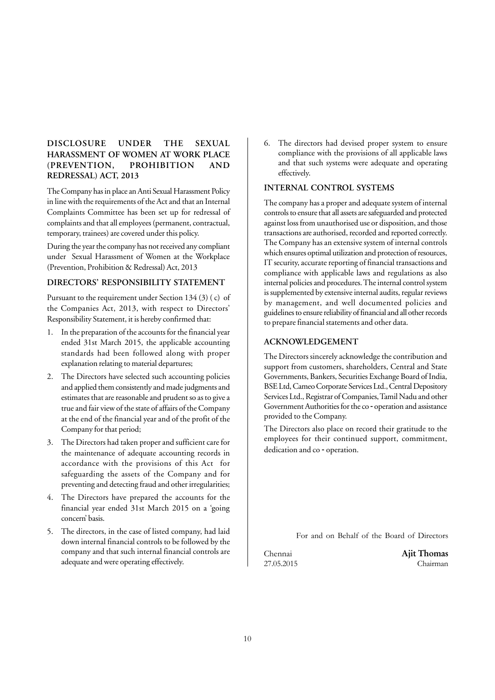## **DISCLOSURE UNDER THE SEXUAL HARASSMENT OF WOMEN AT WORK PLACE (PREVENTION, PROHIBITION AND REDRESSAL) ACT, 2013**

The Company has in place an Anti Sexual Harassment Policy in line with the requirements of the Act and that an Internal Complaints Committee has been set up for redressal of complaints and that all employees (permanent, contractual, temporary, trainees) are covered under this policy.

During the year the company has not received any compliant under Sexual Harassment of Women at the Workplace (Prevention, Prohibition & Redressal) Act, 2013

#### **DIRECTORS' RESPONSIBILITY STATEMENT**

Pursuant to the requirement under Section 134 (3) ( c) of the Companies Act, 2013, with respect to Directors' Responsibility Statement, it is hereby confirmed that:

- 1. In the preparation of the accounts for the financial year ended 31st March 2015, the applicable accounting standards had been followed along with proper explanation relating to material departures;
- 2. The Directors have selected such accounting policies and applied them consistently and made judgments and estimates that are reasonable and prudent so as to give a true and fair view of the state of affairs of the Company at the end of the financial year and of the profit of the Company for that period;
- 3. The Directors had taken proper and sufficient care for the maintenance of adequate accounting records in accordance with the provisions of this Act for safeguarding the assets of the Company and for preventing and detecting fraud and other irregularities;
- 4. The Directors have prepared the accounts for the financial year ended 31st March 2015 on a 'going concern' basis.
- 5. The directors, in the case of listed company, had laid down internal financial controls to be followed by the company and that such internal financial controls are adequate and were operating effectively.

6. The directors had devised proper system to ensure compliance with the provisions of all applicable laws and that such systems were adequate and operating effectively.

## **INTERNAL CONTROL SYSTEMS**

The company has a proper and adequate system of internal controls to ensure that all assets are safeguarded and protected against loss from unauthorised use or disposition, and those transactions are authorised, recorded and reported correctly. The Company has an extensive system of internal controls which ensures optimal utilization and protection of resources, IT security, accurate reporting of financial transactions and compliance with applicable laws and regulations as also internal policies and procedures. The internal control system is supplemented by extensive internal audits, regular reviews by management, and well documented policies and guidelines to ensure reliability of financial and all other records to prepare financial statements and other data.

#### **ACKNOWLEDGEMENT**

The Directors sincerely acknowledge the contribution and support from customers, shareholders, Central and State Governments, Bankers, Securities Exchange Board of India, BSE Ltd, Cameo Corporate Services Ltd., Central Depository Services Ltd., Registrar of Companies, Tamil Nadu and other Government Authorities for the co - operation and assistance provided to the Company.

The Directors also place on record their gratitude to the employees for their continued support, commitment, dedication and co - operation.

For and on Behalf of the Board of Directors

Chennai **Ajit Thomas** 27.05.2015 Chairman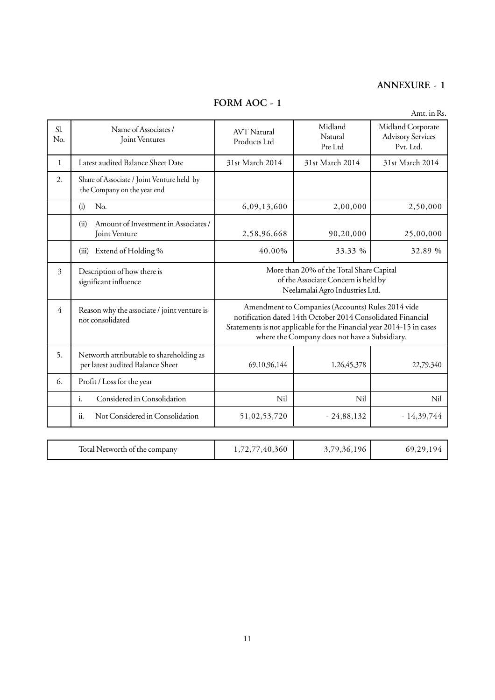# **ANNEXURE - 1**

**FORM AOC - 1**

|            |                                                                              |                                                                                                                                                                                                                                           |                                                                                                                    | Amt. in Rs.                                                |
|------------|------------------------------------------------------------------------------|-------------------------------------------------------------------------------------------------------------------------------------------------------------------------------------------------------------------------------------------|--------------------------------------------------------------------------------------------------------------------|------------------------------------------------------------|
| Sl.<br>No. | Name of Associates /<br>Joint Ventures                                       | <b>AVT</b> Natural<br>Products Ltd                                                                                                                                                                                                        | Midland<br>Natural<br>Pte Ltd                                                                                      | Midland Corporate<br><b>Advisory Services</b><br>Pvt. Ltd. |
| 1          | Latest audited Balance Sheet Date                                            | 31st March 2014                                                                                                                                                                                                                           | 31st March 2014                                                                                                    | 31st March 2014                                            |
| 2.         | Share of Associate / Joint Venture held by<br>the Company on the year end    |                                                                                                                                                                                                                                           |                                                                                                                    |                                                            |
|            | (i)<br>No.                                                                   | 6,09,13,600                                                                                                                                                                                                                               | 2,00,000                                                                                                           | 2,50,000                                                   |
|            | Amount of Investment in Associates /<br>(ii)<br>Joint Venture                | 2,58,96,668                                                                                                                                                                                                                               | 90,20,000                                                                                                          | 25,00,000                                                  |
|            | Extend of Holding %<br>(iii)                                                 | 40.00%                                                                                                                                                                                                                                    | 33.33 %                                                                                                            | 32.89 %                                                    |
| 3          | Description of how there is<br>significant influence                         |                                                                                                                                                                                                                                           | More than 20% of the Total Share Capital<br>of the Associate Concern is held by<br>Neelamalai Agro Industries Ltd. |                                                            |
| 4          | Reason why the associate / joint venture is<br>not consolidated              | Amendment to Companies (Accounts) Rules 2014 vide<br>notification dated 14th October 2014 Consolidated Financial<br>Statements is not applicable for the Financial year 2014-15 in cases<br>where the Company does not have a Subsidiary. |                                                                                                                    |                                                            |
| 5.         | Networth attributable to shareholding as<br>per latest audited Balance Sheet | 69,10,96,144                                                                                                                                                                                                                              | 1,26,45,378                                                                                                        | 22,79,340                                                  |
| 6.         | Profit / Loss for the year                                                   |                                                                                                                                                                                                                                           |                                                                                                                    |                                                            |
|            | Considered in Consolidation<br>$i$ .                                         | Nil                                                                                                                                                                                                                                       | Nil                                                                                                                | Nil                                                        |
|            | ii.<br>Not Considered in Consolidation                                       | 51,02,53,720                                                                                                                                                                                                                              | $-24,88,132$                                                                                                       | $-14,39,744$                                               |
|            |                                                                              |                                                                                                                                                                                                                                           |                                                                                                                    |                                                            |
|            | Total Networth of the company                                                | 1,72,77,40,360                                                                                                                                                                                                                            | 3,79,36,196                                                                                                        | 69,29,194                                                  |

 $\overline{\phantom{a}}$ 

11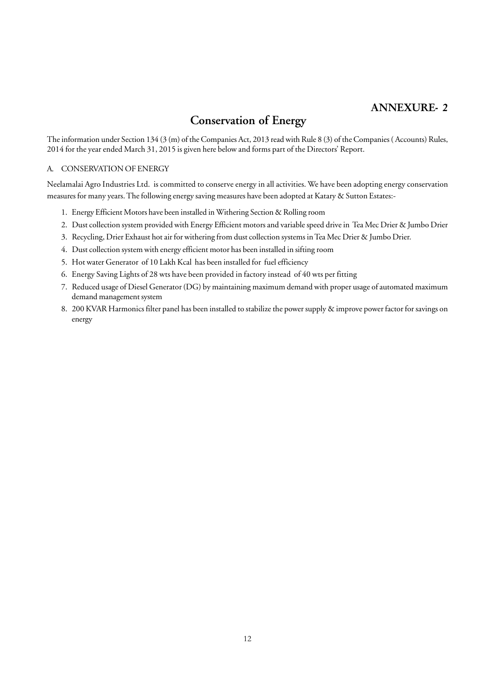# **ANNEXURE- 2**

# **Conservation of Energy**

The information under Section 134 (3 (m) of the Companies Act, 2013 read with Rule 8 (3) of the Companies ( Accounts) Rules, 2014 for the year ended March 31, 2015 is given here below and forms part of the Directors' Report.

#### A. CONSERVATION OF ENERGY

Neelamalai Agro Industries Ltd. is committed to conserve energy in all activities. We have been adopting energy conservation measures for many years. The following energy saving measures have been adopted at Katary & Sutton Estates:-

- 1. Energy Efficient Motors have been installed in Withering Section & Rolling room
- 2. Dust collection system provided with Energy Efficient motors and variable speed drive in Tea Mec Drier & Jumbo Drier
- 3. Recycling, Drier Exhaust hot air for withering from dust collection systems in Tea Mec Drier & Jumbo Drier.
- 4. Dust collection system with energy efficient motor has been installed in sifting room
- 5. Hot water Generator of 10 Lakh Kcal has been installed for fuel efficiency
- 6. Energy Saving Lights of 28 wts have been provided in factory instead of 40 wts per fitting
- 7. Reduced usage of Diesel Generator (DG) by maintaining maximum demand with proper usage of automated maximum demand management system
- 8. 200 KVAR Harmonics filter panel has been installed to stabilize the power supply & improve power factor for savings on energy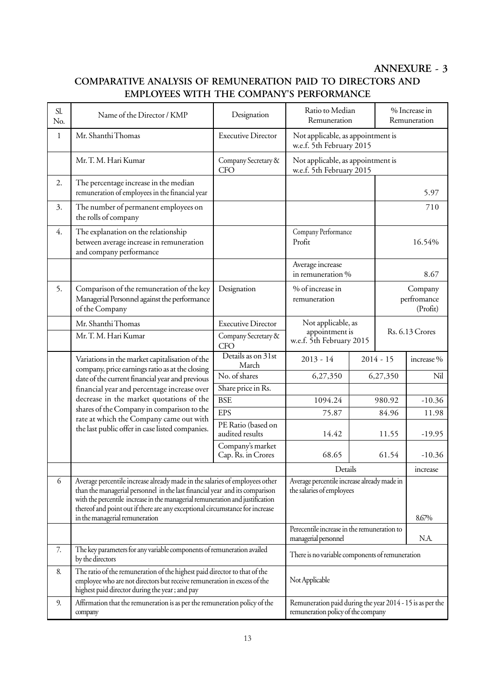# **ANNEXURE - 3**

# **COMPARATIVE ANALYSIS OF REMUNERATION PAID TO DIRECTORS AND EMPLOYEES WITH THE COMPANY'S PERFORMANCE**

| Sl.<br>No.   | Name of the Director / KMP                                                                                                                                                                                                                                                                                                  | Designation                                                                                     | Ratio to Median<br>Remuneration                                          |             | % Increase in<br>Remuneration |                                    |
|--------------|-----------------------------------------------------------------------------------------------------------------------------------------------------------------------------------------------------------------------------------------------------------------------------------------------------------------------------|-------------------------------------------------------------------------------------------------|--------------------------------------------------------------------------|-------------|-------------------------------|------------------------------------|
| $\mathbf{1}$ | Mr. Shanthi Thomas                                                                                                                                                                                                                                                                                                          | <b>Executive Director</b>                                                                       | Not applicable, as appointment is<br>w.e.f. 5th February 2015            |             |                               |                                    |
|              | Mr. T. M. Hari Kumar                                                                                                                                                                                                                                                                                                        | Company Secretary &<br><b>CFO</b>                                                               | Not applicable, as appointment is<br>w.e.f. 5th February 2015            |             |                               |                                    |
| 2.           | The percentage increase in the median<br>remuneration of employees in the financial year                                                                                                                                                                                                                                    |                                                                                                 |                                                                          |             |                               | 5.97                               |
| 3.           | The number of permanent employees on<br>the rolls of company                                                                                                                                                                                                                                                                |                                                                                                 |                                                                          |             |                               | 710                                |
| 4.           | The explanation on the relationship<br>between average increase in remuneration<br>and company performance                                                                                                                                                                                                                  |                                                                                                 | Company Performance<br>Profit                                            |             | 16.54%                        |                                    |
|              |                                                                                                                                                                                                                                                                                                                             |                                                                                                 | Average increase<br>in remuneration %                                    |             |                               | 8.67                               |
| 5.           | Comparison of the remuneration of the key<br>Managerial Personnel against the performance<br>of the Company                                                                                                                                                                                                                 | Designation                                                                                     | % of increase in<br>remuneration                                         |             |                               | Company<br>perfromance<br>(Profit) |
|              | Mr. Shanthi Thomas                                                                                                                                                                                                                                                                                                          | <b>Executive Director</b>                                                                       | Not applicable, as                                                       |             |                               |                                    |
|              | Mr. T. M. Hari Kumar                                                                                                                                                                                                                                                                                                        | Company Secretary &<br><b>CFO</b>                                                               | appointment is<br>w.e.f. 5th February 2015                               |             |                               | <b>Rs. 6.13 Crores</b>             |
|              | Variations in the market capitalisation of the<br>company, price earnings ratio as at the closing                                                                                                                                                                                                                           | Details as on 31st<br>March                                                                     | $2013 - 14$                                                              | $2014 - 15$ |                               | increase %                         |
|              | date of the current financial year and previous                                                                                                                                                                                                                                                                             | No. of shares                                                                                   | 6,27,350                                                                 |             | 6,27,350                      | Nil                                |
|              | financial year and percentage increase over<br>decrease in the market quotations of the                                                                                                                                                                                                                                     | Share price in Rs.                                                                              |                                                                          |             |                               |                                    |
|              | shares of the Company in comparison to the                                                                                                                                                                                                                                                                                  | <b>BSE</b><br><b>EPS</b>                                                                        | 1094.24                                                                  |             | 980.92                        | $-10.36$                           |
|              | rate at which the Company came out with                                                                                                                                                                                                                                                                                     | PE Ratio (based on                                                                              | 75.87                                                                    |             | 84.96                         | 11.98                              |
|              | the last public offer in case listed companies.                                                                                                                                                                                                                                                                             | audited results                                                                                 | 14.42                                                                    |             | 11.55                         | $-19.95$                           |
|              |                                                                                                                                                                                                                                                                                                                             | Company's market<br>Cap. Rs. in Crores                                                          | 68.65                                                                    |             | 61.54                         | $-10.36$                           |
|              |                                                                                                                                                                                                                                                                                                                             |                                                                                                 | Details<br>increase                                                      |             |                               |                                    |
| 6            | Average percentile increase already made in the salaries of employees other<br>than the managerial personnel in the last financial year and its comparison<br>with the percentile increase in the managerial remuneration and justification<br>thereof and point out if there are any exceptional circumstance for increase |                                                                                                 | Average percentile increase already made in<br>the salaries of employees |             |                               |                                    |
|              | in the managerial remuneration                                                                                                                                                                                                                                                                                              |                                                                                                 | 8.67%                                                                    |             |                               |                                    |
|              |                                                                                                                                                                                                                                                                                                                             | Perecentile increase in the remuneration to<br>managerial personnel                             |                                                                          | N.A.        |                               |                                    |
| 7.           | The key parameters for any variable components of remuneration availed<br>by the directors                                                                                                                                                                                                                                  | There is no variable components of remuneration                                                 |                                                                          |             |                               |                                    |
| 8.           | The ratio of the remuneration of the highest paid director to that of the<br>employee who are not directors but receive remuneration in excess of the<br>highest paid director during the year; and pay                                                                                                                     | Not Applicable                                                                                  |                                                                          |             |                               |                                    |
| 9.           | Affirmation that the remuneration is as per the remuneration policy of the<br>company                                                                                                                                                                                                                                       | Remuneration paid during the year 2014 - 15 is as per the<br>remuneration policy of the company |                                                                          |             |                               |                                    |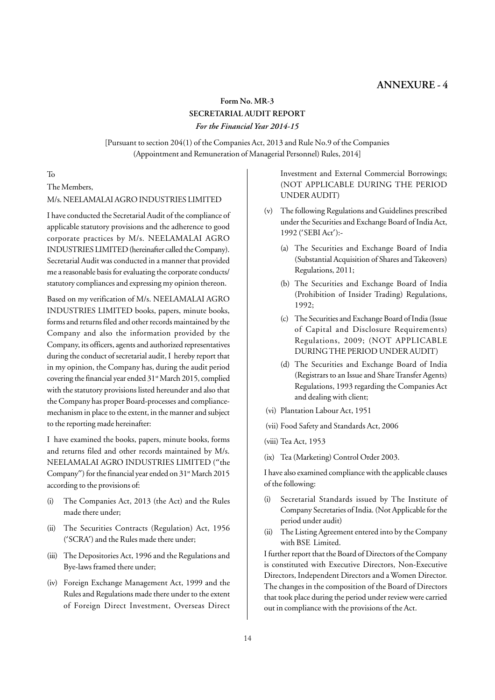## **ANNEXURE - 4**

## **Form No. MR-3 SECRETARIAL AUDIT REPORT** *For the Financial Year 2014-15*

[Pursuant to section 204(1) of the Companies Act, 2013 and Rule No.9 of the Companies (Appointment and Remuneration of Managerial Personnel) Rules, 2014]

#### To

## The Members, M/s. NEELAMALAI AGRO INDUSTRIES LIMITED

I have conducted the Secretarial Audit of the compliance of applicable statutory provisions and the adherence to good corporate practices by M/s. NEELAMALAI AGRO INDUSTRIES LIMITED (hereinafter called the Company). Secretarial Audit was conducted in a manner that provided me a reasonable basis for evaluating the corporate conducts/ statutory compliances and expressing my opinion thereon.

Based on my verification of M/s. NEELAMALAI AGRO INDUSTRIES LIMITED books, papers, minute books, forms and returns filed and other records maintained by the Company and also the information provided by the Company, its officers, agents and authorized representatives during the conduct of secretarial audit, I hereby report that in my opinion, the Company has, during the audit period covering the financial year ended 31<sup>st</sup> March 2015, complied with the statutory provisions listed hereunder and also that the Company has proper Board-processes and compliancemechanism in place to the extent, in the manner and subject to the reporting made hereinafter:

I have examined the books, papers, minute books, forms and returns filed and other records maintained by M/s. NEELAMALAI AGRO INDUSTRIES LIMITED ("the Company") for the financial year ended on  $31$ <sup>st</sup> March 2015 according to the provisions of:

- (i) The Companies Act, 2013 (the Act) and the Rules made there under;
- (ii) The Securities Contracts (Regulation) Act, 1956 ('SCRA') and the Rules made there under;
- (iii) The Depositories Act, 1996 and the Regulations and Bye-laws framed there under;
- (iv) Foreign Exchange Management Act, 1999 and the Rules and Regulations made there under to the extent of Foreign Direct Investment, Overseas Direct

Investment and External Commercial Borrowings; (NOT APPLICABLE DURING THE PERIOD UNDER AUDIT)

- (v) The following Regulations and Guidelines prescribed under the Securities and Exchange Board of India Act, 1992 ('SEBI Act'):-
	- (a) The Securities and Exchange Board of India (Substantial Acquisition of Shares and Takeovers) Regulations, 2011;
	- (b) The Securities and Exchange Board of India (Prohibition of Insider Trading) Regulations, 1992;
	- (c) The Securities and Exchange Board of India (Issue of Capital and Disclosure Requirements) Regulations, 2009; (NOT APPLICABLE DURING THE PERIOD UNDER AUDIT)
	- (d) The Securities and Exchange Board of India (Registrars to an Issue and Share Transfer Agents) Regulations, 1993 regarding the Companies Act and dealing with client;
- (vi) Plantation Labour Act, 1951
- (vii) Food Safety and Standards Act, 2006
- (viii) Tea Act, 1953
- (ix) Tea (Marketing) Control Order 2003.

I have also examined compliance with the applicable clauses of the following:

- (i) Secretarial Standards issued by The Institute of Company Secretaries of India. (Not Applicable for the period under audit)
- (ii) The Listing Agreement entered into by the Company with BSE Limited.

I further report that the Board of Directors of the Company is constituted with Executive Directors, Non-Executive Directors, Independent Directors and a Women Director. The changes in the composition of the Board of Directors that took place during the period under review were carried out in compliance with the provisions of the Act.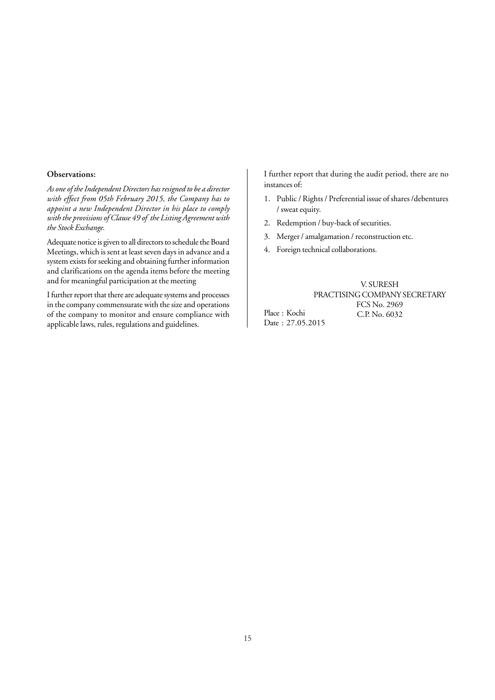#### **Observations:**

*As one of the Independent Directors has resigned to be a director with effect from 05th February 2015, the Company has to appoint a new Independent Director in his place to comply with the provisions of Clause 49 of the Listing Agreement with the Stock Exchange.*

Adequate notice is given to all directors to schedule the Board Meetings, which is sent at least seven days in advance and a system exists for seeking and obtaining further information and clarifications on the agenda items before the meeting and for meaningful participation at the meeting

I further report that there are adequate systems and processes in the company commensurate with the size and operations of the company to monitor and ensure compliance with applicable laws, rules, regulations and guidelines.

I further report that during the audit period, there are no instances of:

- 1. Public / Rights / Preferential issue of shares /debentures / sweat equity.
- 2. Redemption / buy-back of securities.
- 3. Merger / amalgamation / reconstruction etc.
- 4. Foreign technical collaborations.

V. SURESH PRACTISING COMPANY SECRETARY FCS No. 2969

Place : Kochi Date : 27.05.2015 C.P. No. 6032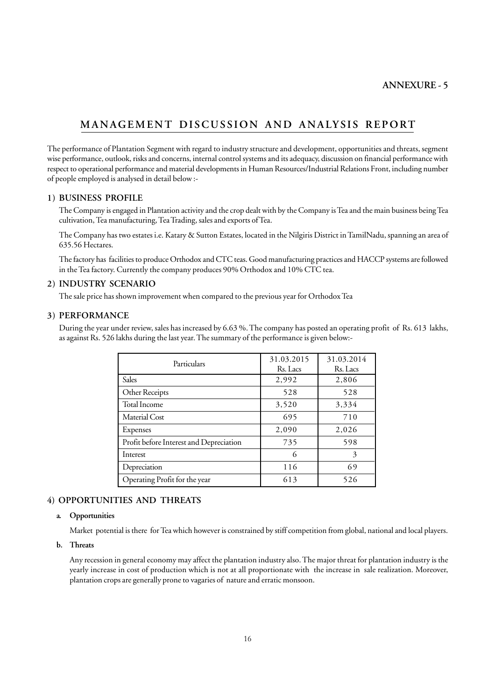# **MANAGEMENT DISCUSSION AND ANALYSIS REPORT**

The performance of Plantation Segment with regard to industry structure and development, opportunities and threats, segment wise performance, outlook, risks and concerns, internal control systems and its adequacy, discussion on financial performance with respect to operational performance and material developments in Human Resources/Industrial Relations Front, including number of people employed is analysed in detail below :-

#### **1) BUSINESS PROFILE**

The Company is engaged in Plantation activity and the crop dealt with by the Company is Tea and the main business being Tea cultivation, Tea manufacturing, Tea Trading, sales and exports of Tea.

The Company has two estates i.e. Katary & Sutton Estates, located in the Nilgiris District in TamilNadu, spanning an area of 635.56 Hectares.

The factory has facilities to produce Orthodox and CTC teas. Good manufacturing practices and HACCP systems are followed in the Tea factory. Currently the company produces 90% Orthodox and 10% CTC tea.

#### **2) INDUSTRY SCENARIO**

The sale price has shown improvement when compared to the previous year for Orthodox Tea

#### **3) PERFORMANCE**

During the year under review, sales has increased by 6.63 %. The company has posted an operating profit of Rs. 613 lakhs, as against Rs. 526 lakhs during the last year. The summary of the performance is given below:-

| Particulars                             | 31.03.2015<br>Rs. Lacs | 31.03.2014<br>Rs. Lacs |
|-----------------------------------------|------------------------|------------------------|
| Sales                                   | 2,992                  | 2,806                  |
| Other Receipts                          | 528                    | 528                    |
| Total Income                            | 3,520                  | 3,334                  |
| Material Cost                           | 695                    | 710                    |
| Expenses                                | 2,090                  | 2,026                  |
| Profit before Interest and Depreciation | 735                    | 598                    |
| Interest                                | 6                      | 3                      |
| Depreciation                            | 116                    | 69                     |
| Operating Profit for the year           | 613                    | 526                    |

## **4) OPPORTUNITIES AND THREATS**

## **a. Opportunities**

Market potential is there for Tea which however is constrained by stiff competition from global, national and local players.

#### **b. Threats**

Any recession in general economy may affect the plantation industry also. The major threat for plantation industry is the yearly increase in cost of production which is not at all proportionate with the increase in sale realization. Moreover, plantation crops are generally prone to vagaries of nature and erratic monsoon.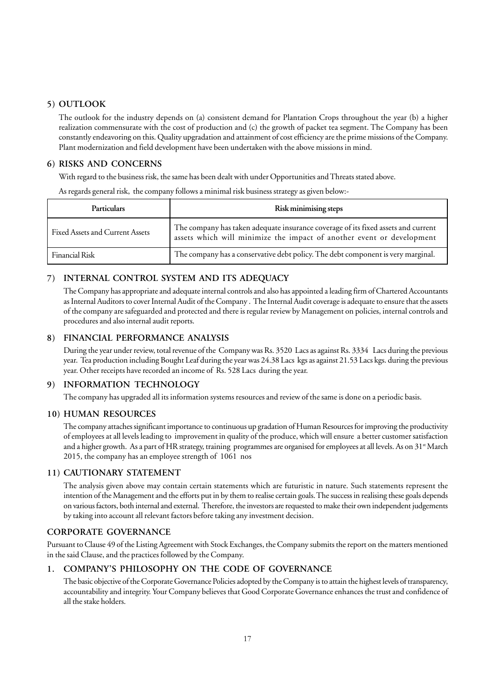## **5) OUTLOOK**

The outlook for the industry depends on (a) consistent demand for Plantation Crops throughout the year (b) a higher realization commensurate with the cost of production and (c) the growth of packet tea segment. The Company has been constantly endeavoring on this. Quality upgradation and attainment of cost efficiency are the prime missions of the Company. Plant modernization and field development have been undertaken with the above missions in mind.

## **6) RISKS AND CONCERNS**

With regard to the business risk, the same has been dealt with under Opportunities and Threats stated above.

As regards general risk, the company follows a minimal risk business strategy as given below:-

| <b>Particulars</b>              | Risk minimising steps                                                                                                                                      |
|---------------------------------|------------------------------------------------------------------------------------------------------------------------------------------------------------|
| Fixed Assets and Current Assets | The company has taken adequate insurance coverage of its fixed assets and current<br>assets which will minimize the impact of another event or development |
| <b>Financial Risk</b>           | The company has a conservative debt policy. The debt component is very marginal.                                                                           |

## **7) INTERNAL CONTROL SYSTEM AND ITS ADEQUACY**

The Company has appropriate and adequate internal controls and also has appointed a leading firm of Chartered Accountants as Internal Auditors to cover Internal Audit of the Company . The Internal Audit coverage is adequate to ensure that the assets of the company are safeguarded and protected and there is regular review by Management on policies, internal controls and procedures and also internal audit reports.

## **8) FINANCIAL PERFORMANCE ANALYSIS**

During the year under review, total revenue of the Company was Rs. 3520 Lacs as against Rs. 3334 Lacs during the previous year. Tea production including Bought Leaf during the year was 24.38 Lacs kgs as against 21.53 Lacs kgs. during the previous year. Other receipts have recorded an income of Rs. 528 Lacs during the year.

## **9) INFORMATION TECHNOLOGY**

The company has upgraded all its information systems resources and review of the same is done on a periodic basis.

## **10) HUMAN RESOURCES**

The company attaches significant importance to continuous up gradation of Human Resources for improving the productivity of employees at all levels leading to improvement in quality of the produce, which will ensure a better customer satisfaction and a higher growth. As a part of HR strategy, training programmes are organised for employees at all levels. As on  $31$ <sup>st</sup> March 2015, the company has an employee strength of 1061 nos

## **11) CAUTIONARY STATEMENT**

The analysis given above may contain certain statements which are futuristic in nature. Such statements represent the intention of the Management and the efforts put in by them to realise certain goals. The success in realising these goals depends on various factors, both internal and external. Therefore, the investors are requested to make their own independent judgements by taking into account all relevant factors before taking any investment decision.

## **CORPORATE GOVERNANCE**

Pursuant to Clause 49 of the Listing Agreement with Stock Exchanges, the Company submits the report on the matters mentioned in the said Clause, and the practices followed by the Company.

## **1. COMPANY'S PHILOSOPHY ON THE CODE OF GOVERNANCE**

The basic objective of the Corporate Governance Policies adopted by the Company is to attain the highest levels of transparency, accountability and integrity. Your Company believes that Good Corporate Governance enhances the trust and confidence of all the stake holders.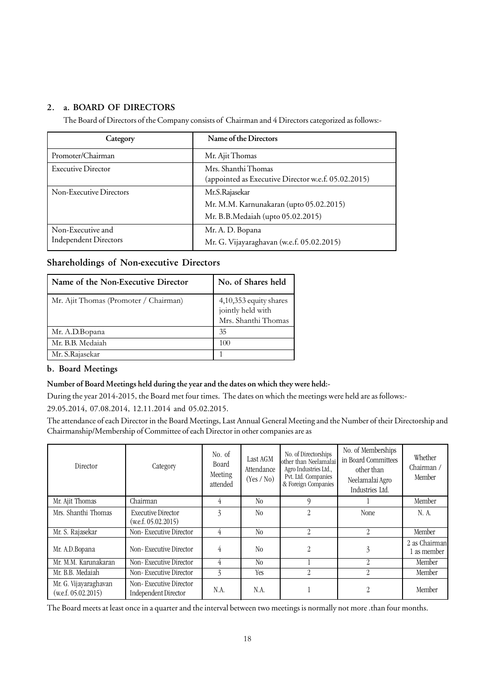## **2. a. BOARD OF DIRECTORS**

The Board of Directors of the Company consists of Chairman and 4 Directors categorized as follows:-

| Category                     | Name of the Directors                                                      |
|------------------------------|----------------------------------------------------------------------------|
| Promoter/Chairman            | Mr. Ajit Thomas                                                            |
| <b>Executive Director</b>    | Mrs. Shanthi Thomas<br>(appointed as Executive Director w.e.f. 05.02.2015) |
| Non-Executive Directors      | Mr.S.Rajasekar                                                             |
|                              | Mr. M.M. Karnunakaran (upto 05.02.2015)                                    |
|                              | Mr. B.B.Medaiah (upto 05.02.2015)                                          |
| Non-Executive and            | Mr. A. D. Bopana                                                           |
| <b>Independent Directors</b> | Mr. G. Vijayaraghavan (w.e.f. 05.02.2015)                                  |

## **Shareholdings of Non-executive Directors**

| Name of the Non-Executive Director    | No. of Shares held                                                 |
|---------------------------------------|--------------------------------------------------------------------|
| Mr. Ajit Thomas (Promoter / Chairman) | 4,10,353 equity shares<br>jointly held with<br>Mrs. Shanthi Thomas |
| Mr. A.D.Bopana                        | 35                                                                 |
| Mr. B.B. Medaiah                      | 100                                                                |
| Mr. S.Rajasekar                       |                                                                    |

## **b. Board Meetings**

#### **Number of Board Meetings held during the year and the dates on which they were held:-**

During the year 2014-2015, the Board met four times. The dates on which the meetings were held are as follows:-

29.05.2014, 07.08.2014, 12.11.2014 and 05.02.2015.

The attendance of each Director in the Board Meetings, Last Annual General Meeting and the Number of their Directorship and Chairmanship/Membership of Committee of each Director in other companies are as

| Director                                     | Category                                              | No. of<br><b>Board</b><br>Meeting<br>attended | Last AGM<br>Attendance<br>(Yes / No) | No. of Directorships<br>other than Neelamalai<br>Agro Industries Ltd.,<br>Pvt. Ltd. Companies<br>& Foreign Companies | No. of Memberships<br>in Board Committees<br>other than<br>Neelamalai Agro<br>Industries Ltd. | Whether<br>Chairman /<br>Member |
|----------------------------------------------|-------------------------------------------------------|-----------------------------------------------|--------------------------------------|----------------------------------------------------------------------------------------------------------------------|-----------------------------------------------------------------------------------------------|---------------------------------|
| Mr. Ajit Thomas                              | Chairman                                              | 4                                             | N <sub>0</sub>                       |                                                                                                                      |                                                                                               | Member                          |
| Mrs. Shanthi Thomas                          | <b>Executive Director</b><br>$($ w.e.f. 05.02.2015)   | 3                                             | N <sub>0</sub>                       | $\mathcal{D}_{\mathcal{L}}$                                                                                          | None                                                                                          | N. A.                           |
| Mr. S. Rajasekar                             | Non-Executive Director                                | 4                                             | N <sub>0</sub>                       | $\mathfrak{D}$                                                                                                       | 2                                                                                             | Member                          |
| Mr. A.D.Bopana                               | Non-Executive Director                                | $\overline{4}$                                | N <sub>0</sub>                       | $\mathfrak{D}$                                                                                                       | 3                                                                                             | 2 as Chairman<br>as member      |
| Mr. M.M. Karunakaran                         | Non-Executive Director                                | 4                                             | N <sub>0</sub>                       |                                                                                                                      | $\mathfrak{D}$                                                                                | Member                          |
| Mr. B.B. Medaiah                             | Non-Executive Director                                | 3                                             | Yes                                  | 2                                                                                                                    | 2                                                                                             | Member                          |
| Mr. G. Vijayaraghavan<br>(w.e.f. 05.02.2015) | Non-Executive Director<br><b>Independent Director</b> | N.A.                                          | N.A.                                 |                                                                                                                      | 2                                                                                             | Member                          |

The Board meets at least once in a quarter and the interval between two meetings is normally not more .than four months.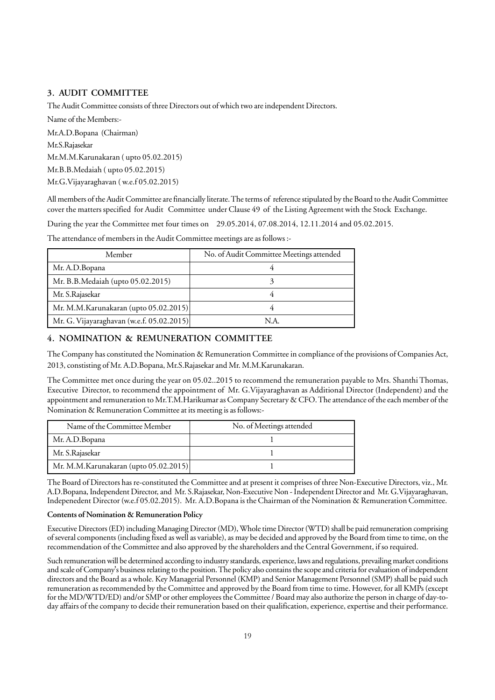## **3. AUDIT COMMITTEE**

The Audit Committee consists of three Directors out of which two are independent Directors.

Name of the Members:- Mr.A.D.Bopana (Chairman) Mr.S.Rajasekar Mr.M.M.Karunakaran ( upto 05.02.2015) Mr.B.B.Medaiah ( upto 05.02.2015) Mr.G.Vijayaraghavan ( w.e.f 05.02.2015)

All members of the Audit Committee are financially literate. The terms of reference stipulated by the Board to the Audit Committee cover the matters specified for Audit Committee under Clause 49 of the Listing Agreement with the Stock Exchange.

During the year the Committee met four times on 29.05.2014, 07.08.2014, 12.11.2014 and 05.02.2015.

The attendance of members in the Audit Committee meetings are as follows :-

| Member                                    | No. of Audit Committee Meetings attended |
|-------------------------------------------|------------------------------------------|
| Mr. A.D.Bopana                            |                                          |
| Mr. B.B.Medaiah (upto 05.02.2015)         |                                          |
| Mr. S. Rajasekar                          |                                          |
| Mr. M.M.Karunakaran (upto 05.02.2015)     |                                          |
| Mr. G. Vijayaraghavan (w.e.f. 05.02.2015) | N.A.                                     |

## **4. NOMINATION & REMUNERATION COMMITTEE**

The Company has constituted the Nomination & Remuneration Committee in compliance of the provisions of Companies Act, 2013, constisting of Mr. A.D.Bopana, Mr.S.Rajasekar and Mr. M.M.Karunakaran.

The Committee met once during the year on 05.02..2015 to recommend the remuneration payable to Mrs. Shanthi Thomas, Executive Director, to recommend the appointment of Mr. G.Vijayaraghavan as Additional Director (Independent) and the appointment and remuneration to Mr.T.M.Harikumar as Company Secretary & CFO. The attendance of the each member of the Nomination & Remuneration Committee at its meeting is as follows:-

| Name of the Committee Member          | No. of Meetings attended |
|---------------------------------------|--------------------------|
| Mr. A.D.Bopana                        |                          |
| Mr. S.Rajasekar                       |                          |
| Mr. M.M.Karunakaran (upto 05.02.2015) |                          |

The Board of Directors has re-constituted the Committee and at present it comprises of three Non-Executive Directors, viz., Mr. A.D.Bopana, Independent Director, and Mr. S.Rajasekar, Non-Executive Non - Independent Director and Mr. G.Vijayaraghavan, Indepenedent Director (w.e.f 05.02.2015). Mr. A.D.Bopana is the Chairman of the Nomination & Remuneration Committee.

#### **Contents of Nomination & Remuneration Policy**

Executive Directors (ED) including Managing Director (MD), Whole time Director (WTD) shall be paid remuneration comprising of several components (including fixed as well as variable), as may be decided and approved by the Board from time to time, on the recommendation of the Committee and also approved by the shareholders and the Central Government, if so required.

Such remuneration will be determined according to industry standards, experience, laws and regulations, prevailing market conditions and scale of Company's business relating to the position. The policy also contains the scope and criteria for evaluation of independent directors and the Board as a whole. Key Managerial Personnel (KMP) and Senior Management Personnel (SMP) shall be paid such remuneration as recommended by the Committee and approved by the Board from time to time. However, for all KMPs (except for the MD/WTD/ED) and/or SMP or other employees the Committee / Board may also authorize the person in charge of day-today affairs of the company to decide their remuneration based on their qualification, experience, expertise and their performance.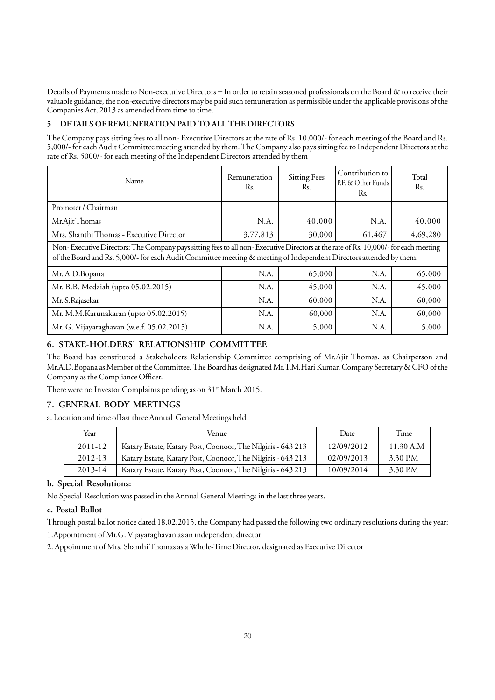Details of Payments made to Non-executive Directors – In order to retain seasoned professionals on the Board & to receive their valuable guidance, the non-executive directors may be paid such remuneration as permissible under the applicable provisions of the Companies Act, 2013 as amended from time to time.

#### **5. DETAILS OF REMUNERATION PAID TO ALL THE DIRECTORS**

The Company pays sitting fees to all non- Executive Directors at the rate of Rs. 10,000/- for each meeting of the Board and Rs. 5,000/- for each Audit Committee meeting attended by them. The Company also pays sitting fee to Independent Directors at the rate of Rs. 5000/- for each meeting of the Independent Directors attended by them

| Name                                     | Remuneration<br>Rs. | <b>Sitting Fees</b><br>Rs. | Contribution to<br>P.F. & Other Funds<br>Rs. | Total<br>Rs. |
|------------------------------------------|---------------------|----------------------------|----------------------------------------------|--------------|
| Promoter / Chairman                      |                     |                            |                                              |              |
| Mr.Ajit Thomas                           | N.A.                | 40,000                     | N.A.                                         | 40,000       |
| Mrs. Shanthi Thomas - Executive Director | 3,77,813            | 30,000                     | 61,467                                       | 4,69,280     |

Non- Executive Directors: The Company pays sitting fees to all non- Executive Directors at the rate of Rs. 10,000/- for each meeting of the Board and Rs. 5,000/- for each Audit Committee meeting & meeting of Independent Directors attended by them.

| Mr. A.D. Bopana                           | N.A. | 65,000 | N.A. | 65,000 |
|-------------------------------------------|------|--------|------|--------|
| Mr. B.B. Medaiah (upto 05.02.2015)        | N.A. | 45,000 | N.A. | 45,000 |
| Mr. S.Rajasekar                           | N.A. | 60,000 | N.A. | 60,000 |
| Mr. M.M.Karunakaran (upto 05.02.2015)     | N.A. | 60,000 | N.A. | 60,000 |
| Mr. G. Vijayaraghavan (w.e.f. 05.02.2015) | N.A. | 5,000  | N.A. | 5,000  |

## **6. STAKE-HOLDERS' RELATIONSHIP COMMITTEE**

The Board has constituted a Stakeholders Relationship Committee comprising of Mr.Ajit Thomas, as Chairperson and Mr.A.D.Bopana as Member of the Committee. The Board has designated Mr.T.M.Hari Kumar, Company Secretary & CFO of the Company as the Compliance Officer.

There were no Investor Complaints pending as on 31<sup>st</sup> March 2015.

## **7. GENERAL BODY MEETINGS**

a. Location and time of last three Annual General Meetings held.

| Year        | Venue                                                       | Date       | Time      |
|-------------|-------------------------------------------------------------|------------|-----------|
| $2011 - 12$ | Katary Estate, Katary Post, Coonoor, The Nilgiris - 643 213 | 12/09/2012 | 11.30 A.M |
| 2012-13     | Katary Estate, Katary Post, Coonoor, The Nilgiris - 643 213 | 02/09/2013 | 3.30 P.M  |
| $2013 - 14$ | Katary Estate, Katary Post, Coonoor, The Nilgiris - 643 213 | 10/09/2014 | 3.30 P.M  |

## **b. Special Resolutions:**

No Special Resolution was passed in the Annual General Meetings in the last three years.

## **c. Postal Ballot**

Through postal ballot notice dated 18.02.2015, the Company had passed the following two ordinary resolutions during the year: 1.Appointment of Mr.G. Vijayaraghavan as an independent director

2. Appointment of Mrs. Shanthi Thomas as a Whole-Time Director, designated as Executive Director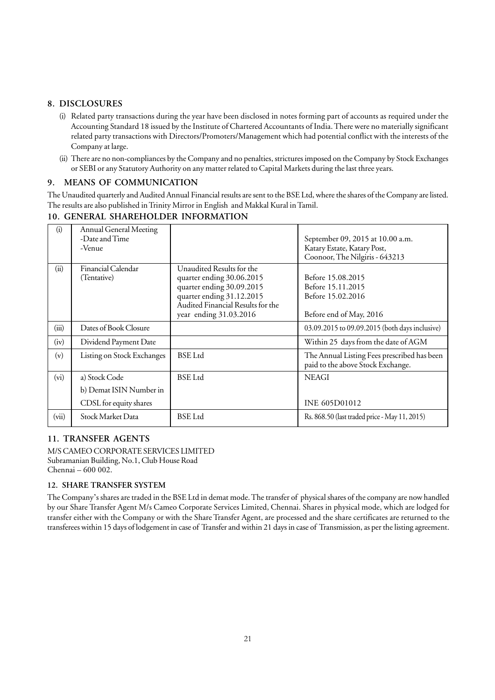## **8. DISCLOSURES**

- (i) Related party transactions during the year have been disclosed in notes forming part of accounts as required under the Accounting Standard 18 issued by the Institute of Chartered Accountants of India. There were no materially significant related party transactions with Directors/Promoters/Management which had potential conflict with the interests of the Company at large.
- (ii) There are no non-compliances by the Company and no penalties, strictures imposed on the Company by Stock Exchanges or SEBI or any Statutory Authority on any matter related to Capital Markets during the last three years.

## **9. MEANS OF COMMUNICATION**

The Unaudited quarterly and Audited Annual Financial results are sent to the BSE Ltd, where the shares of the Company are listed. The results are also published in Trinity Mirror in English and Makkal Kural in Tamil.

| (i)     | <b>Annual General Meeting</b> |                                   |                                                |
|---------|-------------------------------|-----------------------------------|------------------------------------------------|
|         | -Date and Time                |                                   | September 09, 2015 at 10.00 a.m.               |
|         | -Venue                        |                                   | Katary Estate, Katary Post,                    |
|         |                               |                                   | Coonoor, The Nilgiris - 643213                 |
| (ii)    | Financial Calendar            | Unaudited Results for the         |                                                |
|         | (Tentative)                   | quarter ending 30.06.2015         | Before 15.08.2015                              |
|         |                               | quarter ending 30.09.2015         | Before 15.11.2015                              |
|         |                               | quarter ending 31.12.2015         | Before 15.02.2016                              |
|         |                               | Audited Financial Results for the |                                                |
|         |                               | year ending 31.03.2016            | Before end of May, 2016                        |
| (iii)   | Dates of Book Closure         |                                   | 03.09.2015 to 09.09.2015 (both days inclusive) |
| (iv)    | Dividend Payment Date         |                                   | Within 25 days from the date of AGM            |
| (v)     | Listing on Stock Exchanges    | <b>BSE</b> Ltd                    | The Annual Listing Fees prescribed has been    |
|         |                               |                                   | paid to the above Stock Exchange.              |
| $(v_i)$ | a) Stock Code                 | <b>BSE</b> Ltd                    | <b>NEAGI</b>                                   |
|         | b) Demat ISIN Number in       |                                   |                                                |
|         | CDSL for equity shares        |                                   | <b>INE 605D01012</b>                           |
| (vii)   | <b>Stock Market Data</b>      | <b>BSE</b> Ltd                    | Rs. 868.50 (last traded price - May 11, 2015)  |

## **10. GENERAL SHAREHOLDER INFORMATION**

## **11. TRANSFER AGENTS**

M/S CAMEO CORPORATE SERVICES LIMITED Subramanian Building, No.1, Club House Road Chennai – 600 002.

## **12. SHARE TRANSFER SYSTEM**

The Company's shares are traded in the BSE Ltd in demat mode. The transfer of physical shares of the company are now handled by our Share Transfer Agent M/s Cameo Corporate Services Limited, Chennai. Shares in physical mode, which are lodged for transfer either with the Company or with the Share Transfer Agent, are processed and the share certificates are returned to the transferees within 15 days of lodgement in case of Transfer and within 21 days in case of Transmission, as per the listing agreement.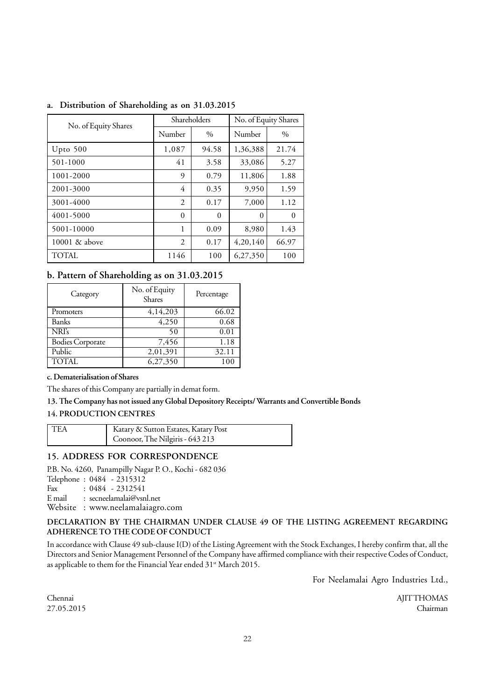| No. of Equity Shares | Shareholders   |          | No. of Equity Shares |          |
|----------------------|----------------|----------|----------------------|----------|
|                      | Number         | $\%$     | Number               | $\%$     |
| Upto $500$           | 1,087          | 94.58    | 1,36,388             | 21.74    |
| 501-1000             | 41             | 3.58     | 33,086               | 5.27     |
| 1001-2000            | 9              | 0.79     | 11,806               | 1.88     |
| 2001-3000            | 4              | 0.35     | 9,950                | 1.59     |
| 3001-4000            | $\overline{2}$ | 0.17     | 7,000                | 1.12     |
| 4001-5000            | $\theta$       | $\theta$ | $\Omega$             | $\theta$ |
| 5001-10000           | 1              | 0.09     | 8,980                | 1.43     |
| 10001 & above        | $\overline{2}$ | 0.17     | 4,20,140             | 66.97    |
| TOTAL.               | 1146           | 100      | 6,27,350             | 100      |

## **a. Distribution of Shareholding as on 31.03.2015**

## **b. Pattern of Shareholding as on 31.03.2015**

| Category         | No. of Equity<br><b>Shares</b> | Percentage |
|------------------|--------------------------------|------------|
| Promoters        | 4,14,203                       | 66.02      |
| Banks            | 4,250                          | 0.68       |
| NRI's            | 50                             | 0.01       |
| Bodies Corporate | 7,456                          | 1.18       |
| Public           | 2,01,391                       | 32.11      |
| TOTAL            | 6,27,350                       |            |

#### **c. Dematerialisation of Shares**

The shares of this Company are partially in demat form.

#### **13. The Company has not issued any Global Depository Receipts/ Warrants and Convertible Bonds**

## **14. PRODUCTION CENTRES**

| l tea | Katary & Sutton Estates, Katary Post |
|-------|--------------------------------------|
|       | Coonoor, The Nilgiris - 643 213      |

#### **15. ADDRESS FOR CORRESPONDENCE**

P.B. No. 4260, Panampilly Nagar P. O., Kochi - 682 036

Telephone : 0484 - 2315312<br>Fax : 0484 - 2312541

 $: 0484 - 2312541$ 

E mail : secneelamalai@vsnl.net

Website : www.neelamalaiagro.com

#### **DECLARATION BY THE CHAIRMAN UNDER CLAUSE 49 OF THE LISTING AGREEMENT REGARDING ADHERENCE TO THE CODE OF CONDUCT**

In accordance with Clause 49 sub-clause I(D) of the Listing Agreement with the Stock Exchanges, I hereby confirm that, all the Directors and Senior Management Personnel of the Company have affirmed compliance with their respective Codes of Conduct, as applicable to them for the Financial Year ended 31<sup>st</sup> March 2015.

For Neelamalai Agro Industries Ltd.,

Chennai AJIT THOMAS 27.05.2015 Chairman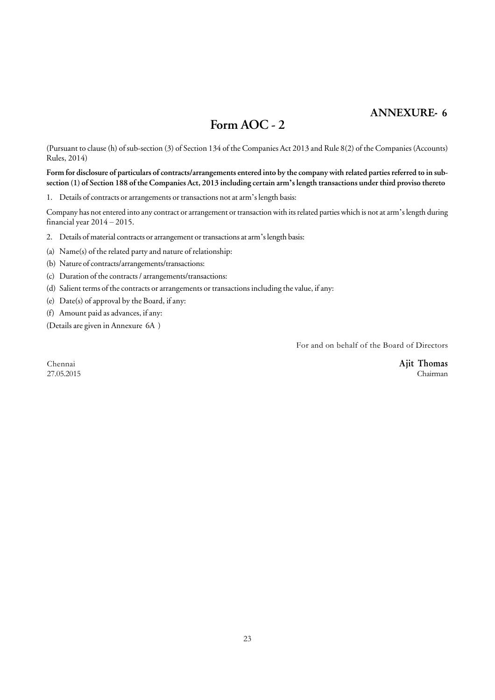## **ANNEXURE- 6**

# **Form AOC - 2**

(Pursuant to clause (h) of sub-section (3) of Section 134 of the Companies Act 2013 and Rule 8(2) of the Companies (Accounts) Rules, 2014)

**Form for disclosure of particulars of contracts/arrangements entered into by the company with related parties referred to in subsection (1) of Section 188 of the Companies Act, 2013 including certain arm's length transactions under third proviso thereto**

1. Details of contracts or arrangements or transactions not at arm's length basis:

Company has not entered into any contract or arrangement or transaction with its related parties which is not at arm's length during financial year 2014 – 2015.

2. Details of material contracts or arrangement or transactions at arm's length basis:

(a) Name(s) of the related party and nature of relationship:

(b) Nature of contracts/arrangements/transactions:

(c) Duration of the contracts / arrangements/transactions:

(d) Salient terms of the contracts or arrangements or transactions including the value, if any:

(e) Date(s) of approval by the Board, if any:

(f) Amount paid as advances, if any:

(Details are given in Annexure 6A )

For and on behalf of the Board of Directors

27.05.2015 Chairman

Chennai **Ajit Thomas**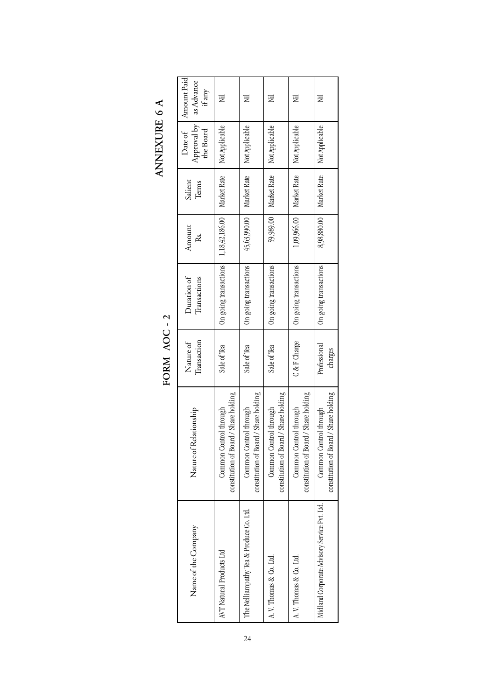|                                              |                                                                 | FORM AOC-2               |                             |                |                  | ITATANAIL                           |                                     |
|----------------------------------------------|-----------------------------------------------------------------|--------------------------|-----------------------------|----------------|------------------|-------------------------------------|-------------------------------------|
| Name of the Company                          | Nature of Relationship                                          | Transaction<br>Nature of | Duration of<br>Transactions | Amount<br>Ř.   | Salient<br>Terms | Approval by<br>Date of<br>the Board | Amount Paid<br>as Advance<br>if any |
| AVT Natural Products Ltd                     | constitution of Board / Share holding<br>Common Control through | Sale of Tea              | On going transactions       | 1,18,42,186.00 | Market Rate      | Not Applicable                      | Ξ                                   |
| The Nelliampathy Tea & Produce Co. Ltd.      | constitution of Board / Share holding<br>Common Control through | Sale of Tea              | On going transactions       | 45,63,990.00   | Market Rate      | Not Applicable                      | E                                   |
| A. V. Thomas & Co. Ltd.                      | constitution of Board / Share holding<br>Common Control through | Sale of Tea              | On going transactions       | 59,989.00      | Market Rate      | Not Applicable                      | ΣÏ                                  |
| A.V. Thomas & Co. Ltd.                       | constitution of Board / Share holding<br>Common Control through | C & F Charge             | On going transactions       | 1,09,966.00    | Market Rate      | Not Applicable                      | Ξ                                   |
| Midland Corporate Advisory Service Pvt. Ltd. | constitution of Board / Share holding<br>Common Control through | Professional<br>charges  | On going transactions       | 8,98,880.00    | Market Rate      | Not Applicable                      | E                                   |

ANNEXURE 6 A **ANNEXURE 6 A**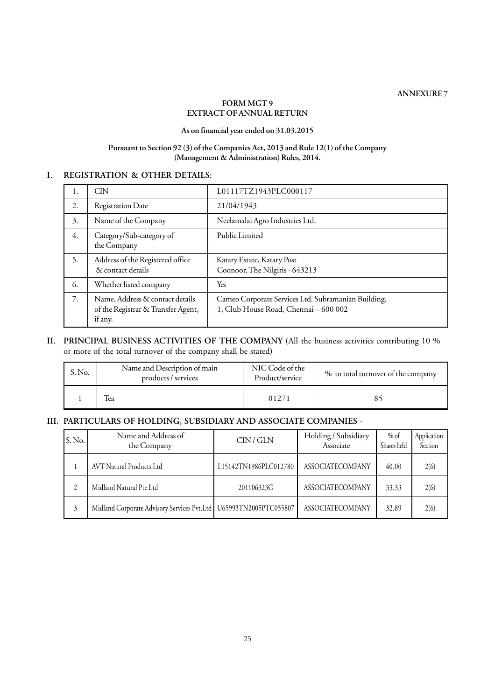**ANNEXURE 7**

## **FORM MGT 9 EXTRACT OF ANNUAL RETURN**

## **As on financial year ended on 31.03.2015**

## **Pursuant to Section 92 (3) of the Companies Act, 2013 and Rule 12(1) of the Company (Management & Administration) Rules, 2014.**

## **I. REGISTRATION & OTHER DETAILS:**

| 1. | <b>CIN</b>                                                                       | L01117TZ1943PLC000117                                                                        |
|----|----------------------------------------------------------------------------------|----------------------------------------------------------------------------------------------|
| 2. | <b>Registration Date</b>                                                         | 21/04/1943                                                                                   |
| 3. | Name of the Company                                                              | Neelamalai Agro Industries Ltd.                                                              |
| 4. | Category/Sub-category of<br>the Company                                          | Public Limited                                                                               |
| 5. | Address of the Registered office<br>& contact details                            | Katary Estate, Katary Post<br>Coonoor, The Nilgiris - 643213                                 |
| 6. | Whether listed company                                                           | Yes                                                                                          |
| 7. | Name, Address & contact details<br>of the Registrar & Transfer Agent,<br>if any. | Cameo Corporate Services Ltd. Subramanian Building,<br>1, Club House Road, Chennai - 600 002 |

## **II. PRINCIPAL BUSINESS ACTIVITIES OF THE COMPANY** (All the business activities contributing 10 % or more of the total turnover of the company shall be stated)

| S. No. | Name and Description of main<br>products / services | NIC Code of the<br>Product/service | % to total turnover of the company |
|--------|-----------------------------------------------------|------------------------------------|------------------------------------|
|        | lea                                                 | 01271                              |                                    |

## **III. PARTICULARS OF HOLDING, SUBSIDIARY AND ASSOCIATE COMPANIES -**

| S.No. | Name and Address of<br>the Company                                  | CIN/GLN               | Holding / Subsidiary<br>Associate | % of<br>Shares held | Application<br>Section |
|-------|---------------------------------------------------------------------|-----------------------|-----------------------------------|---------------------|------------------------|
|       | AVT Natural Products Ltd                                            | L15142TN1986PLC012780 | <b>ASSOCIATECOMPANY</b>           | 40.00               | 2(6)                   |
|       | Midland Natural Pte Ltd                                             | 201106323G            | <b>ASSOCIATECOMPANY</b>           | 33.33               | 2(6)                   |
|       | Midland Corporate Advisory Services Pvt.Ltd   U65993TN2005PTC055807 |                       | <b>ASSOCIATECOMPANY</b>           | 32.89               | 2(6)                   |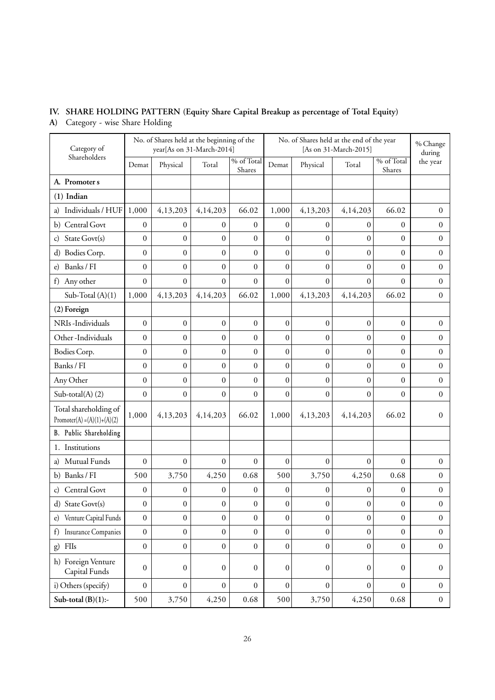# **IV. SHARE HOLDING PATTERN (Equity Share Capital Breakup as percentage of Total Equity)**

**A)** Category - wise Share Holding

| Category of                                            |                  | No. of Shares held at the beginning of the<br>year[As on 31-March-2014] |                  |                      |                  |                  | No. of Shares held at the end of the year<br>[As on 31-March-2015] |                                    | % Change<br>during |
|--------------------------------------------------------|------------------|-------------------------------------------------------------------------|------------------|----------------------|------------------|------------------|--------------------------------------------------------------------|------------------------------------|--------------------|
| Shareholders                                           | Demat            | Physical                                                                | Total            | % of Total<br>Shares | Demat            | Physical         | Total                                                              | $\overline{\%}$ of Total<br>Shares | the year           |
| A. Promoter s                                          |                  |                                                                         |                  |                      |                  |                  |                                                                    |                                    |                    |
| $(1)$ Indian                                           |                  |                                                                         |                  |                      |                  |                  |                                                                    |                                    |                    |
| Individuals / HUF                                      | 1,000            | 4,13,203                                                                | 4,14,203         | 66.02                | 1,000            | 4,13,203         | 4,14,203                                                           | 66.02                              | $\overline{0}$     |
| b) Central Govt                                        | $\boldsymbol{0}$ | $\mathbf{0}$                                                            | $\mathbf{0}$     | $\overline{0}$       | $\mathbf{0}$     | $\mathbf{0}$     | $\Omega$                                                           | $\mathbf{0}$                       | $\boldsymbol{0}$   |
| State Govt(s)<br>$\mathbf{C}$                          | $\mathbf{0}$     | $\boldsymbol{0}$                                                        | $\boldsymbol{0}$ | $\overline{0}$       | $\boldsymbol{0}$ | $\boldsymbol{0}$ | $\theta$                                                           | $\boldsymbol{0}$                   | $\mathbf{0}$       |
| d) Bodies Corp.                                        | $\boldsymbol{0}$ | $\boldsymbol{0}$                                                        | $\boldsymbol{0}$ | $\overline{0}$       | $\mathbf{0}$     | $\boldsymbol{0}$ | $\overline{0}$                                                     | $\boldsymbol{0}$                   | $\mathbf{0}$       |
| Banks / FI<br>e)                                       | $\boldsymbol{0}$ | $\boldsymbol{0}$                                                        | $\mathbf{0}$     | $\overline{0}$       | $\boldsymbol{0}$ | $\mathbf{0}$     | $\theta$                                                           | $\boldsymbol{0}$                   | $\Omega$           |
| Any other<br>f)                                        | $\mathbf{0}$     | $\boldsymbol{0}$                                                        | $\mathbf{0}$     | $\overline{0}$       | $\mathbf{0}$     | $\overline{0}$   | $\theta$                                                           | $\boldsymbol{0}$                   | $\mathbf{0}$       |
| Sub-Total $(A)(1)$                                     | 1,000            | 4,13,203                                                                | 4,14,203         | 66.02                | 1,000            | 4,13,203         | 4,14,203                                                           | 66.02                              | $\Omega$           |
| (2) Foreign                                            |                  |                                                                         |                  |                      |                  |                  |                                                                    |                                    |                    |
| NRIs-Individuals                                       | $\boldsymbol{0}$ | $\boldsymbol{0}$                                                        | $\mathbf{0}$     | $\boldsymbol{0}$     | $\mathbf{0}$     | $\overline{0}$   | $\overline{0}$                                                     | $\boldsymbol{0}$                   | $\mathbf{0}$       |
| Other-Individuals                                      | $\boldsymbol{0}$ | $\boldsymbol{0}$                                                        | $\boldsymbol{0}$ | $\boldsymbol{0}$     | $\boldsymbol{0}$ | $\boldsymbol{0}$ | $\overline{0}$                                                     | $\boldsymbol{0}$                   | $\mathbf{0}$       |
| Bodies Corp.                                           | $\boldsymbol{0}$ | $\boldsymbol{0}$                                                        | $\boldsymbol{0}$ | $\overline{0}$       | $\boldsymbol{0}$ | $\boldsymbol{0}$ | $\boldsymbol{0}$                                                   | $\mathbf{0}$                       | $\mathbf{0}$       |
| Banks / FI                                             | $\boldsymbol{0}$ | $\mathbf{0}$                                                            | $\mathbf{0}$     | $\overline{0}$       | $\mathbf{0}$     | $\overline{0}$   | $\overline{0}$                                                     | $\boldsymbol{0}$                   | $\mathbf{0}$       |
| Any Other                                              | $\mathbf{0}$     | $\mathbf{0}$                                                            | $\mathbf{0}$     | $\overline{0}$       | $\mathbf{0}$     | $\mathbf{0}$     | $\overline{0}$                                                     | $\mathbf{0}$                       | $\boldsymbol{0}$   |
| Sub-total $(A)$ $(2)$                                  | $\boldsymbol{0}$ | $\boldsymbol{0}$                                                        | $\boldsymbol{0}$ | $\overline{0}$       | $\mathbf{0}$     | $\mathbf{0}$     | $\overline{0}$                                                     | $\boldsymbol{0}$                   | $\Omega$           |
| Total shareholding of<br>Promoter(A) = $(A)(1)+(A)(2)$ | 1,000            | 4,13,203                                                                | 4,14,203         | 66.02                | 1,000            | 4,13,203         | 4,14,203                                                           | 66.02                              | $\Omega$           |
| B. Public Shareholding                                 |                  |                                                                         |                  |                      |                  |                  |                                                                    |                                    |                    |
| 1. Institutions                                        |                  |                                                                         |                  |                      |                  |                  |                                                                    |                                    |                    |
| Mutual Funds<br>a)                                     | $\boldsymbol{0}$ | $\boldsymbol{0}$                                                        | $\overline{0}$   | $\overline{0}$       | $\boldsymbol{0}$ | $\boldsymbol{0}$ | $\overline{0}$                                                     | $\boldsymbol{0}$                   | $\mathbf{0}$       |
| b) Banks / FI                                          | 500              | 3,750                                                                   | 4,250            | 0.68                 | 500              | 3,750            | 4,250                                                              | 0.68                               | $\mathbf{0}$       |
| Central Govt<br>c)                                     | $\boldsymbol{0}$ | $\boldsymbol{0}$                                                        | $\boldsymbol{0}$ | 0                    | $\boldsymbol{0}$ | $\mathbf{0}$     | 0                                                                  | $\boldsymbol{0}$                   | $\mathbf{0}$       |
| d) State Govt(s)                                       | $\boldsymbol{0}$ | $\boldsymbol{0}$                                                        | $\boldsymbol{0}$ | $\boldsymbol{0}$     | $\boldsymbol{0}$ | $\boldsymbol{0}$ | $\boldsymbol{0}$                                                   | $\boldsymbol{0}$                   | $\boldsymbol{0}$   |
| Venture Capital Funds<br>$\epsilon$                    | $\boldsymbol{0}$ | $\mathbf{0}$                                                            | $\mathbf{0}$     | $\boldsymbol{0}$     | $\boldsymbol{0}$ | $\boldsymbol{0}$ | $\overline{0}$                                                     | $\boldsymbol{0}$                   | $\boldsymbol{0}$   |
| <b>Insurance Companies</b><br>f)                       | $\boldsymbol{0}$ | $\boldsymbol{0}$                                                        | $\boldsymbol{0}$ | $\boldsymbol{0}$     | $\boldsymbol{0}$ | $\boldsymbol{0}$ | 0                                                                  | $\boldsymbol{0}$                   | $\boldsymbol{0}$   |
| FIIs<br>g)                                             | $\boldsymbol{0}$ | $\boldsymbol{0}$                                                        | $\boldsymbol{0}$ | $\boldsymbol{0}$     | $\boldsymbol{0}$ | $\boldsymbol{0}$ | $\boldsymbol{0}$                                                   | $\boldsymbol{0}$                   | $\boldsymbol{0}$   |
| h) Foreign Venture<br>Capital Funds                    | $\boldsymbol{0}$ | $\boldsymbol{0}$                                                        | $\boldsymbol{0}$ | $\boldsymbol{0}$     | $\boldsymbol{0}$ | $\boldsymbol{0}$ | $\boldsymbol{0}$                                                   | $\boldsymbol{0}$                   | $\boldsymbol{0}$   |
| i) Others (specify)                                    | $\boldsymbol{0}$ | $\boldsymbol{0}$                                                        | $\boldsymbol{0}$ | $\boldsymbol{0}$     | $\boldsymbol{0}$ | $\mathbf{0}$     | $\overline{0}$                                                     | $\boldsymbol{0}$                   | $\boldsymbol{0}$   |
| Sub-total $(B)(1)$ :-                                  | 500              | 3,750                                                                   | 4,250            | 0.68                 | 500              | 3,750            | 4,250                                                              | 0.68                               | $\boldsymbol{0}$   |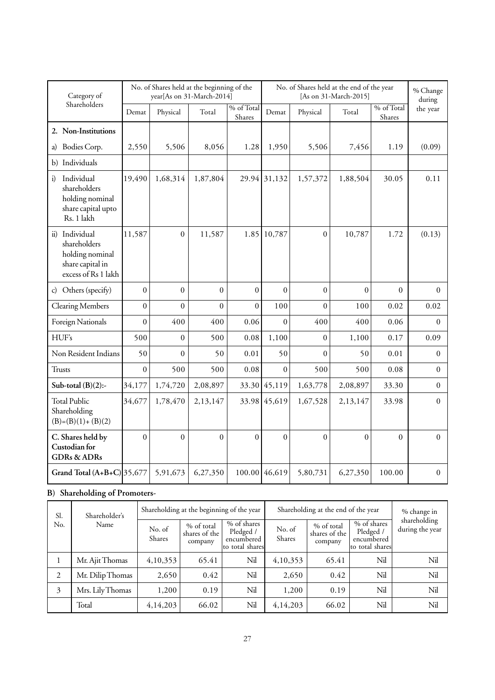| Category of                                                                                            |                  | No. of Shares held at the beginning of the | year[As on 31-March-2014] |                      | No. of Shares held at the end of the year<br>[As on 31-March-2015] |                  |          |                      | % Change<br>during |
|--------------------------------------------------------------------------------------------------------|------------------|--------------------------------------------|---------------------------|----------------------|--------------------------------------------------------------------|------------------|----------|----------------------|--------------------|
| Shareholders                                                                                           | Demat            | Physical                                   | Total                     | % of Total<br>Shares | Demat                                                              | Physical         | Total    | % of Total<br>Shares | the year           |
| 2. Non-Institutions                                                                                    |                  |                                            |                           |                      |                                                                    |                  |          |                      |                    |
| Bodies Corp.<br>a)                                                                                     | 2,550            | 5,506                                      | 8,056                     | 1.28                 | 1,950                                                              | 5,506            | 7,456    | 1.19                 | (0.09)             |
| b) Individuals                                                                                         |                  |                                            |                           |                      |                                                                    |                  |          |                      |                    |
| Individual<br>$\ddot{i}$<br>shareholders<br>holding nominal<br>share capital upto<br>Rs. 1 lakh        | 19,490           | 1,68,314                                   | 1,87,804                  |                      | 29.94 31,132                                                       | 1,57,372         | 1,88,504 | 30.05                | 0.11               |
| Individual<br>$\ddot{u}$<br>shareholders<br>holding nominal<br>share capital in<br>excess of Rs 1 lakh | 11,587           | $\theta$                                   | 11,587                    | 1.85                 | 10,787                                                             | $\theta$         | 10,787   | 1.72                 | (0.13)             |
| c) Others (specify)                                                                                    | $\theta$         | $\mathbf{0}$                               | $\boldsymbol{0}$          | $\mathbf{0}$         | $\theta$                                                           | $\boldsymbol{0}$ | $\theta$ | $\Omega$             | $\Omega$           |
| <b>Clearing Members</b>                                                                                | $\boldsymbol{0}$ | $\mathbf{0}$                               | $\boldsymbol{0}$          | $\overline{0}$       | 100                                                                | $\overline{0}$   | 100      | 0.02                 | 0.02               |
| Foreign Nationals                                                                                      | $\boldsymbol{0}$ | 400                                        | 400                       | 0.06                 | $\boldsymbol{0}$                                                   | 400              | 400      | 0.06                 | $\overline{0}$     |
| HUF's                                                                                                  | 500              | $\boldsymbol{0}$                           | 500                       | 0.08                 | 1,100                                                              | $\boldsymbol{0}$ | 1,100    | 0.17                 | 0.09               |
| Non Resident Indians                                                                                   | 50               | $\boldsymbol{0}$                           | 50                        | 0.01                 | 50                                                                 | $\overline{0}$   | 50       | 0.01                 | $\boldsymbol{0}$   |
| <b>Trusts</b>                                                                                          | $\overline{0}$   | 500                                        | 500                       | 0.08                 | $\boldsymbol{0}$                                                   | 500              | 500      | 0.08                 | $\overline{0}$     |
| Sub-total $(B)(2)$ :-                                                                                  | 34,177           | 1,74,720                                   | 2,08,897                  |                      | 33.30 45,119                                                       | 1,63,778         | 2,08,897 | 33.30                | $\theta$           |
| <b>Total Public</b><br>Shareholding<br>$(B)=(B)(1)+(B)(2)$                                             | 34,677           | 1,78,470                                   | 2,13,147                  |                      | 33.98 45,619                                                       | 1,67,528         | 2,13,147 | 33.98                | $\overline{0}$     |
| C. Shares held by<br>Custodian for<br><b>GDRs &amp; ADRs</b>                                           | $\overline{0}$   | $\theta$                                   | $\overline{0}$            | $\boldsymbol{0}$     | $\overline{0}$                                                     | $\theta$         | $\theta$ | $\boldsymbol{0}$     | $\Omega$           |
| Grand Total $(A+B+C) 35,677$                                                                           |                  | 5,91,673                                   | 6,27,350                  |                      | 100.00 46,619                                                      | 5,80,731         | 6,27,350 | 100.00               | $\overline{0}$     |

# **B) Shareholding of Promoters-**

| Sl.<br>Shareholder's |                  |                  | Shareholding at the beginning of the year |                                                           |                  | Shareholding at the end of the year    |                                                           |                                 |  |
|----------------------|------------------|------------------|-------------------------------------------|-----------------------------------------------------------|------------------|----------------------------------------|-----------------------------------------------------------|---------------------------------|--|
| No.                  | Name             | No. of<br>Shares | % of total<br>shares of the<br>company    | % of shares<br>Pledged /<br>encumbered<br>to total shares | No. of<br>Shares | % of total<br>shares of the<br>company | % of shares<br>Pledged /<br>encumbered<br>to total shares | shareholding<br>during the year |  |
|                      | Mr. Ajit Thomas  | 4,10,353         | 65.41                                     | Nil                                                       | 4,10,353         | 65.41                                  | Nil                                                       | Nil                             |  |
| $\overline{2}$       | Mr. Dilip Thomas | 2,650            | 0.42                                      | Nil                                                       | 2,650            | 0.42                                   | Nil                                                       | Nil                             |  |
| 3                    | Mrs. Lily Thomas | 1,200            | 0.19                                      | Nil                                                       | 1,200            | 0.19                                   | Nil                                                       | Nil                             |  |
|                      | Total            | 4,14,203         | 66.02                                     | Nil                                                       | 4,14,203         | 66.02                                  | Nil                                                       | Nil                             |  |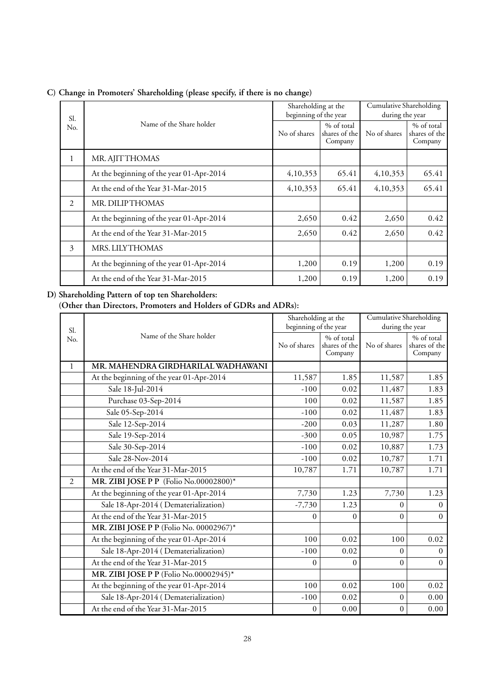| Sl. |                                          | Shareholding at the<br>beginning of the year |                                        | Cumulative Shareholding<br>during the year |                                        |
|-----|------------------------------------------|----------------------------------------------|----------------------------------------|--------------------------------------------|----------------------------------------|
| No. | Name of the Share holder                 |                                              | % of total<br>shares of the<br>Company | No of shares                               | % of total<br>shares of the<br>Company |
| 1   | MR. AJITTHOMAS                           |                                              |                                        |                                            |                                        |
|     | At the beginning of the year 01-Apr-2014 | 4,10,353                                     | 65.41                                  | 4,10,353                                   | 65.41                                  |
|     | At the end of the Year 31-Mar-2015       | 4,10,353                                     | 65.41                                  | 4,10,353                                   | 65.41                                  |
| 2   | MR. DILIPTHOMAS                          |                                              |                                        |                                            |                                        |
|     | At the beginning of the year 01-Apr-2014 | 2,650                                        | 0.42                                   | 2,650                                      | 0.42                                   |
|     | At the end of the Year 31-Mar-2015       | 2,650                                        | 0.42                                   | 2,650                                      | 0.42                                   |
| 3   | <b>MRS. LILYTHOMAS</b>                   |                                              |                                        |                                            |                                        |
|     | At the beginning of the year 01-Apr-2014 | 1,200                                        | 0.19                                   | 1,200                                      | 0.19                                   |
|     | At the end of the Year 31-Mar-2015       | 1,200                                        | 0.19                                   | 1,200                                      | 0.19                                   |

**C) Change in Promoters' Shareholding (please specify, if there is no change)**

## **D) Shareholding Pattern of top ten Shareholders:**

**(Other than Directors, Promoters and Holders of GDRs and ADRs):**

|                |                                          | Shareholding at the   |                                        | <b>Cumulative Shareholding</b> |                                        |  |
|----------------|------------------------------------------|-----------------------|----------------------------------------|--------------------------------|----------------------------------------|--|
| Sl.            |                                          | beginning of the year |                                        | during the year                |                                        |  |
| No.            | Name of the Share holder                 | No of shares          | % of total<br>shares of the<br>Company | No of shares                   | % of total<br>shares of the<br>Company |  |
| $\mathbf{1}$   | MR. MAHENDRA GIRDHARILAL WADHAWANI       |                       |                                        |                                |                                        |  |
|                | At the beginning of the year 01-Apr-2014 | 11,587                | 1.85                                   | 11,587                         | 1.85                                   |  |
|                | Sale 18-Jul-2014                         | $-100$                | 0.02                                   | 11,487                         | 1.83                                   |  |
|                | Purchase 03-Sep-2014                     | 100                   | 0.02                                   | 11,587                         | 1.85                                   |  |
|                | Sale 05-Sep-2014                         | $-100$                | 0.02                                   | 11,487                         | 1.83                                   |  |
|                | Sale 12-Sep-2014                         | $-200$                | 0.03                                   | 11,287                         | 1.80                                   |  |
|                | Sale 19-Sep-2014                         | $-300$                | 0.05                                   | 10,987                         | 1.75                                   |  |
|                | Sale 30-Sep-2014                         | $-100$                | 0.02                                   | 10,887                         | 1.73                                   |  |
|                | Sale 28-Nov-2014                         | $-100$                | 0.02                                   | 10,787                         | 1.71                                   |  |
|                | At the end of the Year 31-Mar-2015       | 10,787                | 1.71                                   | 10,787                         | 1.71                                   |  |
| $\overline{2}$ | MR. ZIBI JOSE P P (Folio No.00002800)*   |                       |                                        |                                |                                        |  |
|                | At the beginning of the year 01-Apr-2014 | 7,730                 | 1.23                                   | 7,730                          | 1.23                                   |  |
|                | Sale 18-Apr-2014 (Dematerialization)     | $-7,730$              | 1.23                                   | $\Omega$                       | $\theta$                               |  |
|                | At the end of the Year 31-Mar-2015       | $\Omega$              | $\theta$                               | $\theta$                       | $\Omega$                               |  |
|                | MR. ZIBI JOSE P P (Folio No. 00002967)*  |                       |                                        |                                |                                        |  |
|                | At the beginning of the year 01-Apr-2014 | 100                   | 0.02                                   | 100                            | 0.02                                   |  |
|                | Sale 18-Apr-2014 (Dematerialization)     | $-100$                | 0.02                                   | $\Omega$                       | $\theta$                               |  |
|                | At the end of the Year 31-Mar-2015       | $\overline{0}$        | $\theta$                               | $\theta$                       | $\Omega$                               |  |
|                | MR. ZIBI JOSE P P (Folio No.00002945)*   |                       |                                        |                                |                                        |  |
|                | At the beginning of the year 01-Apr-2014 | 100                   | 0.02                                   | 100                            | 0.02                                   |  |
|                | Sale 18-Apr-2014 (Dematerialization)     | $-100$                | 0.02                                   | $\Omega$                       | 0.00                                   |  |
|                | At the end of the Year 31-Mar-2015       | $\boldsymbol{0}$      | 0.00                                   | $\mathbf{0}$                   | 0.00                                   |  |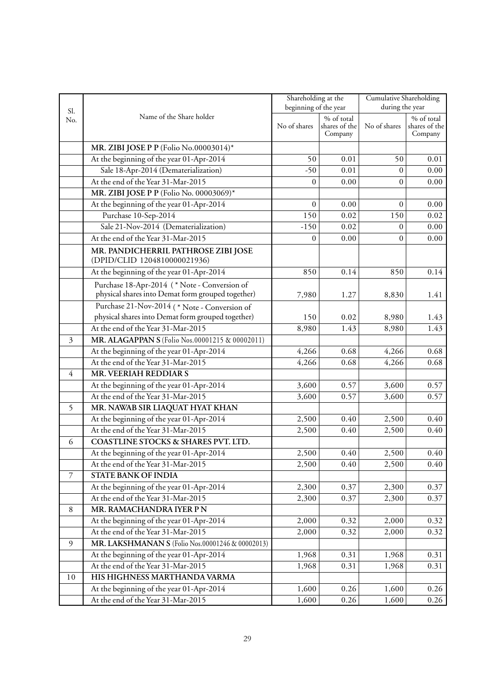|                          |                                                                                                  | Shareholding at the   |                                                               | Cumulative Shareholding |                                        |
|--------------------------|--------------------------------------------------------------------------------------------------|-----------------------|---------------------------------------------------------------|-------------------------|----------------------------------------|
| Sl.                      |                                                                                                  | beginning of the year |                                                               | during the year         |                                        |
| No.                      | Name of the Share holder                                                                         | No of shares          | $\overline{\frac{9}{6}}$ of total<br>shares of the<br>Company | No of shares            | % of total<br>shares of the<br>Company |
|                          | MR. ZIBI JOSE P P (Folio No.00003014)*                                                           |                       |                                                               |                         |                                        |
|                          | At the beginning of the year 01-Apr-2014                                                         | 50                    | 0.01                                                          | 50                      | 0.01                                   |
|                          | Sale 18-Apr-2014 (Dematerialization)                                                             | $-50$                 | 0.01                                                          | $\overline{0}$          | 0.00                                   |
|                          | At the end of the Year 31-Mar-2015                                                               | $\overline{0}$        | 0.00                                                          | $\mathbf{0}$            | 0.00                                   |
|                          | MR. ZIBI JOSE P P (Folio No. 00003069)*                                                          |                       |                                                               |                         |                                        |
|                          | At the beginning of the year 01-Apr-2014                                                         | $\mathbf{0}$          | 0.00                                                          | $\mathbf{0}$            | 0.00                                   |
|                          | Purchase 10-Sep-2014                                                                             | 150                   | 0.02                                                          | 150                     | 0.02                                   |
|                          | Sale 21-Nov-2014 (Dematerialization)                                                             | $-150$                | 0.02                                                          | $\mathbf{0}$            | 0.00                                   |
|                          | At the end of the Year 31-Mar-2015                                                               | $\overline{0}$        | 0.00                                                          | $\overline{0}$          | 0.00                                   |
|                          | MR. PANDICHERRIL PATHROSE ZIBI JOSE<br>(DPID/CLID 1204810000021936)                              |                       |                                                               |                         |                                        |
|                          | At the beginning of the year 01-Apr-2014                                                         | 850                   | 0.14                                                          | 850                     | 0.14                                   |
|                          | Purchase 18-Apr-2014 (*Note - Conversion of<br>physical shares into Demat form grouped together) | 7,980                 | 1.27                                                          | 8,830                   | 1.41                                   |
|                          | Purchase 21-Nov-2014 (*Note - Conversion of                                                      |                       |                                                               |                         |                                        |
|                          | physical shares into Demat form grouped together)                                                | 150                   | 0.02                                                          | 8,980                   | 1.43                                   |
|                          | At the end of the Year 31-Mar-2015                                                               | 8,980                 | 1.43                                                          | 8,980                   | 1.43                                   |
| 3                        | MR. ALAGAPPAN S (Folio Nos.00001215 & 00002011)                                                  |                       |                                                               |                         |                                        |
|                          | At the beginning of the year 01-Apr-2014                                                         | 4,266                 | 0.68                                                          | 4,266                   | 0.68                                   |
|                          | At the end of the Year 31-Mar-2015                                                               | 4,266                 | 0.68                                                          | 4,266                   | 0.68                                   |
| $\overline{4}$           | MR. VEERIAH REDDIAR S                                                                            |                       |                                                               |                         |                                        |
|                          | At the beginning of the year 01-Apr-2014                                                         | 3,600                 | 0.57                                                          | 3,600                   | 0.57                                   |
|                          | At the end of the Year 31-Mar-2015                                                               | 3,600                 | 0.57                                                          | 3,600                   | 0.57                                   |
| 5                        | MR. NAWAB SIR LIAQUAT HYAT KHAN                                                                  |                       |                                                               |                         |                                        |
|                          | At the beginning of the year 01-Apr-2014                                                         | 2,500                 | 0.40                                                          | 2,500                   | 0.40                                   |
|                          | At the end of the Year 31-Mar-2015                                                               | 2,500                 | 0.40                                                          | 2,500                   | 0.40                                   |
| 6                        | COASTLINE STOCKS & SHARES PVT. LTD.                                                              |                       |                                                               |                         |                                        |
|                          | At the beginning of the year 01-Apr-2014                                                         | 2,500                 | 0.40                                                          | 2,500                   | 0.40                                   |
|                          | At the end of the Year 31-Mar-2015                                                               | 2,500                 | 0.40                                                          | 2,500                   | 0.40                                   |
| $\overline{\mathcal{I}}$ | STATE BANK OF INDIA                                                                              |                       |                                                               |                         |                                        |
|                          | At the beginning of the year 01-Apr-2014                                                         | 2,300                 | 0.37                                                          | 2,300                   | 0.37                                   |
|                          | At the end of the Year 31-Mar-2015                                                               | 2,300                 | 0.37                                                          | 2,300                   | 0.37                                   |
| $8\,$                    | MR. RAMACHANDRA IYER PN                                                                          |                       |                                                               |                         |                                        |
|                          | At the beginning of the year 01-Apr-2014                                                         | 2,000                 | 0.32                                                          | 2,000                   | 0.32                                   |
|                          | At the end of the Year 31-Mar-2015                                                               | 2,000                 | 0.32                                                          | 2,000                   | 0.32                                   |
| 9                        | MR. LAKSHMANAN S (Folio Nos.00001246 & 00002013)                                                 |                       |                                                               |                         |                                        |
|                          | At the beginning of the year 01-Apr-2014                                                         | 1,968                 | 0.31                                                          | 1,968                   | 0.31                                   |
|                          | At the end of the Year 31-Mar-2015                                                               | 1,968                 | 0.31                                                          | 1,968                   | 0.31                                   |
| 10                       | HIS HIGHNESS MARTHANDA VARMA                                                                     |                       |                                                               |                         |                                        |
|                          | At the beginning of the year 01-Apr-2014                                                         | 1,600                 | 0.26                                                          | 1,600                   | 0.26                                   |
|                          | At the end of the Year 31-Mar-2015                                                               | 1,600                 | 0.26                                                          | 1,600                   | 0.26                                   |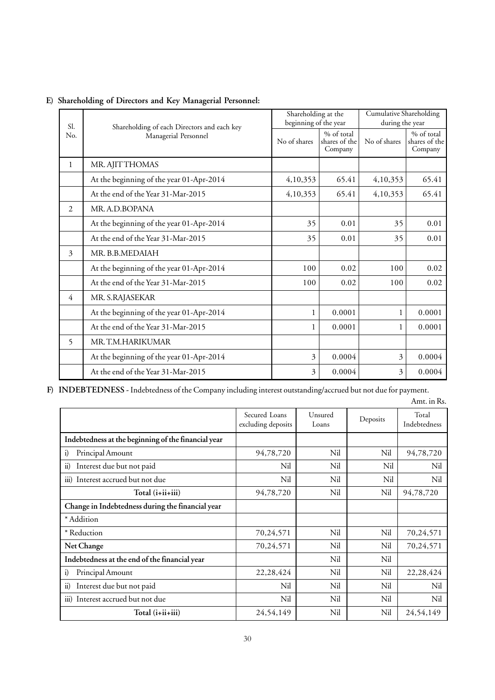|               |                                             | Shareholding at the   |                             | Cumulative Shareholding<br>during the year |                             |  |
|---------------|---------------------------------------------|-----------------------|-----------------------------|--------------------------------------------|-----------------------------|--|
| Sl.           | Shareholding of each Directors and each key | beginning of the year |                             |                                            |                             |  |
| No.           | Managerial Personnel                        | No of shares          | % of total<br>shares of the | No of shares                               | % of total<br>shares of the |  |
|               |                                             |                       | Company                     |                                            | Company                     |  |
| 1             | MR. AJITTHOMAS                              |                       |                             |                                            |                             |  |
|               | At the beginning of the year 01-Apr-2014    | 4,10,353              | 65.41                       | 4,10,353                                   | 65.41                       |  |
|               | At the end of the Year 31-Mar-2015          | 4,10,353              | 65.41                       | 4,10,353                                   | 65.41                       |  |
| $\mathcal{L}$ | MR. A.D.BOPANA                              |                       |                             |                                            |                             |  |
|               | At the beginning of the year 01-Apr-2014    | 35                    | 0.01                        | 35                                         | 0.01                        |  |
|               | At the end of the Year 31-Mar-2015          | 35                    | 0.01                        | 35                                         | 0.01                        |  |
| 3             | MR. B.B.MEDAIAH                             |                       |                             |                                            |                             |  |
|               | At the beginning of the year 01-Apr-2014    | 100                   | 0.02                        | 100                                        | 0.02                        |  |
|               | At the end of the Year 31-Mar-2015          | 100                   | 0.02                        | 100                                        | 0.02                        |  |
| 4             | MR. S.RAJASEKAR                             |                       |                             |                                            |                             |  |
|               | At the beginning of the year 01-Apr-2014    | $\mathbf{1}$          | 0.0001                      | 1                                          | 0.0001                      |  |
|               | At the end of the Year 31-Mar-2015          | 1                     | 0.0001                      | 1                                          | 0.0001                      |  |
| 5             | MR. T.M.HARIKUMAR                           |                       |                             |                                            |                             |  |
|               | At the beginning of the year 01-Apr-2014    | 3                     | 0.0004                      | 3                                          | 0.0004                      |  |
|               | At the end of the Year 31-Mar-2015          | 3                     | 0.0004                      | 3                                          | 0.0004                      |  |

# **E) Shareholding of Directors and Key Managerial Personnel:**

**F) INDEBTEDNESS -** Indebtedness of the Company including interest outstanding/accrued but not due for payment.

Amt. in Rs.

|                                                         | Secured Loans<br>excluding deposits | Unsured<br>Loans | Deposits | Total<br>Indebtedness |
|---------------------------------------------------------|-------------------------------------|------------------|----------|-----------------------|
| Indebtedness at the beginning of the financial year     |                                     |                  |          |                       |
| Principal Amount<br>$\mathbf{i}$                        | 94,78,720                           | Nil              | Nil      | 94,78,720             |
| $\ddot{\mathbf{i}}$<br>Interest due but not paid        | Nil                                 | Nil              | Nil      | Nil                   |
| Interest accrued but not due<br>$\overline{iii}$        | Nil                                 | Nil              | Nil      | Nil                   |
| Total (i+ii+iii)                                        | 94,78,720                           | Nil              | Nil      | 94,78,720             |
| Change in Indebtedness during the financial year        |                                     |                  |          |                       |
| * Addition                                              |                                     |                  |          |                       |
| * Reduction                                             | 70,24,571                           | Nil              | Nil      | 70,24,571             |
| Net Change                                              | 70,24,571                           | Nil              | Nil      | 70,24,571             |
| Indebtedness at the end of the financial year           |                                     | Nil              | Nil      |                       |
| Principal Amount<br>i)                                  | 22,28,424                           | Nil              | Nil      | 22,28,424             |
| $\ddot{i}$<br>Interest due but not paid                 | Nil                                 | Nil              | Nil      | Nil                   |
| Interest accrued but not due<br>$\overline{\text{iii}}$ | Nil                                 | Nil              | Nil      | Nil                   |
| Total (i+ii+iii)                                        | 24,54,149                           | Nil              | Nil      | 24,54,149             |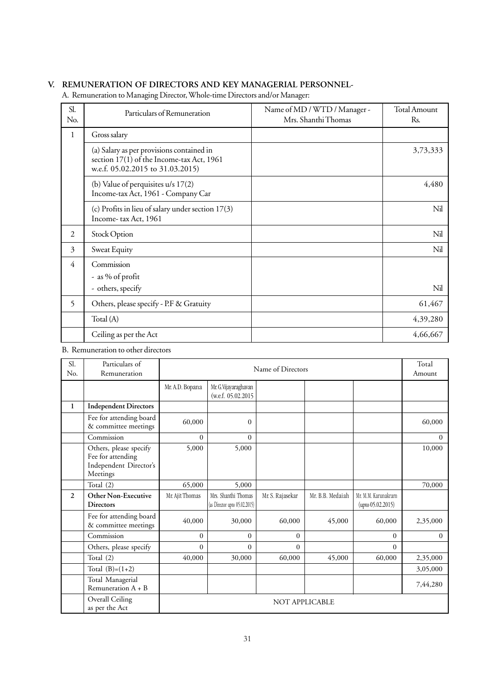## **V. REMUNERATION OF DIRECTORS AND KEY MANAGERIAL PERSONNEL-**

A. Remuneration to Managing Director, Whole-time Directors and/or Manager:

| Sl.<br>No.     | Particulars of Remuneration                                                                                                | Name of MD / WTD / Manager -<br>Mrs. Shanthi Thomas | <b>Total Amount</b><br>Rs. |
|----------------|----------------------------------------------------------------------------------------------------------------------------|-----------------------------------------------------|----------------------------|
| $\mathbf{1}$   | Gross salary                                                                                                               |                                                     |                            |
|                | (a) Salary as per provisions contained in<br>section 17(1) of the Income-tax Act, 1961<br>w.e.f. 05.02.2015 to 31.03.2015) |                                                     | 3,73,333                   |
|                | (b) Value of perquisites u/s 17(2)<br>Income-tax Act, 1961 - Company Car                                                   |                                                     | 4,480                      |
|                | (c) Profits in lieu of salary under section 17(3)<br>Income-tax Act, 1961                                                  |                                                     | Nil                        |
| 2              | Stock Option                                                                                                               |                                                     | Nil                        |
| 3              | Sweat Equity                                                                                                               |                                                     | Nil                        |
| $\overline{4}$ | Commission<br>- as % of profit<br>- others, specify                                                                        |                                                     | Nil                        |
| 5              | Others, please specify - P.F & Gratuity                                                                                    |                                                     | 61,467                     |
|                | Total (A)                                                                                                                  |                                                     | 4,39,280                   |
|                | Ceiling as per the Act                                                                                                     |                                                     | 4,66,667                   |

## B. Remuneration to other directors

| Sl.<br>No.     | Particulars of<br>Remuneration                                                    |                 |                                                      | Name of Directors     |                  |                                          | Total<br>Amount |
|----------------|-----------------------------------------------------------------------------------|-----------------|------------------------------------------------------|-----------------------|------------------|------------------------------------------|-----------------|
|                |                                                                                   | Mr. A.D. Bopana | Mr. G. Vijayaraghavan<br>(w.e.f. 05.02.2015          |                       |                  |                                          |                 |
| $\mathbf{1}$   | <b>Independent Directors</b>                                                      |                 |                                                      |                       |                  |                                          |                 |
|                | Fee for attending board<br>& committee meetings                                   | 60,000          | $\Omega$                                             |                       |                  |                                          | 60,000          |
|                | Commission                                                                        | $\theta$        | $\Omega$                                             |                       |                  |                                          | $\Omega$        |
|                | Others, please specify<br>Fee for attending<br>Independent Director's<br>Meetings | 5,000           | 5,000                                                |                       |                  |                                          | 10,000          |
|                | Total (2)                                                                         | 65,000          | 5,000                                                |                       |                  |                                          | 70,000          |
| $\overline{2}$ | <b>Other Non-Executive</b><br><b>Directors</b>                                    | Mr. Ajit Thomas | Mrs. Shanthi Thomas<br>(as Director upto 05.02.2015) | Mr. S. Rajasekar      | Mr. B.B. Medaiah | Mr. M.M. Karunakrarn<br>upto 05.02.2015) |                 |
|                | Fee for attending board<br>& committee meetings                                   | 40,000          | 30,000                                               | 60,000                | 45,000           | 60,000                                   | 2,35,000        |
|                | Commission                                                                        | $\theta$        | $\theta$                                             | $\Omega$              |                  | $\Omega$                                 | $\Omega$        |
|                | Others, please specify                                                            | $\theta$        | $\theta$                                             | $\theta$              |                  | $\Omega$                                 |                 |
|                | Total (2)                                                                         | 40,000          | 30,000                                               | 60,000                | 45,000           | 60,000                                   | 2,35,000        |
|                | Total $(B)=(1+2)$                                                                 |                 |                                                      |                       |                  |                                          | 3,05,000        |
|                | Total Managerial<br>Remuneration $A + B$                                          |                 |                                                      |                       |                  |                                          | 7,44,280        |
|                | Overall Ceiling<br>as per the Act                                                 |                 |                                                      | <b>NOT APPLICABLE</b> |                  |                                          |                 |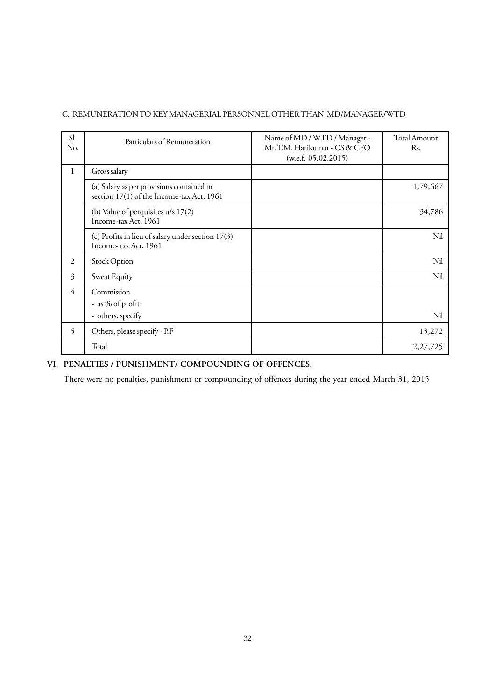## C. REMUNERATION TO KEY MANAGERIAL PERSONNEL OTHER THAN MD/MANAGER/WTD

| Sl.<br>No.   | Particulars of Remuneration                                                            | Name of MD / WTD / Manager -<br>Mr. T.M. Harikumar - CS & CFO<br>(w.e.f. 05.02.2015) | <b>Total Amount</b><br>Rs. |
|--------------|----------------------------------------------------------------------------------------|--------------------------------------------------------------------------------------|----------------------------|
| $\mathbf{1}$ | Gross salary                                                                           |                                                                                      |                            |
|              | (a) Salary as per provisions contained in<br>section 17(1) of the Income-tax Act, 1961 |                                                                                      | 1,79,667                   |
|              | (b) Value of perquisites u/s 17(2)<br>Income-tax Act, 1961                             |                                                                                      | 34,786                     |
|              | (c) Profits in lieu of salary under section 17(3)<br>Income-tax Act, 1961              |                                                                                      | Nil                        |
| 2            | Stock Option                                                                           |                                                                                      | Nil                        |
| 3            | Sweat Equity                                                                           |                                                                                      | Nil                        |
| 4            | Commission<br>- as % of profit                                                         |                                                                                      |                            |
|              | - others, specify                                                                      |                                                                                      | Nil                        |
| 5            | Others, please specify - P.F                                                           |                                                                                      | 13,272                     |
|              | Total                                                                                  |                                                                                      | 2, 27, 725                 |

## **VI. PENALTIES / PUNISHMENT/ COMPOUNDING OF OFFENCES:**

There were no penalties, punishment or compounding of offences during the year ended March 31, 2015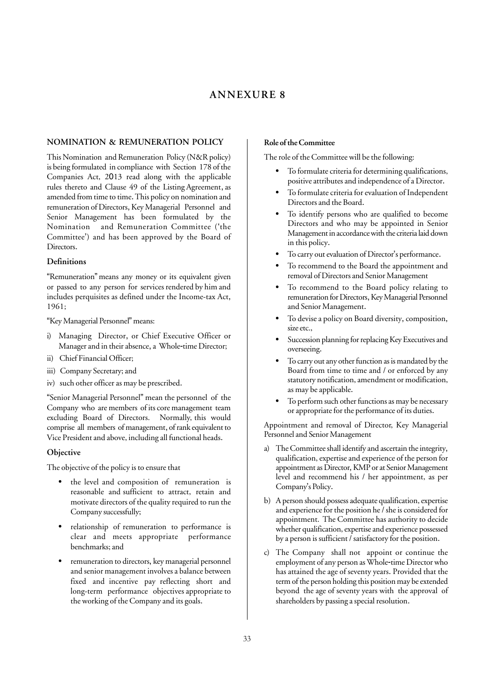## **ANNEXURE 8**

#### **NOMINATION & REMUNERATION POLICY**

This Nomination and Remuneration Policy (N&R policy) is being formulated in compliance with Section 178 of the Companies Act, 2013 read along with the applicable rules thereto and Clause 49 of the Listing Agreement, as amended from time to time. This policy on nomination and remuneration of Directors, Key Managerial Personnel and Senior Management has been formulated by the Nomination and Remuneration Committee ('the Committee') and has been approved by the Board of Directors.

#### **Definitions**

"Remuneration" means any money or its equivalent given or passed to any person for services rendered by him and includes perquisites as defined under the Income-tax Act, 1961;

"Key Managerial Personnel" means:

- i) Managing Director, or Chief Executive Officer or Manager and in their absence, a Whole-time Director;
- ii) Chief Financial Officer;
- iii) Company Secretary; and
- iv) such other officer as may be prescribed.

"Senior Managerial Personnel" mean the personnel of the Company who are members of its core management team excluding Board of Directors. Normally, this would comprise all members of management, of rank equivalent to Vice President and above, including all functional heads.

#### **Objective**

The objective of the policy is to ensure that

- the level and composition of remuneration is reasonable and sufficient to attract, retain and motivate directors of the quality required to run the Company successfully;
- relationship of remuneration to performance is clear and meets appropriate performance benchmarks; and
- remuneration to directors, key managerial personnel and senior management involves a balance between fixed and incentive pay reflecting short and long-term performance objectives appropriate to the working of the Company and its goals.

#### **Role of the Committee**

The role of the Committee will be the following:

- To formulate criteria for determining qualifications, positive attributes and independence of a Director.
- To formulate criteria for evaluation of Independent Directors and the Board.
- To identify persons who are qualified to become Directors and who may be appointed in Senior Management in accordance with the criteria laid down in this policy.
- To carry out evaluation of Director's performance.
- To recommend to the Board the appointment and removal of Directors and Senior Management
- To recommend to the Board policy relating to remuneration for Directors, Key Managerial Personnel and Senior Management.
- To devise a policy on Board diversity, composition, size etc.,
- Succession planning for replacing Key Executives and overseeing.
- To carry out any other function as is mandated by the Board from time to time and / or enforced by any statutory notification, amendment or modification, as may be applicable.
- To perform such other functions as may be necessary or appropriate for the performance of its duties.

Appointment and removal of Director, Key Managerial Personnel and Senior Management

- a) The Committee shall identify and ascertain the integrity, qualification, expertise and experience of the person for appointment as Director, KMP or at Senior Management level and recommend his / her appointment, as per Company's Policy.
- b) A person should possess adequate qualification, expertise and experience for the position he / she is considered for appointment. The Committee has authority to decide whether qualification, expertise and experience possessed by a person is sufficient / satisfactory for the position.
- The Company shall not appoint or continue the employment of any person as Whole-time Director who has attained the age of seventy years. Provided that the term of the person holding this position may be extended beyond the age of seventy years with the approval of shareholders by passing a special resolution.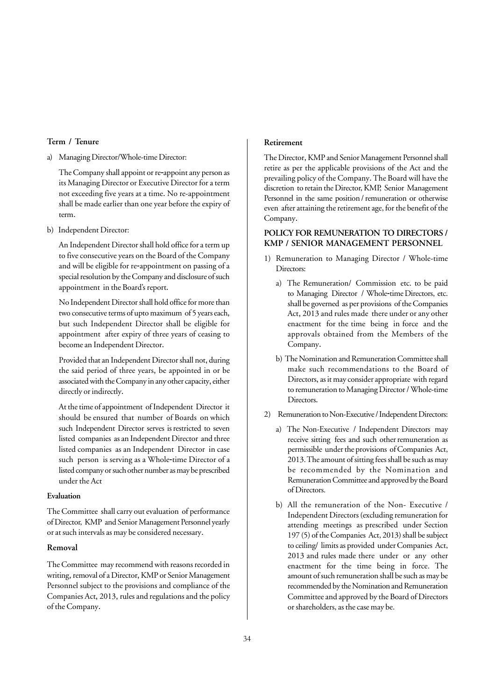## **Term / Tenure**

a) Managing Director/Whole-time Director:

The Company shall appoint or re-appoint any person as its Managing Director or Executive Director for a term not exceeding five years at a time. No re-appointment shall be made earlier than one year before the expiry of term.

b) Independent Director:

An Independent Director shall hold office for a term up to five consecutive years on the Board of the Company and will be eligible for re-appointment on passing of a special resolution by the Company and disclosure of such appointment in the Board's report.

No Independent Director shall hold office for more than two consecutive terms of upto maximum of 5 years each, but such Independent Director shall be eligible for appointment after expiry of three years of ceasing to become an Independent Director.

Provided that an Independent Director shall not, during the said period of three years, be appointed in or be associated with the Company in any other capacity, either directly or indirectly.

At the time of appointment of Independent Director it should be ensured that number of Boards on which such Independent Director serves is restricted to seven listed companies as an Independent Director and three listed companies as an Independent Director in case such person is serving as a Whole-time Director of a listed company or such other number as may be prescribed under the Act

## **Evaluation**

The Committee shall carry out evaluation of performance of Director, KMP and Senior Management Personnel yearly or at such intervals as may be considered necessary.

#### **Removal**

The Committee may recommend with reasons recorded in writing, removal of a Director, KMP or Senior Management Personnel subject to the provisions and compliance of the Companies Act, 2013, rules and regulations and the policy of the Company.

### **Retirement**

The Director, KMP and Senior Management Personnel shall retire as per the applicable provisions of the Act and the prevailing policy of the Company. The Board will have the discretion to retain the Director, KMP, Senior Management Personnel in the same position / remuneration or otherwise even after attaining the retirement age, for the benefit of the Company.

#### **POLICY FOR REMUNERATION TO DIRECTORS / KMP / SENIOR MANAGEMENT PERSONNEL**

- 1) Remuneration to Managing Director / Whole-time Directors:
	- a) The Remuneration/ Commission etc. to be paid to Managing Director / Whole-time Directors, etc. shall be governed as per provisions of the Companies Act, 2013 and rules made there under or any other enactment for the time being in force and the approvals obtained from the Members of the Company.
	- b) The Nomination and Remuneration Committee shall make such recommendations to the Board of Directors, as it may consider appropriate with regard to remuneration to Managing Director / Whole-time Directors.
- 2) Remuneration to Non-Executive / Independent Directors:
	- a) The Non-Executive / Independent Directors may receive sitting fees and such other remuneration as permissible under the provisions of Companies Act, 2013. The amount of sitting fees shall be such as may be recommended by the Nomination and Remuneration Committee and approved by the Board of Directors.
	- b) All the remuneration of the Non- Executive / Independent Directors (excluding remuneration for attending meetings as prescribed under Section 197 (5) of the Companies Act, 2013) shall be subject to ceiling/ limits as provided under Companies Act, 2013 and rules made there under or any other enactment for the time being in force. The amount of such remuneration shall be such as may be recommended by the Nomination and Remuneration Committee and approved by the Board of Directors or shareholders, as the case may be.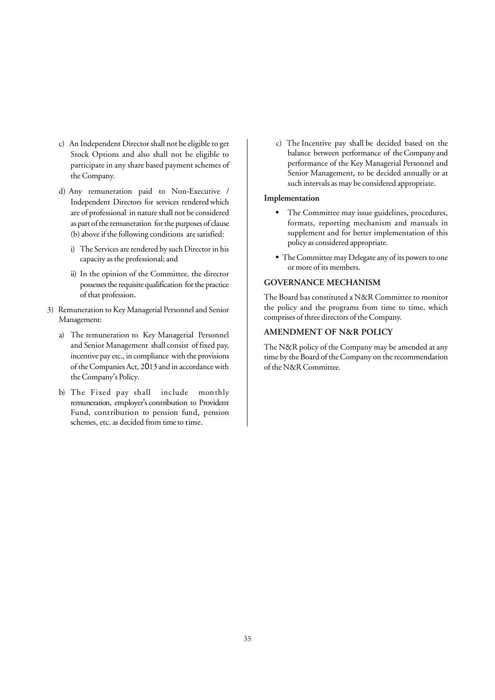- c) An Independent Director shall not be eligible to get Stock Options and also shall not be eligible to participate in any share based payment schemes of the Company.
- d) Any remuneration paid to Non-Executive / Independent Directors for services rendered which are of professional in nature shall not be considered as part of the remuneration for the purposes of clause (b) above if the following conditions are satisfied:
	- i) The Services are rendered by such Director in his capacity as the professional; and
	- ii) In the opinion of the Committee, the director possesses the requisite qualification for the practice of that profession.
- 3) Remuneration to Key Managerial Personnel and Senior Management:
	- a) The remuneration to Key Managerial Personnel and Senior Management shall consist of fixed pay, incentive pay etc., in compliance with the provisions of the Companies Act, 2013 and in accordance with the Company's Policy.
	- b) The Fixed pay shall include monthly remuneration, employer's contribution to Provident Fund, contribution to pension fund, pension schemes, etc. as decided from time to time.

c) The Incentive pay shall be decided based on the balance between performance of the Company and performance of the Key Managerial Personnel and Senior Management, to be decided annually or at such intervals as may be considered appropriate.

#### **Implementation**

- The Committee may issue guidelines, procedures, formats, reporting mechanism and manuals in supplement and for better implementation of this policy as considered appropriate.
- The Committee may Delegate any of its powers to one or more of its members.

#### **GOVERNANCE MECHANISM**

The Board has constituted a N&R Committee to monitor the policy and the programs from time to time, which comprises of three directors of the Company.

## **AMENDMENT OF N&R POLICY**

The N&R policy of the Company may be amended at any time by the Board of the Company on the recommendation of the N&R Committee.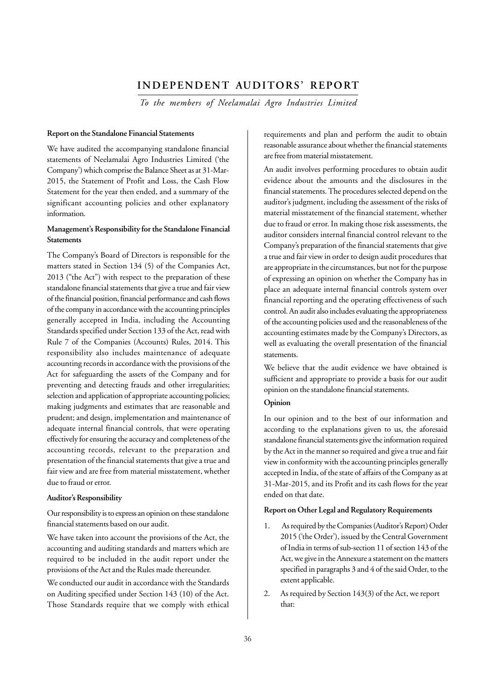## **INDEPENDENT AUDITORS' REPORT**

*To the members of Neelamalai Agro Industries Limited*

#### **Report on the Standalone Financial Statements**

We have audited the accompanying standalone financial statements of Neelamalai Agro Industries Limited ('the Company') which comprise the Balance Sheet as at 31-Mar-2015, the Statement of Profit and Loss, the Cash Flow Statement for the year then ended, and a summary of the significant accounting policies and other explanatory information.

## **Management's Responsibility for the Standalone Financial Statements**

The Company's Board of Directors is responsible for the matters stated in Section 134 (5) of the Companies Act, 2013 ("the Act") with respect to the preparation of these standalone financial statements that give a true and fair view of the financial position, financial performance and cash flows of the company in accordance with the accounting principles generally accepted in India, including the Accounting Standards specified under Section 133 of the Act, read with Rule 7 of the Companies (Accounts) Rules, 2014. This responsibility also includes maintenance of adequate accounting records in accordance with the provisions of the Act for safeguarding the assets of the Company and for preventing and detecting frauds and other irregularities; selection and application of appropriate accounting policies; making judgments and estimates that are reasonable and prudent; and design, implementation and maintenance of adequate internal financial controls, that were operating effectively for ensuring the accuracy and completeness of the accounting records, relevant to the preparation and presentation of the financial statements that give a true and fair view and are free from material misstatement, whether due to fraud or error.

#### **Auditor's Responsibility**

Our responsibility is to express an opinion on these standalone financial statements based on our audit.

We have taken into account the provisions of the Act, the accounting and auditing standards and matters which are required to be included in the audit report under the provisions of the Act and the Rules made thereunder.

We conducted our audit in accordance with the Standards on Auditing specified under Section 143 (10) of the Act. Those Standards require that we comply with ethical requirements and plan and perform the audit to obtain reasonable assurance about whether the financial statements are free from material misstatement.

An audit involves performing procedures to obtain audit evidence about the amounts and the disclosures in the financial statements. The procedures selected depend on the auditor's judgment, including the assessment of the risks of material misstatement of the financial statement, whether due to fraud or error. In making those risk assessments, the auditor considers internal financial control relevant to the Company's preparation of the financial statements that give a true and fair view in order to design audit procedures that are appropriate in the circumstances, but not for the purpose of expressing an opinion on whether the Company has in place an adequate internal financial controls system over financial reporting and the operating effectiveness of such control. An audit also includes evaluating the appropriateness of the accounting policies used and the reasonableness of the accounting estimates made by the Company's Directors, as well as evaluating the overall presentation of the financial statements.

We believe that the audit evidence we have obtained is sufficient and appropriate to provide a basis for our audit opinion on the standalone financial statements.

#### **Opinion**

In our opinion and to the best of our information and according to the explanations given to us, the aforesaid standalone financial statements give the information required by the Act in the manner so required and give a true and fair view in conformity with the accounting principles generally accepted in India, of the state of affairs of the Company as at 31-Mar-2015, and its Profit and its cash flows for the year ended on that date.

#### **Report on Other Legal and Regulatory Requirements**

- 1. As required by the Companies (Auditor's Report) Order 2015 ('the Order'), issued by the Central Government of India in terms of sub-section 11 of section 143 of the Act, we give in the Annexure a statement on the matters specified in paragraphs 3 and 4 of the said Order, to the extent applicable.
- 2. As required by Section 143(3) of the Act, we report that: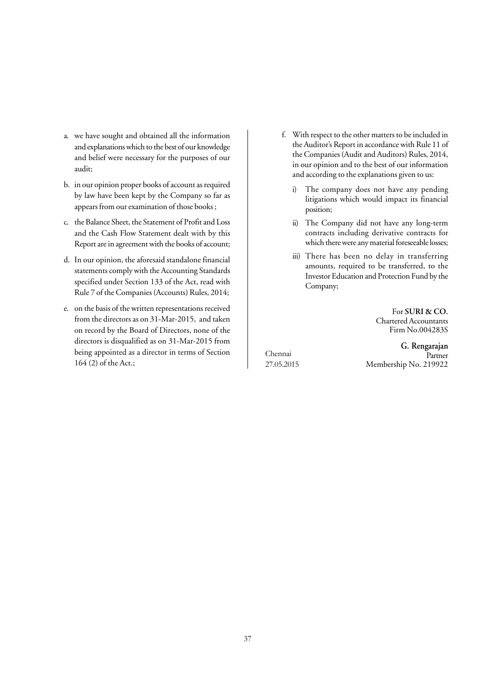- a. we have sought and obtained all the information and explanations which to the best of our knowledge and belief were necessary for the purposes of our audit;
- b. in our opinion proper books of account as required by law have been kept by the Company so far as appears from our examination of those books ;
- c. the Balance Sheet, the Statement of Profit and Loss and the Cash Flow Statement dealt with by this Report are in agreement with the books of account;
- d. In our opinion, the aforesaid standalone financial statements comply with the Accounting Standards specified under Section 133 of the Act, read with Rule 7 of the Companies (Accounts) Rules, 2014;
- e. on the basis of the written representations received from the directors as on 31-Mar-2015, and taken on record by the Board of Directors, none of the directors is disqualified as on 31-Mar-2015 from being appointed as a director in terms of Section 164 (2) of the Act.;
- f. With respect to the other matters to be included in the Auditor's Report in accordance with Rule 11 of the Companies (Audit and Auditors) Rules, 2014, in our opinion and to the best of our information and according to the explanations given to us:
	- i) The company does not have any pending litigations which would impact its financial position;
	- ii) The Company did not have any long-term contracts including derivative contracts for which there were any material foreseeable losses;
	- iii) There has been no delay in transferring amounts, required to be transferred, to the Investor Education and Protection Fund by the Company;

For **SURI & CO.** Chartered Accountants Firm No.004283S

Chennai 27.05.2015

 **G. Rengarajan** Partner Membership No. 219922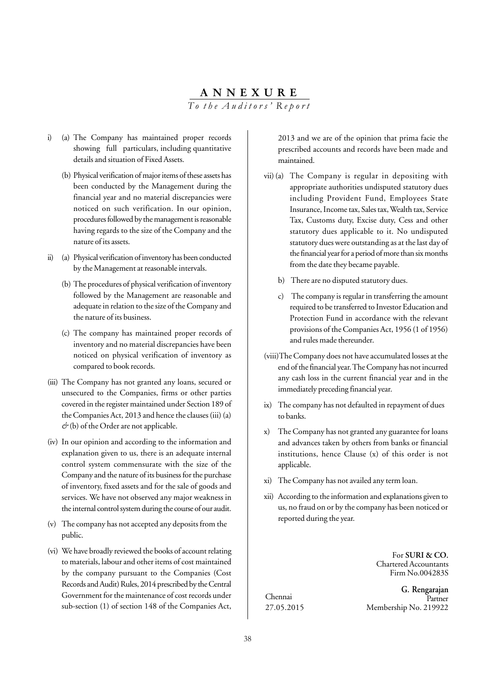# **ANNEXURE**

*To the Auditors' Report*

- i) (a) The Company has maintained proper records showing full particulars, including quantitative details and situation of Fixed Assets.
	- (b) Physical verification of major items of these assets has been conducted by the Management during the financial year and no material discrepancies were noticed on such verification. In our opinion, procedures followed by the management is reasonable having regards to the size of the Company and the nature of its assets.
- ii) (a) Physical verification of inventory has been conducted by the Management at reasonable intervals.
	- (b) The procedures of physical verification of inventory followed by the Management are reasonable and adequate in relation to the size of the Company and the nature of its business.
	- (c) The company has maintained proper records of inventory and no material discrepancies have been noticed on physical verification of inventory as compared to book records.
- (iii) The Company has not granted any loans, secured or unsecured to the Companies, firms or other parties covered in the register maintained under Section 189 of the Companies Act, 2013 and hence the clauses (iii) (a) *&* (b) of the Order are not applicable.
- (iv) In our opinion and according to the information and explanation given to us, there is an adequate internal control system commensurate with the size of the Company and the nature of its business for the purchase of inventory, fixed assets and for the sale of goods and services. We have not observed any major weakness in the internal control system during the course of our audit.
- (v) The company has not accepted any deposits from the public.
- (vi) We have broadly reviewed the books of account relating to materials, labour and other items of cost maintained by the company pursuant to the Companies (Cost Records and Audit) Rules, 2014 prescribed by the Central Government for the maintenance of cost records under sub-section (1) of section 148 of the Companies Act,

2013 and we are of the opinion that prima facie the prescribed accounts and records have been made and maintained.

- vii) (a) The Company is regular in depositing with appropriate authorities undisputed statutory dues including Provident Fund, Employees State Insurance, Income tax, Sales tax, Wealth tax, Service Tax, Customs duty, Excise duty, Cess and other statutory dues applicable to it. No undisputed statutory dues were outstanding as at the last day of the financial year for a period of more than six months from the date they became payable.
	- b) There are no disputed statutory dues.
	- c) The company is regular in transferring the amount required to be transferred to Investor Education and Protection Fund in accordance with the relevant provisions of the Companies Act, 1956 (1 of 1956) and rules made thereunder.
- (viii)The Company does not have accumulated losses at the end of the financial year. The Company has not incurred any cash loss in the current financial year and in the immediately preceding financial year.
- ix) The company has not defaulted in repayment of dues to banks.
- x) The Company has not granted any guarantee for loans and advances taken by others from banks or financial institutions, hence Clause (x) of this order is not applicable.
- xi) The Company has not availed any term loan.
- xii) According to the information and explanations given to us, no fraud on or by the company has been noticed or reported during the year.

For **SURI & CO.** Chartered Accountants Firm No.004283S

Chennai 27.05.2015

 **G. Rengarajan** Partner Membership No. 219922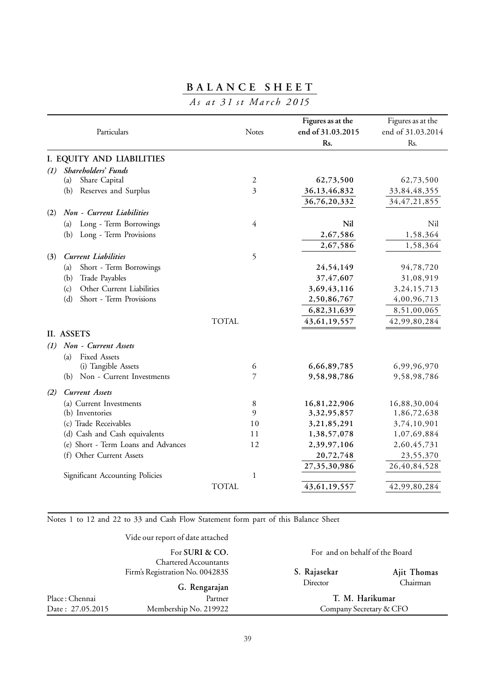# **BALANCE SHEET**

# *As at 31 st March 2015*

| Particulars                              | Notes        | Figures as at the<br>end of 31.03.2015<br>Rs. | Figures as at the<br>end of 31.03.2014<br>Rs. |
|------------------------------------------|--------------|-----------------------------------------------|-----------------------------------------------|
| I. EQUITY AND LIABILITIES                |              |                                               |                                               |
| Shareholders' Funds<br>(1)               |              |                                               |                                               |
| Share Capital<br>(a)                     | 2            | 62,73,500                                     | 62,73,500                                     |
| (b)<br>Reserves and Surplus              | 3            | 36,13,46,832                                  | 33,84,48,355                                  |
|                                          |              | 36,76,20,332                                  | 34, 47, 21, 855                               |
| Non - Current Liabilities<br>(2)         |              |                                               |                                               |
| Long - Term Borrowings<br>(a)            | 4            | Nil                                           | Nil                                           |
| Long - Term Provisions<br>(b)            |              | 2,67,586                                      | 1,58,364                                      |
|                                          |              | 2,67,586                                      | 1,58,364                                      |
| <b>Current Liabilities</b><br>(3)        | 5            |                                               |                                               |
| Short - Term Borrowings<br>(a)           |              | 24,54,149                                     | 94,78,720                                     |
| Trade Payables<br>(b)                    |              | 37,47,607                                     | 31,08,919                                     |
| Other Current Liabilities<br>(c)         |              | 3,69,43,116                                   | 3, 24, 15, 713                                |
| Short - Term Provisions<br>(d)           |              | 2,50,86,767                                   | 4,00,96,713                                   |
|                                          |              | 6,82,31,639                                   | 8,51,00,065                                   |
|                                          | TOTAL        | 43, 61, 19, 557                               | 42,99,80,284                                  |
| II. ASSETS                               |              |                                               |                                               |
| Non - Current Assets<br>$\left(1\right)$ |              |                                               |                                               |
| <b>Fixed Assets</b><br>(a)               |              |                                               |                                               |
| (i) Tangible Assets                      | 6            | 6,66,89,785                                   | 6,99,96,970                                   |
| Non - Current Investments<br>(b)         | 7            | 9,58,98,786                                   | 9,58,98,786                                   |
| <b>Current Assets</b><br>(2)             |              |                                               |                                               |
| (a) Current Investments                  | 8            | 16,81,22,906                                  | 16,88,30,004                                  |
| (b) Inventories                          | 9            | 3,32,95,857                                   | 1,86,72,638                                   |
| (c) Trade Receivables                    | 10           | 3,21,85,291                                   | 3,74,10,901                                   |
| (d) Cash and Cash equivalents            | 11           | 1,38,57,078                                   | 1,07,69,884                                   |
| (e) Short - Term Loans and Advances      | 12           | 2,39,97,106                                   | 2,60,45,731                                   |
| (f) Other Current Assets                 |              | 20,72,748                                     | 23,55,370                                     |
|                                          |              | 27,35,30,986                                  | 26,40,84,528                                  |
| Significant Accounting Policies          | $\mathbf{1}$ |                                               |                                               |
|                                          | <b>TOTAL</b> | 43, 61, 19, 557                               | 42,99,80,284                                  |

Notes 1 to 12 and 22 to 33 and Cash Flow Statement form part of this Balance Sheet

|--|

|                  | For SURI & CO.                                                  | For and on behalf of the Board |             |
|------------------|-----------------------------------------------------------------|--------------------------------|-------------|
|                  | <b>Chartered Accountants</b><br>Firm's Registration No. 004283S | S. Rajasekar                   | Ajit Thomas |
|                  | G. Rengarajan                                                   | Director                       | Chairman    |
| Place : Chennai  | Partner                                                         | T. M. Harikumar                |             |
| Date: 27.05.2015 | Membership No. 219922                                           | Company Secretary & CFO        |             |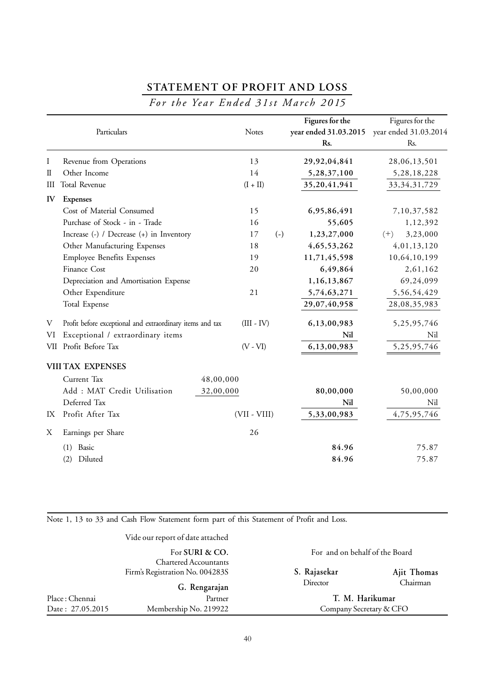# **STATEMENT OF PROFIT AND LOSS**

# *For the Year Ended 31st March 2015*

|              | Particulars                                               |           | <b>Notes</b>   |       | Figures for the<br>year ended 31.03.2015<br>Rs. | Figures for the<br>year ended 31.03.2014<br>Rs. |
|--------------|-----------------------------------------------------------|-----------|----------------|-------|-------------------------------------------------|-------------------------------------------------|
| Ι            | Revenue from Operations                                   |           | 13             |       | 29,92,04,841                                    | 28,06,13,501                                    |
| $\mathbb{I}$ | Other Income                                              |           | 14             |       | 5,28,37,100                                     | 5,28,18,228                                     |
| Ш            | Total Revenue                                             |           | $(I + II)$     |       | 35,20,41,941                                    | 33, 34, 31, 729                                 |
| IV           | <b>Expenses</b>                                           |           |                |       |                                                 |                                                 |
|              | Cost of Material Consumed                                 |           | 15             |       | 6,95,86,491                                     | 7,10,37,582                                     |
|              | Purchase of Stock - in - Trade                            |           | 16             |       | 55,605                                          | 1,12,392                                        |
|              | Increase (-) / Decrease (+) in Inventory                  |           | 17             | $(-)$ | 1,23,27,000                                     | 3,23,000<br>$(+)$                               |
|              | Other Manufacturing Expenses                              |           | 18             |       | 4, 65, 53, 262                                  | 4,01,13,120                                     |
|              | <b>Employee Benefits Expenses</b>                         |           | 19             |       | 11,71,45,598                                    | 10,64,10,199                                    |
|              | Finance Cost                                              |           | 20             |       | 6,49,864                                        | 2,61,162                                        |
|              | Depreciation and Amortisation Expense                     |           |                |       | 1,16,13,867                                     | 69,24,099                                       |
|              | Other Expenditure                                         |           | 21             |       | 5,74,63,271                                     | 5,56,54,429                                     |
|              | Total Expense                                             |           |                |       | 29,07,40,958                                    | 28,08,35,983                                    |
| V            | Profit before exceptional and extraordinary items and tax |           | $(III - IV)$   |       | 6,13,00,983                                     | 5,25,95,746                                     |
| VI           | Exceptional / extraordinary items                         |           |                |       | Nil                                             | Nil                                             |
| VII          | Profit Before Tax                                         |           | $(V - VI)$     |       | 6,13,00,983                                     | 5,25,95,746                                     |
|              | <b>VIII TAX EXPENSES</b>                                  |           |                |       |                                                 |                                                 |
|              | Current Tax                                               | 48,00,000 |                |       |                                                 |                                                 |
|              | Add : MAT Credit Utilisation                              | 32,00,000 |                |       | 80,00,000                                       | 50,00,000                                       |
|              | Deferred Tax                                              |           |                |       | Nil                                             | Nil                                             |
| IX           | Profit After Tax                                          |           | $(VII - VIII)$ |       | 5,33,00,983                                     | 4,75,95,746                                     |
| Χ            | Earnings per Share                                        |           | 26             |       |                                                 |                                                 |
|              | Basic<br>(1)                                              |           |                |       | 84.96                                           | 75.87                                           |
|              | Diluted<br>(2)                                            |           |                |       | 84.96                                           | 75.87                                           |

Note 1, 13 to 33 and Cash Flow Statement form part of this Statement of Profit and Loss.

| Date: 27.05.2015 | Membership No. 219922                                           | Company Secretary & CFO        |             |
|------------------|-----------------------------------------------------------------|--------------------------------|-------------|
| Place: Chennai   | Partner                                                         | T. M. Harikumar                |             |
|                  | G. Rengarajan                                                   | Director                       | Chairman    |
|                  | <b>Chartered Accountants</b><br>Firm's Registration No. 004283S | S. Rajasekar                   | Ajit Thomas |
|                  | For SURI & CO.                                                  | For and on behalf of the Board |             |
|                  | Vide our report of date attached                                |                                |             |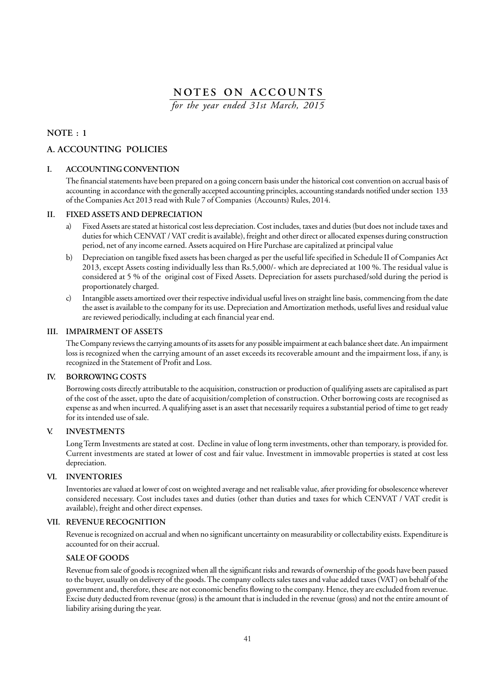*for the year ended 31st March, 2015*

## **NOTE : 1**

## **A. ACCOUNTING POLICIES**

#### **I. ACCOUNTING CONVENTION**

The financial statements have been prepared on a going concern basis under the historical cost convention on accrual basis of accounting in accordance with the generally accepted accounting principles, accounting standards notified under section 133 of the Companies Act 2013 read with Rule 7 of Companies (Accounts) Rules, 2014.

### **II. FIXED ASSETS AND DEPRECIATION**

- a) Fixed Assets are stated at historical cost less depreciation. Cost includes, taxes and duties (but does not include taxes and duties for which CENVAT / VAT credit is available), freight and other direct or allocated expenses during construction period, net of any income earned. Assets acquired on Hire Purchase are capitalized at principal value
- b) Depreciation on tangible fixed assets has been charged as per the useful life specified in Schedule II of Companies Act 2013, except Assets costing individually less than Rs.5,000/- which are depreciated at 100 %. The residual value is considered at 5 % of the original cost of Fixed Assets. Depreciation for assets purchased/sold during the period is proportionately charged.
- c) Intangible assets amortized over their respective individual useful lives on straight line basis, commencing from the date the asset is available to the company for its use. Depreciation and Amortization methods, useful lives and residual value are reviewed periodically, including at each financial year end.

#### **III. IMPAIRMENT OF ASSETS**

The Company reviews the carrying amounts of its assets for any possible impairment at each balance sheet date. An impairment loss is recognized when the carrying amount of an asset exceeds its recoverable amount and the impairment loss, if any, is recognized in the Statement of Profit and Loss.

#### **IV. BORROWING COSTS**

Borrowing costs directly attributable to the acquisition, construction or production of qualifying assets are capitalised as part of the cost of the asset, upto the date of acquisition/completion of construction. Other borrowing costs are recognised as expense as and when incurred. A qualifying asset is an asset that necessarily requires a substantial period of time to get ready for its intended use of sale.

#### **V. INVESTMENTS**

Long Term Investments are stated at cost. Decline in value of long term investments, other than temporary, is provided for. Current investments are stated at lower of cost and fair value. Investment in immovable properties is stated at cost less depreciation.

#### **VI. INVENTORIES**

Inventories are valued at lower of cost on weighted average and net realisable value, after providing for obsolescence wherever considered necessary. Cost includes taxes and duties (other than duties and taxes for which CENVAT / VAT credit is available), freight and other direct expenses.

#### **VII. REVENUE RECOGNITION**

Revenue is recognized on accrual and when no significant uncertainty on measurability or collectability exists. Expenditure is accounted for on their accrual.

#### **SALE OF GOODS**

Revenue from sale of goods is recognized when all the significant risks and rewards of ownership of the goods have been passed to the buyer, usually on delivery of the goods. The company collects sales taxes and value added taxes (VAT) on behalf of the government and, therefore, these are not economic benefits flowing to the company. Hence, they are excluded from revenue. Excise duty deducted from revenue (gross) is the amount that is included in the revenue (gross) and not the entire amount of liability arising during the year.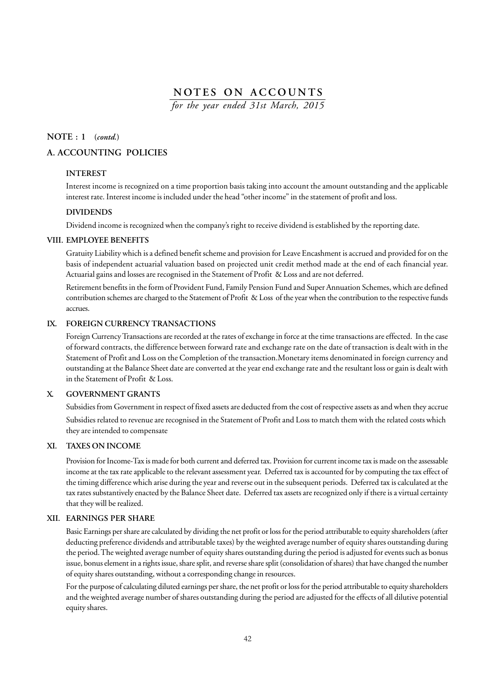*for the year ended 31st March, 2015*

#### **NOTE : 1 (***contd.***)**

## **A. ACCOUNTING POLICIES**

#### **INTEREST**

Interest income is recognized on a time proportion basis taking into account the amount outstanding and the applicable interest rate. Interest income is included under the head "other income" in the statement of profit and loss.

#### **DIVIDENDS**

Dividend income is recognized when the company's right to receive dividend is established by the reporting date.

#### **VIII. EMPLOYEE BENEFITS**

Gratuity Liability which is a defined benefit scheme and provision for Leave Encashment is accrued and provided for on the basis of independent actuarial valuation based on projected unit credit method made at the end of each financial year. Actuarial gains and losses are recognised in the Statement of Profit & Loss and are not deferred.

Retirement benefits in the form of Provident Fund, Family Pension Fund and Super Annuation Schemes, which are defined contribution schemes are charged to the Statement of Profit & Loss of the year when the contribution to the respective funds accrues.

## **IX. FOREIGN CURRENCY TRANSACTIONS**

Foreign Currency Transactions are recorded at the rates of exchange in force at the time transactions are effected. In the case of forward contracts, the difference between forward rate and exchange rate on the date of transaction is dealt with in the Statement of Profit and Loss on the Completion of the transaction.Monetary items denominated in foreign currency and outstanding at the Balance Sheet date are converted at the year end exchange rate and the resultant loss or gain is dealt with in the Statement of Profit & Loss.

#### **X. GOVERNMENT GRANTS**

Subsidies from Government in respect of fixed assets are deducted from the cost of respective assets as and when they accrue Subsidies related to revenue are recognised in the Statement of Profit and Loss to match them with the related costs which they are intended to compensate

#### **XI. TAXES ON INCOME**

Provision for Income-Tax is made for both current and deferred tax. Provision for current income tax is made on the assessable income at the tax rate applicable to the relevant assessment year. Deferred tax is accounted for by computing the tax effect of the timing difference which arise during the year and reverse out in the subsequent periods. Deferred tax is calculated at the tax rates substantively enacted by the Balance Sheet date. Deferred tax assets are recognized only if there is a virtual certainty that they will be realized.

#### **XII. EARNINGS PER SHARE**

Basic Earnings per share are calculated by dividing the net profit or loss for the period attributable to equity shareholders (after deducting preference dividends and attributable taxes) by the weighted average number of equity shares outstanding during the period. The weighted average number of equity shares outstanding during the period is adjusted for events such as bonus issue, bonus element in a rights issue, share split, and reverse share split (consolidation of shares) that have changed the number of equity shares outstanding, without a corresponding change in resources.

For the purpose of calculating diluted earnings per share, the net profit or loss for the period attributable to equity shareholders and the weighted average number of shares outstanding during the period are adjusted for the effects of all dilutive potential equity shares.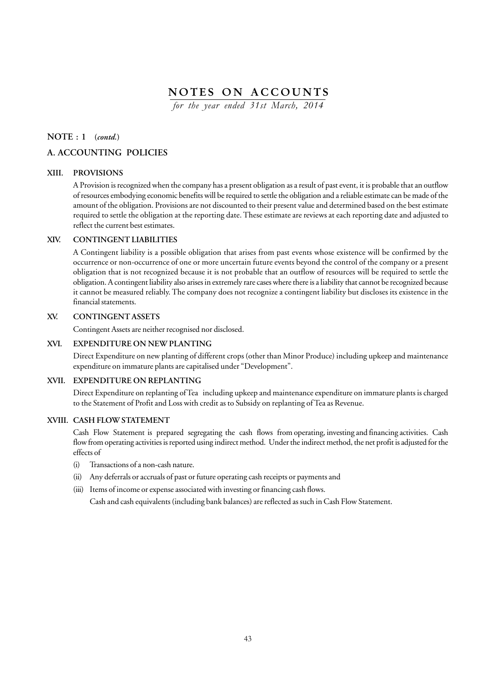*for the year ended 31st March, 2014*

## **NOTE : 1 (***contd.***)**

## **A. ACCOUNTING POLICIES**

#### **XIII. PROVISIONS**

A Provision is recognized when the company has a present obligation as a result of past event, it is probable that an outflow of resources embodying economic benefits will be required to settle the obligation and a reliable estimate can be made of the amount of the obligation. Provisions are not discounted to their present value and determined based on the best estimate required to settle the obligation at the reporting date. These estimate are reviews at each reporting date and adjusted to reflect the current best estimates.

#### **XIV. CONTINGENT LIABILITIES**

A Contingent liability is a possible obligation that arises from past events whose existence will be confirmed by the occurrence or non-occurrence of one or more uncertain future events beyond the control of the company or a present obligation that is not recognized because it is not probable that an outflow of resources will be required to settle the obligation. A contingent liability also arises in extremely rare cases where there is a liability that cannot be recognized because it cannot be measured reliably. The company does not recognize a contingent liability but discloses its existence in the financial statements.

## **XV. CONTINGENT ASSETS**

Contingent Assets are neither recognised nor disclosed.

#### **XVI. EXPENDITURE ON NEW PLANTING**

Direct Expenditure on new planting of different crops (other than Minor Produce) including upkeep and maintenance expenditure on immature plants are capitalised under "Development".

#### **XVII. EXPENDITURE ON REPLANTING**

Direct Expenditure on replanting of Tea including upkeep and maintenance expenditure on immature plants is charged to the Statement of Profit and Loss with credit as to Subsidy on replanting of Tea as Revenue.

#### **XVIII. CASH FLOW STATEMENT**

Cash Flow Statement is prepared segregating the cash flows from operating, investing and financing activities. Cash flow from operating activities is reported using indirect method. Under the indirect method, the net profit is adjusted for the effects of

- (i) Transactions of a non-cash nature.
- (ii) Any deferrals or accruals of past or future operating cash receipts or payments and
- (iii) Items of income or expense associated with investing or financing cash flows.

Cash and cash equivalents (including bank balances) are reflected as such in Cash Flow Statement.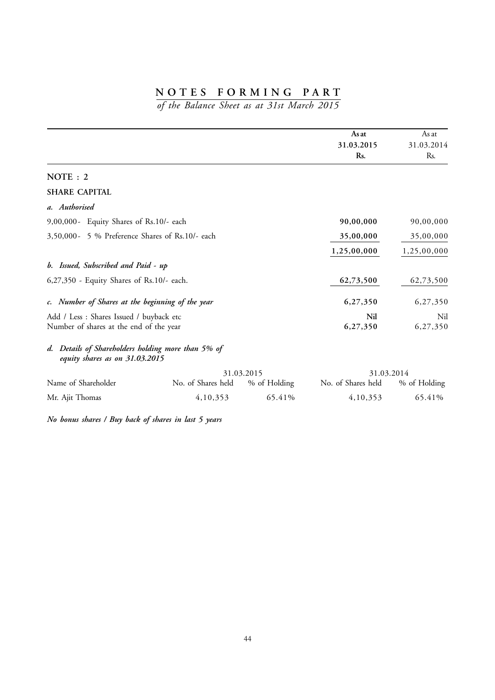*of the Balance Sheet as at 31st March 2015*

|                                                                                      |                    |              | As at              | As at        |
|--------------------------------------------------------------------------------------|--------------------|--------------|--------------------|--------------|
|                                                                                      |                    |              | 31.03.2015         | 31.03.2014   |
|                                                                                      |                    |              | Rs.                | Rs.          |
| NOTE: 2                                                                              |                    |              |                    |              |
| <b>SHARE CAPITAL</b>                                                                 |                    |              |                    |              |
| a. Authorised                                                                        |                    |              |                    |              |
| 9,00,000- Equity Shares of Rs.10/- each                                              |                    |              | 90,00,000          | 90,00,000    |
| 3,50,000- 5 % Preference Shares of Rs.10/- each                                      |                    |              | 35,00,000          | 35,00,000    |
|                                                                                      |                    |              | 1,25,00,000        | 1,25,00,000  |
| b. Issued, Subscribed and Paid - up                                                  |                    |              |                    |              |
| 6,27,350 - Equity Shares of Rs.10/- each.                                            |                    |              | 62,73,500          | 62,73,500    |
| c. Number of Shares at the beginning of the year                                     |                    |              | 6,27,350           | 6,27,350     |
| Add / Less : Shares Issued / buyback etc                                             |                    |              | Nil                | Nil          |
| Number of shares at the end of the year                                              |                    |              | 6,27,350           | 6,27,350     |
| d. Details of Shareholders holding more than 5% of<br>equity shares as on 31.03.2015 |                    |              |                    |              |
|                                                                                      |                    | 31.03.2015   | 31.03.2014         |              |
| Name of Shareholder                                                                  | No. of Shares held | % of Holding | No. of Shares held | % of Holding |
| Mr. Ajit Thomas                                                                      | 4,10,353           | 65.41%       | 4,10,353           | 65.41%       |

*No bonus shares / Buy back of shares in last 5 years*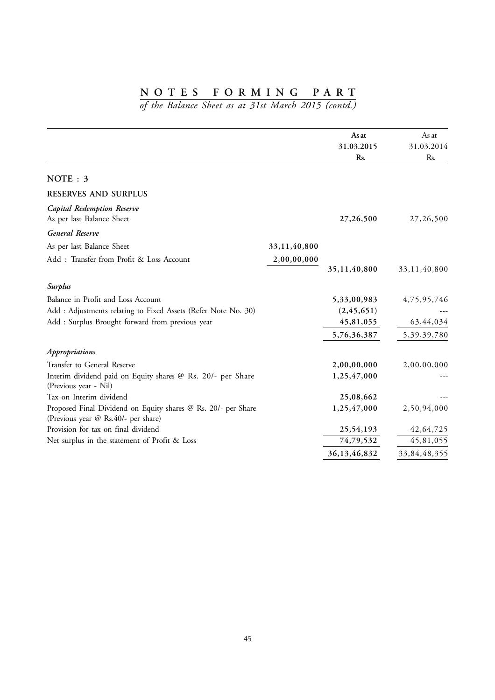|                                                                                                      |              | As at             | As at             |
|------------------------------------------------------------------------------------------------------|--------------|-------------------|-------------------|
|                                                                                                      |              | 31.03.2015<br>Rs. | 31.03.2014<br>Rs. |
| NOTE: 3                                                                                              |              |                   |                   |
| <b>RESERVES AND SURPLUS</b>                                                                          |              |                   |                   |
| <b>Capital Redemption Reserve</b><br>As per last Balance Sheet                                       |              | 27,26,500         | 27,26,500         |
| General Reserve                                                                                      |              |                   |                   |
| As per last Balance Sheet                                                                            | 33,11,40,800 |                   |                   |
| Add: Transfer from Profit & Loss Account                                                             | 2,00,00,000  | 35,11,40,800      | 33,11,40,800      |
| Surplus                                                                                              |              |                   |                   |
| Balance in Profit and Loss Account                                                                   |              | 5,33,00,983       | 4,75,95,746       |
| Add : Adjustments relating to Fixed Assets (Refer Note No. 30)                                       |              | (2, 45, 651)      |                   |
| Add : Surplus Brought forward from previous year                                                     |              | 45,81,055         | 63,44,034         |
|                                                                                                      |              | 5,76,36,387       | 5,39,39,780       |
| Appropriations                                                                                       |              |                   |                   |
| Transfer to General Reserve                                                                          |              | 2,00,00,000       | 2,00,00,000       |
| Interim dividend paid on Equity shares @ Rs. 20/- per Share<br>(Previous year - Nil)                 |              | 1,25,47,000       |                   |
| Tax on Interim dividend                                                                              |              | 25,08,662         |                   |
| Proposed Final Dividend on Equity shares @ Rs. 20/- per Share<br>(Previous year @ Rs.40/- per share) |              | 1,25,47,000       | 2,50,94,000       |
| Provision for tax on final dividend                                                                  |              | 25,54,193         | 42,64,725         |
| Net surplus in the statement of Profit & Loss                                                        |              | 74,79,532         | 45,81,055         |
|                                                                                                      |              | 36,13,46,832      | 33,84,48,355      |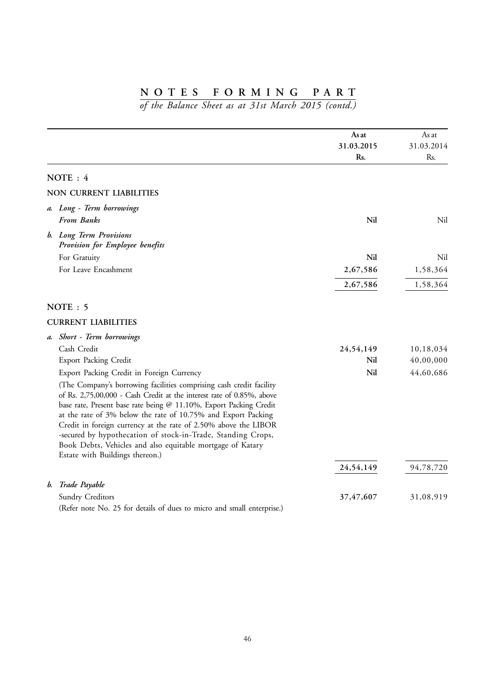|    |                                                                                                                                     | As at<br>31.03.2015<br>Rs. | As at<br>31.03.2014<br>Rs. |
|----|-------------------------------------------------------------------------------------------------------------------------------------|----------------------------|----------------------------|
|    | NOTE: 4                                                                                                                             |                            |                            |
|    | <b>NON CURRENT LIABILITIES</b>                                                                                                      |                            |                            |
|    | a. Long - Term borrowings                                                                                                           |                            |                            |
|    | <b>From Banks</b>                                                                                                                   | Nil                        | Nil                        |
|    | b. Long Term Provisions<br>Provision for Employee benefits                                                                          |                            |                            |
|    | For Gratuity                                                                                                                        | Nil                        | Nil                        |
|    | For Leave Encashment                                                                                                                | 2,67,586                   | 1,58,364                   |
|    |                                                                                                                                     | 2,67,586                   | 1,58,364                   |
|    | NOTE: 5                                                                                                                             |                            |                            |
|    | <b>CURRENT LIABILITIES</b>                                                                                                          |                            |                            |
|    | a. Short - Term borrowings                                                                                                          |                            |                            |
|    | Cash Credit                                                                                                                         | 24,54,149                  | 10,18,034                  |
|    | <b>Export Packing Credit</b>                                                                                                        | Nil                        | 40,00,000                  |
|    | Export Packing Credit in Foreign Currency                                                                                           | Nil                        | 44,60,686                  |
|    | (The Company's borrowing facilities comprising cash credit facility                                                                 |                            |                            |
|    | of Rs. 2,75,00,000 - Cash Credit at the interest rate of 0.85%, above                                                               |                            |                            |
|    | base rate, Present base rate being @ 11.10%, Export Packing Credit<br>at the rate of 3% below the rate of 10.75% and Export Packing |                            |                            |
|    | Credit in foreign currency at the rate of 2.50% above the LIBOR                                                                     |                            |                            |
|    | -secured by hypothecation of stock-in-Trade, Standing Crops,                                                                        |                            |                            |
|    | Book Debts, Vehicles and also equitable mortgage of Katary                                                                          |                            |                            |
|    | Estate with Buildings thereon.)                                                                                                     |                            |                            |
|    |                                                                                                                                     | 24,54,149                  | 94,78,720                  |
| b. | Trade Payable                                                                                                                       |                            |                            |
|    | <b>Sundry Creditors</b>                                                                                                             | 37,47,607                  | 31,08,919                  |
|    | (Refer note No. 25 for details of dues to micro and small enterprise.)                                                              |                            |                            |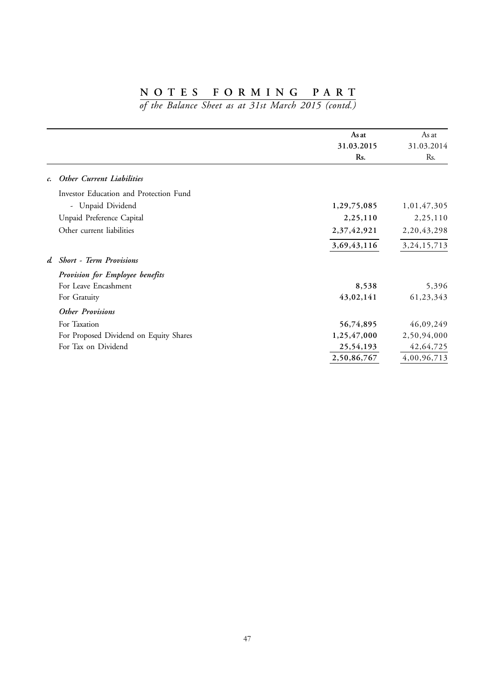|                                 |                                        | As at<br>31.03.2015 | As at<br>31.03.2014 |
|---------------------------------|----------------------------------------|---------------------|---------------------|
|                                 |                                        | Rs.                 | Rs.                 |
| c. Other Current Liabilities    |                                        |                     |                     |
|                                 | Investor Education and Protection Fund |                     |                     |
| - Unpaid Dividend               |                                        | 1,29,75,085         | 1,01,47,305         |
| Unpaid Preference Capital       |                                        | 2,25,110            | 2,25,110            |
| Other current liabilities       |                                        | 2,37,42,921         | 2, 20, 43, 298      |
|                                 |                                        | 3,69,43,116         | 3, 24, 15, 713      |
| d. Short - Term Provisions      |                                        |                     |                     |
| Provision for Employee benefits |                                        |                     |                     |
| For Leave Encashment            |                                        | 8,538               | 5,396               |
| For Gratuity                    |                                        | 43,02,141           | 61,23,343           |
| <b>Other Provisions</b>         |                                        |                     |                     |
| For Taxation                    |                                        | 56,74,895           | 46,09,249           |
|                                 | For Proposed Dividend on Equity Shares | 1,25,47,000         | 2,50,94,000         |
| For Tax on Dividend             |                                        | 25,54,193           | 42,64,725           |
|                                 |                                        | 2,50,86,767         | 4,00,96,713         |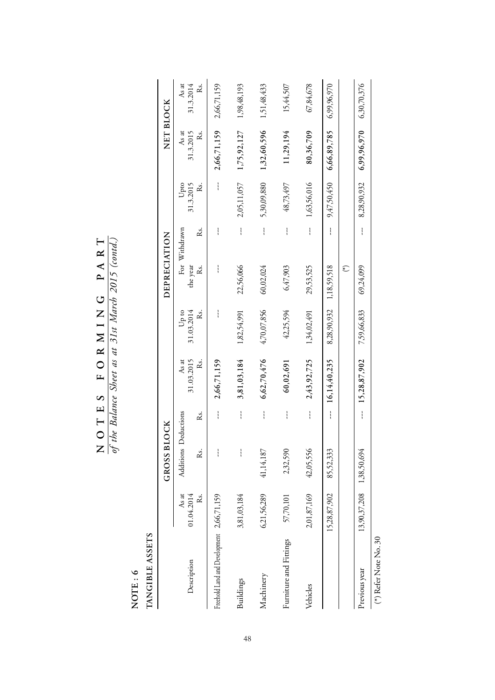$N$  O T E S F O R M I N G P A R T<br>of the Balance Sheet as at 31st March 2015 (contd.) **NOTES FORMING PART**

*of the Balance Sheet as at 31st March 2015 (contd.)*

NOTE : 6<br>TANGIBLE ASSETS **NOTE : 6**

**TANGIBLE ASSETS**

|                                           |                          | BLOCK<br>GROSS       |               |                  |                  | DEPRECIATION   |               |                 | NET BLOCK                   |                  |
|-------------------------------------------|--------------------------|----------------------|---------------|------------------|------------------|----------------|---------------|-----------------|-----------------------------|------------------|
|                                           | As at                    | Additions Deductions |               | As at            | on d∏            | For Withdrawn  |               | Upto            | As at                       | As at            |
| Description                               | 01.04.2014<br>Řs.        | ಜೆ                   | Rs.           | 31.03.2015<br>Ř. | 31.03.2014<br>Ř. | the year<br>Ř. | Rs.           | 31.3.2015<br>ž. | 31.3.2015<br>Řs.            | Řs.<br>31.3.2014 |
| Freehold Land and Development 2,66,71,159 |                          |                      | ļ             | 2,66,71,159      | ļ                | ļ              | ì             | $\mathbf{I}$    | 2,66,71,159                 | 2,66,71,159      |
| Buildings                                 | 3,81,03,184              | ł                    | ļ             | 3,81,03,184      | 1,82,54,991      | 22,56,066      | $\mathbf{I}$  | 2,05,11,057     | 1,75,92,127                 | 1,98,48,193      |
| Machinery                                 | 6,21,56,289              | 41,14,187            | ļ             | 6,62,70,476      | 4,70,07,856      | 60,02,024      | $\mathbf{I}$  | 5,30,09,880     | 1,32,60,596                 | 1,51,48,433      |
| Furniture and Fittings                    | 57,70,101                | 2,32,590             |               | 60,02,691        | 42,25,594        | 6,47,903       |               | 48,73,497       | 11,29,194                   | 15,44,507        |
| Vehicles                                  | 2,01,87,169              | 42,05,556            | $\mathbf{I}$  | 2,43,92,725      | 1,34,02,491      | 29,53,525      | $\mathbf{I}$  | 1,63,56,016     | 80,36,709                   | 67,84,678        |
|                                           | 15,28,87,902             | 85,52,333            | $\frac{1}{1}$ | 16,14,40,235     | 8,28,90,932      | 1,18,59,518    | $\frac{1}{1}$ | 9,47,50,450     | 6,66,89,785                 | 6,99,96,970      |
|                                           |                          |                      |               |                  |                  | €              |               |                 |                             |                  |
| Previous year                             | 13,90,37,208 1,38,50,694 |                      |               | $-15,28,87,902$  | 7,59,66,833      | 69,24,099      |               | 8,28,90,932     | $6,99,96,970$ $6,30,70,376$ |                  |

 $\spadesuit$  Refer Note No. 30 (\*) Refer Note No. 30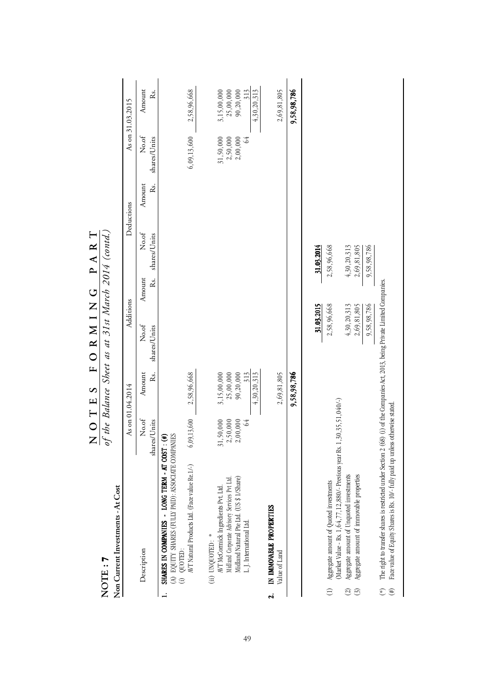|                              | NOTE: 7                                                                                                                                                                                                           |                            |                          | of the Balance Sheet as at 31st March 2014 (contd.) |               |                       |               |                       |                              |
|------------------------------|-------------------------------------------------------------------------------------------------------------------------------------------------------------------------------------------------------------------|----------------------------|--------------------------|-----------------------------------------------------|---------------|-----------------------|---------------|-----------------------|------------------------------|
|                              | Non Current Investments - At Cost                                                                                                                                                                                 |                            |                          |                                                     |               |                       |               |                       |                              |
|                              |                                                                                                                                                                                                                   |                            | As on 01.04.2014         | Additions                                           |               |                       | Deductions    |                       | As on 31.03.2015             |
|                              | Description                                                                                                                                                                                                       | No.of<br>shares/Units<br>I | Amount<br>Rs.            | No.of<br>shares/Units                               | Amount<br>Ŕs. | No.of<br>shares/Units | Řs.<br>Amount | No.of<br>shares/Units | Amount<br>Rs.                |
|                              | (A) EQUITY SHARES (FULLY PAID): ASSOCIATE COMPANIES<br>SHARES IN COMPANIES - LONG TERM - AT COST: (#)                                                                                                             |                            |                          |                                                     |               |                       |               |                       |                              |
|                              | AVT Natural Products Ltd. (Face value Re. 1/-)<br>$(i)$ QUOTED:                                                                                                                                                   | (6,09,13,600)              | 2,58,96,668              |                                                     |               |                       |               | 6,09,13,600           | 2,58,96,668                  |
|                              | (ii) $UNOUOTED$ : $\ast$                                                                                                                                                                                          |                            |                          |                                                     |               |                       |               |                       |                              |
|                              | Midland Corporate Advisory Services Pvt Ltd<br>AVT McCormick Ingredients Pvt. Ltd.                                                                                                                                | 31,50,000<br>2,50,000      | 25,00,000<br>3,15,00,000 |                                                     |               |                       |               | 31,50,000<br>2,50,000 | $3,15,00,000$<br>$25,00,000$ |
|                              | Midland Natural Pte Ltd. (US \$ 1/Share)                                                                                                                                                                          | 2,00,000                   | 90,20,000                |                                                     |               |                       |               | 2,00,000              | 90,20,000                    |
|                              | L. J. International Ltd.                                                                                                                                                                                          | 64                         | 4,30,20,313<br>313       |                                                     |               |                       |               | 64                    | 313<br>4,30,20,313           |
| $\ddot{\mathbf{a}}$          | IN IMMOVABLE PROPERTIES                                                                                                                                                                                           |                            |                          |                                                     |               |                       |               |                       |                              |
|                              | Value of Land                                                                                                                                                                                                     |                            | 2,69,81,805              |                                                     |               |                       |               |                       | 2,69,81,805                  |
|                              |                                                                                                                                                                                                                   |                            | 9,58,98,786              |                                                     |               |                       |               |                       | 9,58,98,786                  |
|                              |                                                                                                                                                                                                                   |                            |                          | 31.03.2015                                          |               | 31.03.2014            |               |                       |                              |
|                              | (Market Value - Rs. 1,64,77,12,880/- Previous year Rs. 1,30,35,51,040/-)<br>Aggregate amount of Quoted investments                                                                                                |                            |                          | 2,58,96,668                                         |               | 2,58,96,668           |               |                       |                              |
| $\odot$                      | Aggregate amount of Unquoted investments                                                                                                                                                                          |                            |                          | 4,30,20,313                                         |               | 4,30,20,313           |               |                       |                              |
| $\odot$                      | Aggregate amount of immovable properties                                                                                                                                                                          |                            |                          | 2,69,81,805                                         |               | 2,69,81,805           |               |                       |                              |
|                              |                                                                                                                                                                                                                   |                            |                          | 9,58,98,786                                         |               | 9,58,98,786           |               |                       |                              |
| $\tag{H}$<br>$\widetilde{f}$ | The right to transfer shares is restricted under Section 2 (68) (i) of the Companies Act, 2013, being Private Limited Companies<br>Face value of Equity Shares is Rs. 10/- fully paid up unless otherwise stated. |                            |                          |                                                     |               |                       |               |                       |                              |

PART **NOTES FORMING PART** FORMING NOTES

 $\overline{\phantom{a}}$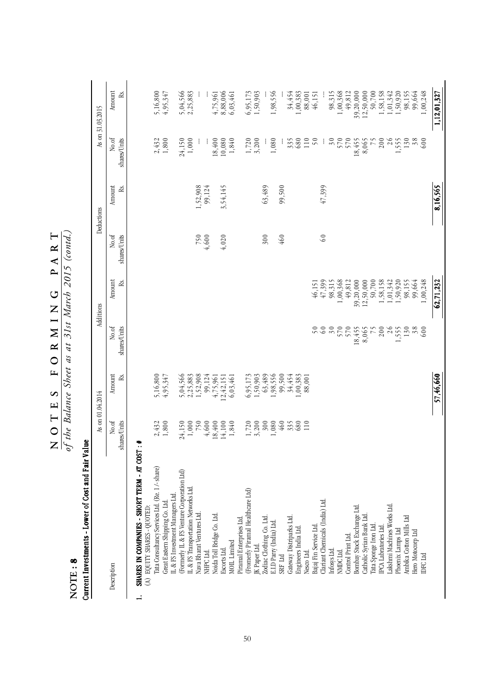| NOTE: 8                                                                        |                       |              | of the Balance Sheet as at 31st March 2015 (contd.) |              |                       |               |                       |                          |
|--------------------------------------------------------------------------------|-----------------------|--------------|-----------------------------------------------------|--------------|-----------------------|---------------|-----------------------|--------------------------|
| Current Investments - Lower of Cost and Fair Value                             |                       |              |                                                     |              |                       |               |                       |                          |
|                                                                                | As on 01.04.2014      |              |                                                     | Additions    |                       | Deductions    |                       | As on 31.03.2015         |
| Description                                                                    | No.of<br>shares/Units | Amount<br>ß. | No.of<br>shares/Units                               | Amount<br>ß. | No.of<br>shares/Units | Amount<br>RS. | No.of<br>shares/Units | Amount<br>ß.             |
| SHARES IN COMPANIES - SHORT TERM - AT COST<br>(A) EQUITY SHARES - QUOTED:<br>≓ | <b>#</b>              |              |                                                     |              |                       |               |                       |                          |
|                                                                                |                       |              |                                                     |              |                       |               |                       |                          |
| Tata Consultancy Services Ltd. (Re. 1/- share)                                 | 2,432                 | 5,16,800     |                                                     |              |                       |               | 2,432                 | 5,16,800                 |
| IL & FS Investment Managers Ltd.<br>Great Eastern Shipping Co. Ltd             | 1,800                 | 4,95,347     |                                                     |              |                       |               | $1,800$               | 4,95,347                 |
| (Formerly IL & FS Venture Corporation Ltd)                                     | 24,150                | 5,04,566     |                                                     |              |                       |               | 24,150                | 5,04,566                 |
| IL & FS Transportation Networks Ltd.                                           | $1,000$               | 2,25,883     |                                                     |              |                       |               | $1,000$               | 2,25,883                 |
| Nava Bharat Ventures Ltd.                                                      | 750                   | 1,52,908     |                                                     |              | 750                   | 1,52,908      |                       |                          |
| NHPC Ltd.                                                                      | 4,600                 | 99,124       |                                                     |              | 4,600                 | 99,124        |                       |                          |
| Noida Toll Bridge Co. Ltd.                                                     | 18,400                | 4,75,961     |                                                     |              |                       |               | 18,400                | 4,75,961                 |
| Escorts Ltd.                                                                   | 14,100                | 12,42,151    |                                                     |              | 4,020                 | 3,54,145      | 10,080                | 8,88,006                 |
| MOIL Limited                                                                   | 1,840                 | 6,03,461     |                                                     |              |                       |               | 1,840                 | 6,03,461                 |
| Piramal Enterprises Ltd.                                                       |                       |              |                                                     |              |                       |               |                       |                          |
| (Fromerly Piramal Healthcare Ltd)                                              | 1,720                 | 6,95,173     |                                                     |              |                       |               | 1,720                 | $6,95,173$<br>$1,50,903$ |
| IK Paper Ltd.                                                                  | 3,200                 | 1,50,903     |                                                     |              |                       |               | 3,200                 |                          |
| Zodiac Clothing Co. Ltd.                                                       | 300                   | 63,489       |                                                     |              | 300                   | 63,489        |                       |                          |
| E.I.D Parry (India) Ltd.                                                       | 1,080                 | 1,98,556     |                                                     |              |                       |               | $1,080$               | 1,98,556                 |
| ${\rm SRF}$ Ltd                                                                | 460                   | 99,500       |                                                     |              | 460                   | 99,500        |                       |                          |
| Gateway Distriparks Ltd.                                                       | 335                   | 34,454       |                                                     |              |                       |               | 335                   | 34,454                   |
| Engineers India Ltd.                                                           | 680                   | 1,00,383     |                                                     |              |                       |               | 680                   | 1,00,383                 |
| Nesco Ltd.                                                                     | 110                   | 88,001       |                                                     |              |                       |               | 110                   | 88,001                   |
| Bajaj Fin Service Ltd                                                          |                       |              | 50                                                  | 46,151       |                       |               | 50                    | 46,151                   |
| Clariant Chemicals (India) Ltd.                                                |                       |              | $\infty$                                            | 47,399       | 60                    | 47,399        |                       |                          |
| Infosys Ltd.                                                                   |                       |              | 30                                                  | 98,315       |                       |               | $30\,$                | 98,315                   |
| NMDCLtd.                                                                       |                       |              | 570                                                 | 1,00,368     |                       |               | 570                   | 1,00,368                 |
| Control Print Ltd.                                                             |                       |              |                                                     | 49,812       |                       |               |                       | 49,812                   |
| Bombay Stock Exchange Ltd.                                                     |                       |              | 18,455                                              | 39,20,000    |                       |               | 18,455                | 39,20,000                |
| Catholic Syrian Bank Ltd                                                       |                       |              | 8,065                                               | 12,50,000    |                       |               | 8,065                 | 12,50,000                |
| l'ata Sponge Iron Ltd.                                                         |                       |              | 75                                                  | 50,700       |                       |               | 75                    | 50,700                   |
| IPCA Labratories Ltd                                                           |                       |              | 200                                                 | 1,58,158     |                       |               | 200                   | 1,58,158                 |
| Lakshmi Machines Works Ltd.                                                    |                       |              | 26                                                  | 1,01,342     |                       |               | 26                    | 1,01,342                 |
| Phoenix Lamps Ltd                                                              |                       |              | 1,555                                               | 1,50,920     |                       |               | 1,555                 | 1,50,920                 |
| Ambika Cotton Mills Ltd                                                        |                       |              | $\begin{array}{c} 130 \\ 38 \\ 600 \end{array}$     | 98,155       |                       |               | $\frac{130}{380}$     | 98,155<br>99,664         |
| Hero Motocorp Ltd                                                              |                       |              |                                                     | 99,664       |                       |               |                       |                          |
| IDFC Ltd                                                                       |                       |              |                                                     | 1,00,248     |                       |               |                       | 1,00,248                 |
|                                                                                |                       | 57,46,660    |                                                     | 62.71.232    |                       | 8,16,565      |                       | 1,12,01,327              |

 $\frac{N}{\omega f}$  ihe Balance Sheet as at 31st March 2015 (contd.) **NOTES FORMING PART**

*of the Balance Sheet as at 31st March 2015 (contd.)*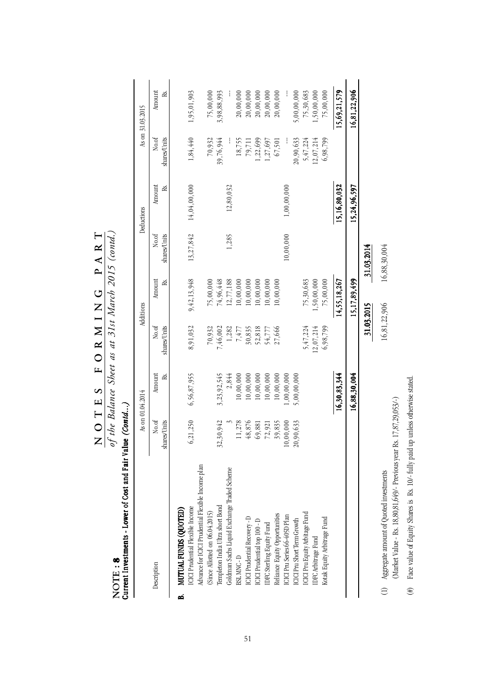| 13,27,842<br>1,285<br>10,00,000<br>No.of<br>shares/Units<br>31.03.2014<br>15,17,89,499<br>9,42,13,948<br>1,50,00,000<br>75,00,000<br>14,55,18,267<br>74,96,448<br>12,77,188<br>0,00,000<br>0,00,000<br>75,30,683<br>75,00,000<br>0,00,000<br>10,00,000<br>0,00,000<br>Amount<br>ě.<br>31.03.2015<br>No.of<br>shares/Units<br>8,91,032<br>5,47,224<br>30,835<br>52,818<br>12,07,214<br>6,98,799<br>70,932<br>7,46,002<br>1,282<br>7,477<br>27,666<br>54,777<br>6,56,87,955<br>3, 23, 92, 545<br>10,00,000<br>16,30,83,344<br>16,88,30,004<br>10,00,000<br>10,00,000<br>10,00,000<br>10,00,000<br>1,00,00,000<br>5,00,00,000<br>Amount<br>Rs.<br>2,844<br>No.of<br>6,21,250<br>shares/Units<br>32,30,942<br>11,278<br>48,876<br>39,835<br>10,00,000<br>20,90,633<br>69,881<br>72,921<br>Advance for ICICI Prudential Flexible Income plan<br>Goldman Sachs Liquid Exchange Traded Scheme<br>Templeton India Ultra short Bond<br>ICICI Prudential Flexible Income<br>MUTUAL FUNDS (QUOTED)<br>(Since Alotted on 06.04.2015)<br>ICICI Pru Equity Arbitage Fund<br>Reliance Equity Opportunities<br>ICICI Pru Series 66-405D Plan<br>ICICI Prudential Recovery - D<br>Kotak Equity Arbitrage Fund<br><b>ICICI</b> Pru Short Term Growth<br>ICICI Prudential top 100 - D<br>IDFC Sterling Equity Fund<br>IDFC Arbitrage Fund<br>BSL MNC-D<br>Description<br>ø | As on 01.04.2014 | Additions | Deductions   |                       | As on 31.03.2015 |
|---------------------------------------------------------------------------------------------------------------------------------------------------------------------------------------------------------------------------------------------------------------------------------------------------------------------------------------------------------------------------------------------------------------------------------------------------------------------------------------------------------------------------------------------------------------------------------------------------------------------------------------------------------------------------------------------------------------------------------------------------------------------------------------------------------------------------------------------------------------------------------------------------------------------------------------------------------------------------------------------------------------------------------------------------------------------------------------------------------------------------------------------------------------------------------------------------------------------------------------------------------------------------------------------------------------------------------------------------------|------------------|-----------|--------------|-----------------------|------------------|
|                                                                                                                                                                                                                                                                                                                                                                                                                                                                                                                                                                                                                                                                                                                                                                                                                                                                                                                                                                                                                                                                                                                                                                                                                                                                                                                                                         |                  |           | Amount<br>ř. | No.of<br>shares/Units | Amount<br>Rs.    |
|                                                                                                                                                                                                                                                                                                                                                                                                                                                                                                                                                                                                                                                                                                                                                                                                                                                                                                                                                                                                                                                                                                                                                                                                                                                                                                                                                         |                  |           |              |                       |                  |
|                                                                                                                                                                                                                                                                                                                                                                                                                                                                                                                                                                                                                                                                                                                                                                                                                                                                                                                                                                                                                                                                                                                                                                                                                                                                                                                                                         |                  |           | 14,04,00,000 | 1,84,440              | 1,95,01,903      |
|                                                                                                                                                                                                                                                                                                                                                                                                                                                                                                                                                                                                                                                                                                                                                                                                                                                                                                                                                                                                                                                                                                                                                                                                                                                                                                                                                         |                  |           |              |                       |                  |
|                                                                                                                                                                                                                                                                                                                                                                                                                                                                                                                                                                                                                                                                                                                                                                                                                                                                                                                                                                                                                                                                                                                                                                                                                                                                                                                                                         |                  |           |              | 70,932                | 75,00,000        |
|                                                                                                                                                                                                                                                                                                                                                                                                                                                                                                                                                                                                                                                                                                                                                                                                                                                                                                                                                                                                                                                                                                                                                                                                                                                                                                                                                         |                  |           |              | 39,76,944             | 3,98,88,993      |
|                                                                                                                                                                                                                                                                                                                                                                                                                                                                                                                                                                                                                                                                                                                                                                                                                                                                                                                                                                                                                                                                                                                                                                                                                                                                                                                                                         |                  |           | 12,80,032    |                       |                  |
|                                                                                                                                                                                                                                                                                                                                                                                                                                                                                                                                                                                                                                                                                                                                                                                                                                                                                                                                                                                                                                                                                                                                                                                                                                                                                                                                                         |                  |           |              | 18,755                | 20,00,000        |
|                                                                                                                                                                                                                                                                                                                                                                                                                                                                                                                                                                                                                                                                                                                                                                                                                                                                                                                                                                                                                                                                                                                                                                                                                                                                                                                                                         |                  |           |              | 79,711                | 20,00,000        |
|                                                                                                                                                                                                                                                                                                                                                                                                                                                                                                                                                                                                                                                                                                                                                                                                                                                                                                                                                                                                                                                                                                                                                                                                                                                                                                                                                         |                  |           |              | 1,22,699              | 20,00,000        |
|                                                                                                                                                                                                                                                                                                                                                                                                                                                                                                                                                                                                                                                                                                                                                                                                                                                                                                                                                                                                                                                                                                                                                                                                                                                                                                                                                         |                  |           |              | 1,27,697              | 20,00,000        |
|                                                                                                                                                                                                                                                                                                                                                                                                                                                                                                                                                                                                                                                                                                                                                                                                                                                                                                                                                                                                                                                                                                                                                                                                                                                                                                                                                         |                  |           |              | 67,501                | 20,00,000        |
|                                                                                                                                                                                                                                                                                                                                                                                                                                                                                                                                                                                                                                                                                                                                                                                                                                                                                                                                                                                                                                                                                                                                                                                                                                                                                                                                                         |                  |           | 1,00,00,000  |                       |                  |
|                                                                                                                                                                                                                                                                                                                                                                                                                                                                                                                                                                                                                                                                                                                                                                                                                                                                                                                                                                                                                                                                                                                                                                                                                                                                                                                                                         |                  |           |              | 20,90,633             | 5,00,00,000      |
|                                                                                                                                                                                                                                                                                                                                                                                                                                                                                                                                                                                                                                                                                                                                                                                                                                                                                                                                                                                                                                                                                                                                                                                                                                                                                                                                                         |                  |           |              | 5,47,224              | 75,30,683        |
|                                                                                                                                                                                                                                                                                                                                                                                                                                                                                                                                                                                                                                                                                                                                                                                                                                                                                                                                                                                                                                                                                                                                                                                                                                                                                                                                                         |                  |           |              | 12,07,214             | 1,50,00,000      |
|                                                                                                                                                                                                                                                                                                                                                                                                                                                                                                                                                                                                                                                                                                                                                                                                                                                                                                                                                                                                                                                                                                                                                                                                                                                                                                                                                         |                  |           |              | 6,98,799              | 75,00,000        |
|                                                                                                                                                                                                                                                                                                                                                                                                                                                                                                                                                                                                                                                                                                                                                                                                                                                                                                                                                                                                                                                                                                                                                                                                                                                                                                                                                         |                  |           | 15,16,80,032 |                       | 15,69,21,579     |
|                                                                                                                                                                                                                                                                                                                                                                                                                                                                                                                                                                                                                                                                                                                                                                                                                                                                                                                                                                                                                                                                                                                                                                                                                                                                                                                                                         |                  |           | 15,24,96,597 |                       | 16,81,22,906     |
|                                                                                                                                                                                                                                                                                                                                                                                                                                                                                                                                                                                                                                                                                                                                                                                                                                                                                                                                                                                                                                                                                                                                                                                                                                                                                                                                                         |                  |           |              |                       |                  |
| 16,88,30,004<br>16,81,22,906<br>Aggregate amount of Quoted investments                                                                                                                                                                                                                                                                                                                                                                                                                                                                                                                                                                                                                                                                                                                                                                                                                                                                                                                                                                                                                                                                                                                                                                                                                                                                                  |                  |           |              |                       |                  |
| (Market Value - Rs. 18,80,81,649/- Previous year Rs. 17,87,29,053/-)                                                                                                                                                                                                                                                                                                                                                                                                                                                                                                                                                                                                                                                                                                                                                                                                                                                                                                                                                                                                                                                                                                                                                                                                                                                                                    |                  |           |              |                       |                  |

(#) Face value of Equity Shares is Rs. 10/- fully paid up unless otherwise stated.

(#) Face value of Equity Shares is Rs. 10/- fully paid up unless otherwise stated.

 $\frac{N \text{ O T E S F O R M 1 N G P A R T}}{of the Balance Sheet as at 31st Markb 2015 (contd.)}$ *of the Balance Sheet as at 31st March 2015 (contd.)* **NOTES FORMING PART**

> **NOTE : NOTE** : **8**<br>Current Investor

> > 51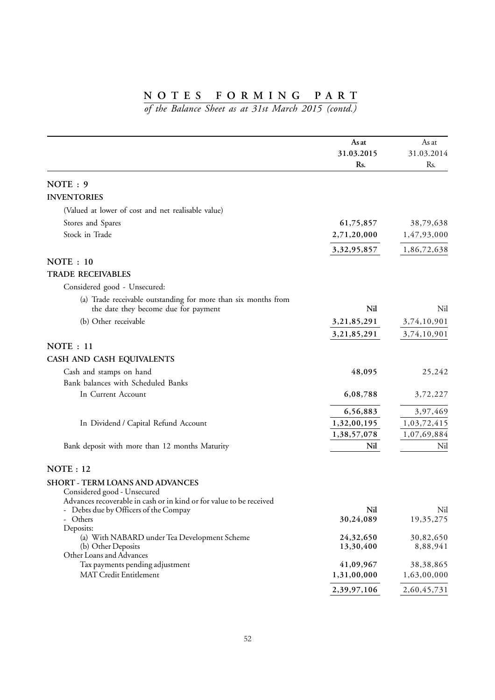|                                                                                                            | As at<br>31.03.2015<br>Rs. | As at<br>31.03.2014<br>Rs. |
|------------------------------------------------------------------------------------------------------------|----------------------------|----------------------------|
| NOTE: 9                                                                                                    |                            |                            |
| <b>INVENTORIES</b>                                                                                         |                            |                            |
| (Valued at lower of cost and net realisable value)                                                         |                            |                            |
| Stores and Spares                                                                                          | 61,75,857                  | 38,79,638                  |
| Stock in Trade                                                                                             | 2,71,20,000                | 1,47,93,000                |
|                                                                                                            | 3, 32, 95, 857             | 1,86,72,638                |
| NOTE : 10                                                                                                  |                            |                            |
| <b>TRADE RECEIVABLES</b>                                                                                   |                            |                            |
| Considered good - Unsecured:                                                                               |                            |                            |
| (a) Trade receivable outstanding for more than six months from                                             |                            |                            |
| the date they become due for payment                                                                       | Nil                        | Nil                        |
| (b) Other receivable                                                                                       | 3, 21, 85, 291             | 3,74,10,901                |
|                                                                                                            | 3, 21, 85, 291             | 3,74,10,901                |
| NOTE: 11                                                                                                   |                            |                            |
| CASH AND CASH EQUIVALENTS                                                                                  |                            |                            |
| Cash and stamps on hand                                                                                    | 48,095                     | 25,242                     |
| Bank balances with Scheduled Banks                                                                         |                            |                            |
| In Current Account                                                                                         | 6,08,788                   | 3,72,227                   |
|                                                                                                            | 6,56,883                   | 3,97,469                   |
| In Dividend / Capital Refund Account                                                                       | 1,32,00,195                | 1,03,72,415                |
|                                                                                                            | 1,38,57,078                | 1,07,69,884                |
| Bank deposit with more than 12 months Maturity                                                             | Nil                        | Nil                        |
| NOTE: 12                                                                                                   |                            |                            |
| <b>SHORT - TERM LOANS AND ADVANCES</b>                                                                     |                            |                            |
| Considered good - Unsecured                                                                                |                            |                            |
| Advances recoverable in cash or in kind or for value to be received<br>Debts due by Officers of the Compay | Nil                        | Nil                        |
| Others                                                                                                     | 30,24,089                  | 19,35,275                  |
| Deposits:                                                                                                  |                            |                            |
| (a) With NABARD under Tea Development Scheme<br>(b) Other Deposits                                         | 24,32,650<br>13,30,400     | 30,82,650<br>8,88,941      |
| Other Loans and Advances                                                                                   |                            |                            |
| Tax payments pending adjustment                                                                            | 41,09,967                  | 38,38,865                  |
| MAT Credit Entitlement                                                                                     | 1,31,00,000                | 1,63,00,000                |
|                                                                                                            | 2,39,97,106                | 2,60,45,731                |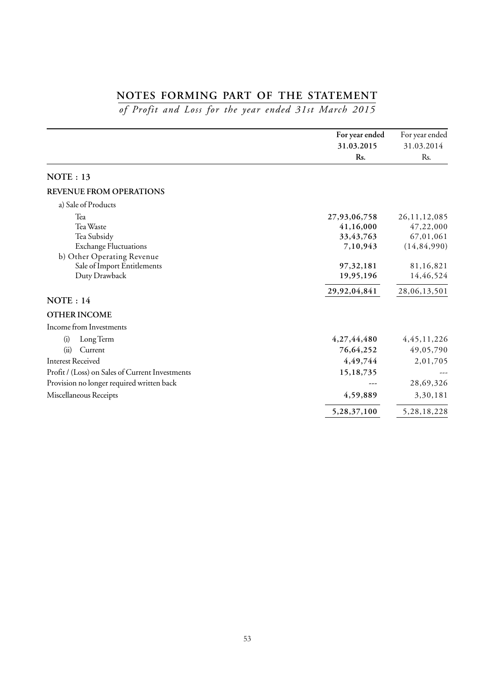# **NOTES FORMING PART OF THE STATEMENT**

*of Profit and Loss for the year ended 31st March 2015*

|                                                                                                                                                                                           | For year ended                                                  | For year ended                                                   |
|-------------------------------------------------------------------------------------------------------------------------------------------------------------------------------------------|-----------------------------------------------------------------|------------------------------------------------------------------|
|                                                                                                                                                                                           | 31.03.2015                                                      | 31.03.2014                                                       |
|                                                                                                                                                                                           | Rs.                                                             | Rs.                                                              |
| NOTE: 13                                                                                                                                                                                  |                                                                 |                                                                  |
| <b>REVENUE FROM OPERATIONS</b>                                                                                                                                                            |                                                                 |                                                                  |
| a) Sale of Products                                                                                                                                                                       |                                                                 |                                                                  |
| Tea<br>Tea Waste<br>Tea Subsidy<br><b>Exchange Fluctuations</b><br>b) Other Operating Revenue                                                                                             | 27,93,06,758<br>41,16,000<br>33, 43, 763<br>7,10,943            | 26, 11, 12, 085<br>47,22,000<br>67,01,061<br>(14, 84, 990)       |
| Sale of Import Entitlements<br>Duty Drawback                                                                                                                                              | 97, 32, 181<br>19,95,196                                        | 81,16,821<br>14,46,524                                           |
| NOTE: 14                                                                                                                                                                                  | 29,92,04,841                                                    | 28,06,13,501                                                     |
| <b>OTHER INCOME</b>                                                                                                                                                                       |                                                                 |                                                                  |
| Income from Investments                                                                                                                                                                   |                                                                 |                                                                  |
| Long Term<br>(i)<br>(ii)<br>Current<br><b>Interest Received</b><br>Profit / (Loss) on Sales of Current Investments<br>Provision no longer required written back<br>Miscellaneous Receipts | 4,27,44,480<br>76,64,252<br>4,49,744<br>15, 18, 735<br>4,59,889 | 4, 45, 11, 226<br>49,05,790<br>2,01,705<br>28,69,326<br>3,30,181 |
|                                                                                                                                                                                           | 5,28,37,100                                                     | 5,28,18,228                                                      |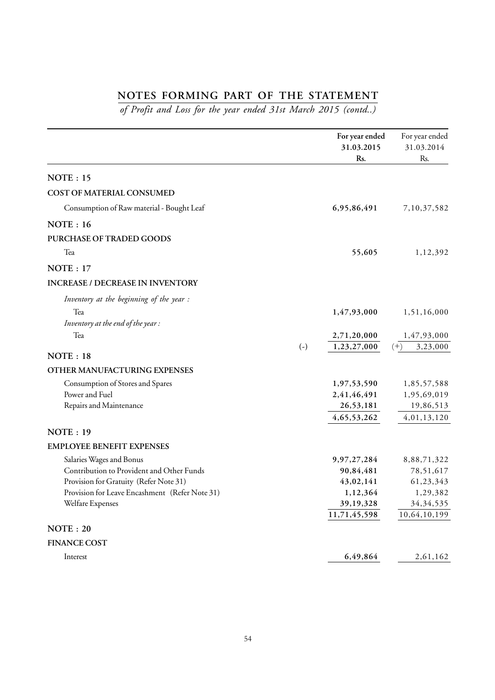# **NOTES FORMING PART OF THE STATEMENT**

*of Profit and Loss for the year ended 31st March 2015 (contd..)*

|                                                                       | For year ended<br>31.03.2015<br>Rs. | For year ended<br>31.03.2014<br>Rs. |
|-----------------------------------------------------------------------|-------------------------------------|-------------------------------------|
| NOTE: 15                                                              |                                     |                                     |
| COST OF MATERIAL CONSUMED                                             |                                     |                                     |
| Consumption of Raw material - Bought Leaf                             | 6,95,86,491                         | 7,10,37,582                         |
| NOTE: 16                                                              |                                     |                                     |
| PURCHASE OF TRADED GOODS                                              |                                     |                                     |
| Tea                                                                   | 55,605                              | 1,12,392                            |
| NOTE: 17                                                              |                                     |                                     |
| <b>INCREASE / DECREASE IN INVENTORY</b>                               |                                     |                                     |
| Inventory at the beginning of the year :                              |                                     |                                     |
| Tea<br>Inventory at the end of the year:                              | 1,47,93,000                         | 1,51,16,000                         |
| Tea                                                                   | 2,71,20,000                         | 1,47,93,000                         |
| $(-)$                                                                 | 1,23,27,000                         | 3,23,000<br>$(+)$                   |
| NOTE : 18                                                             |                                     |                                     |
| OTHER MANUFACTURING EXPENSES                                          |                                     |                                     |
| Consumption of Stores and Spares                                      | 1,97,53,590                         | 1,85,57,588                         |
| Power and Fuel                                                        | 2,41,46,491                         | 1,95,69,019                         |
| Repairs and Maintenance                                               | 26,53,181                           | 19,86,513                           |
| <b>NOTE: 19</b>                                                       | 4, 65, 53, 262                      | 4,01,13,120                         |
|                                                                       |                                     |                                     |
| <b>EMPLOYEE BENEFIT EXPENSES</b>                                      |                                     |                                     |
| Salaries Wages and Bonus<br>Contribution to Provident and Other Funds | 9, 97, 27, 284<br>90,84,481         | 8,88,71,322                         |
| Provision for Gratuity (Refer Note 31)                                | 43,02,141                           | 78,51,617<br>61,23,343              |
| Provision for Leave Encashment (Refer Note 31)                        | 1,12,364                            | 1,29,382                            |
| Welfare Expenses                                                      | 39, 19, 328                         | 34, 34, 535                         |
|                                                                       | 11,71,45,598                        | 10,64,10,199                        |
| <b>NOTE</b> : 20                                                      |                                     |                                     |
| <b>FINANCE COST</b>                                                   |                                     |                                     |
| Interest                                                              | 6,49,864                            | 2,61,162                            |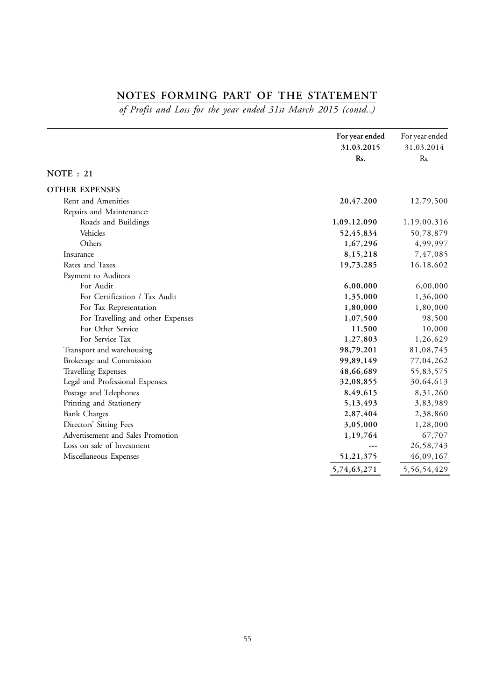# **NOTES FORMING PART OF THE STATEMENT**

*of Profit and Loss for the year ended 31st March 2015 (contd..)*

|                                   | For year ended | For year ended |
|-----------------------------------|----------------|----------------|
|                                   | 31.03.2015     | 31.03.2014     |
|                                   | Rs.            | Rs.            |
| <b>NOTE</b> : 21                  |                |                |
| <b>OTHER EXPENSES</b>             |                |                |
| Rent and Amenities                | 20,47,200      | 12,79,500      |
| Repairs and Maintenance:          |                |                |
| Roads and Buildings               | 1,09,12,090    | 1,19,00,316    |
| Vehicles                          | 52,45,834      | 50,78,879      |
| Others                            | 1,67,296       | 4,99,997       |
| Insurance                         | 8,15,218       | 7,47,085       |
| Rates and Taxes                   | 19,73,285      | 16,18,602      |
| Payment to Auditors               |                |                |
| For Audit                         | 6,00,000       | 6,00,000       |
| For Certification / Tax Audit     | 1,35,000       | 1,36,000       |
| For Tax Representation            | 1,80,000       | 1,80,000       |
| For Travelling and other Expenses | 1,07,500       | 98,500         |
| For Other Service                 | 11,500         | 10,000         |
| For Service Tax                   | 1,27,803       | 1,26,629       |
| Transport and warehousing         | 98,79,201      | 81,08,745      |
| Brokerage and Commission          | 99,89,149      | 77,04,262      |
| <b>Travelling Expenses</b>        | 48,66,689      | 55,83,575      |
| Legal and Professional Expenses   | 32,08,855      | 30,64,613      |
| Postage and Telephones            | 8,49,615       | 8,31,260       |
| Printing and Stationery           | 5,13,493       | 3,83,989       |
| <b>Bank Charges</b>               | 2,87,404       | 2,38,860       |
| Directors' Sitting Fees           | 3,05,000       | 1,28,000       |
| Advertisement and Sales Promotion | 1,19,764       | 67,707         |
| Loss on sale of Investment        |                | 26,58,743      |
| Miscellaneous Expenses            | 51,21,375      | 46,09,167      |
|                                   | 5,74,63,271    | 5,56,54,429    |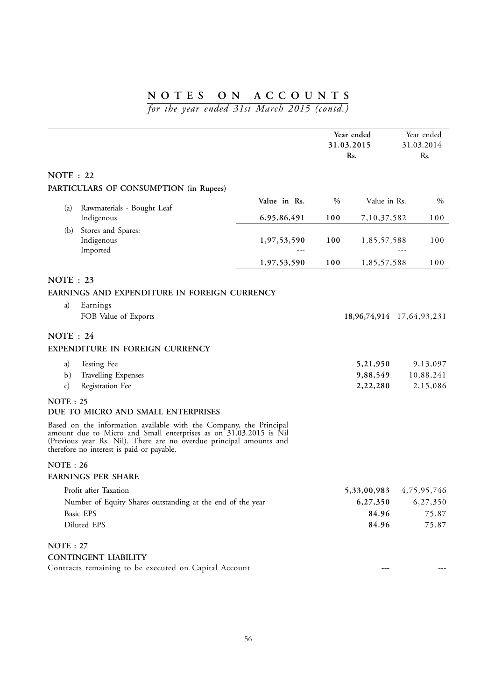*for the year ended 31st March 2015 (contd.)*

|                  |                                                                                                                                                                                                                                                             |              |      | Year ended<br>31.03.2015<br>Rs. | Year ended<br>31.03.2014<br>Rs. |
|------------------|-------------------------------------------------------------------------------------------------------------------------------------------------------------------------------------------------------------------------------------------------------------|--------------|------|---------------------------------|---------------------------------|
| <b>NOTE</b> : 22 |                                                                                                                                                                                                                                                             |              |      |                                 |                                 |
|                  | PARTICULARS OF CONSUMPTION (in Rupees)                                                                                                                                                                                                                      |              |      |                                 |                                 |
|                  |                                                                                                                                                                                                                                                             | Value in Rs. | $\%$ | Value in Rs.                    | $\%$                            |
| (a)              | Rawmaterials - Bought Leaf                                                                                                                                                                                                                                  |              |      |                                 |                                 |
|                  | Indigenous                                                                                                                                                                                                                                                  | 6,95,86,491  | 100  | 7,10,37,582                     | 100                             |
| (b)              | Stores and Spares:<br>Indigenous<br>Imported                                                                                                                                                                                                                | 1,97,53,590  | 100  | 1,85,57,588                     | 100                             |
|                  |                                                                                                                                                                                                                                                             | 1,97,53,590  | 100  | 1,85,57,588                     | 100                             |
| NOTE : $23$      |                                                                                                                                                                                                                                                             |              |      |                                 |                                 |
|                  | EARNINGS AND EXPENDITURE IN FOREIGN CURRENCY                                                                                                                                                                                                                |              |      |                                 |                                 |
| a)               | Earnings                                                                                                                                                                                                                                                    |              |      |                                 |                                 |
|                  | FOB Value of Exports                                                                                                                                                                                                                                        |              |      |                                 | 18,96,74,914 17,64,93,231       |
| NOTE : 24        |                                                                                                                                                                                                                                                             |              |      |                                 |                                 |
|                  | EXPENDITURE IN FOREIGN CURRENCY                                                                                                                                                                                                                             |              |      |                                 |                                 |
| a)               | Testing Fee                                                                                                                                                                                                                                                 |              |      | 5,21,950                        | 9,13,097                        |
| $\mathbf{b}$ )   | <b>Travelling Expenses</b>                                                                                                                                                                                                                                  |              |      | 9,88,549                        | 10,88,241                       |
| $\mathbf{c}$     | Registration Fee                                                                                                                                                                                                                                            |              |      | 2,22,280                        | 2,15,086                        |
| NOTE: 25         |                                                                                                                                                                                                                                                             |              |      |                                 |                                 |
|                  | DUE TO MICRO AND SMALL ENTERPRISES                                                                                                                                                                                                                          |              |      |                                 |                                 |
|                  | Based on the information available with the Company, the Principal<br>amount due to Micro and Small enterprises as on 31.03.2015 is Nil<br>(Previous year Rs. Nil). There are no overdue principal amounts and<br>therefore no interest is paid or payable. |              |      |                                 |                                 |
| NOTE : 26        |                                                                                                                                                                                                                                                             |              |      |                                 |                                 |
|                  | <b>EARNINGS PER SHARE</b>                                                                                                                                                                                                                                   |              |      |                                 |                                 |
|                  | Profit after Taxation                                                                                                                                                                                                                                       |              |      | 5,33,00,983                     | 4,75,95,746                     |
|                  | Number of Equity Shares outstanding at the end of the year                                                                                                                                                                                                  |              |      | 6,27,350                        | 6,27,350                        |
|                  | Basic EPS                                                                                                                                                                                                                                                   |              |      | 84.96                           | 75.87                           |
|                  | Diluted EPS                                                                                                                                                                                                                                                 |              |      | 84.96                           | 75.87                           |
| <b>NOTE: 27</b>  |                                                                                                                                                                                                                                                             |              |      |                                 |                                 |
|                  | <b>CONTINGENT LIABILITY</b>                                                                                                                                                                                                                                 |              |      |                                 |                                 |
|                  | Contracts remaining to be executed on Capital Account                                                                                                                                                                                                       |              |      |                                 |                                 |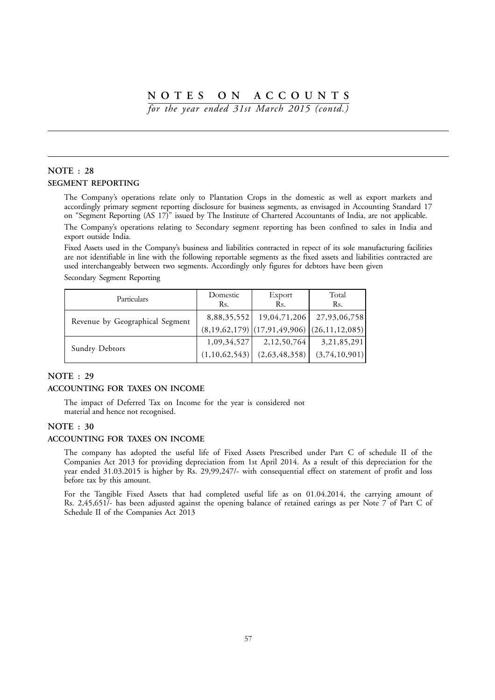*for the year ended 31st March 2015 (contd.)*

## **NOTE : 28 SEGMENT REPORTING**

The Company's operations relate only to Plantation Crops in the domestic as well as export markets and accordingly primary segment reporting disclosure for business segments, as envisaged in Accounting Standard 17 on "Segment Reporting (AS 17)" issued by The Institute of Chartered Accountants of India, are not applicable.

The Company's operations relating to Secondary segment reporting has been confined to sales in India and export outside India.

Fixed Assets used in the Company's business and liabilities contracted in repect of its sole manufacturing facilities are not identifiable in line with the following reportable segments as the fixed assets and liabilities contracted are used interchangeably between two segments. Accordingly only figures for debtors have been given

Secondary Segment Reporting

| Particulars                     | Domestic<br>Rs. | Export<br>Rs. | Total<br>Rs.                                  |
|---------------------------------|-----------------|---------------|-----------------------------------------------|
| Revenue by Geographical Segment | 8,88,35,552     | 19,04,71,206  | 27,93,06,758                                  |
|                                 |                 |               | $(8,19,62,179)$ (17,91,49,906) (26,11,12,085) |
| Sundry Debtors                  | 1,09,34,527     | 2,12,50,764   | 3,21,85,291                                   |
|                                 | (1,10,62,543)   | (2,63,48,358) | (3,74,10,901)                                 |

#### **NOTE : 29**

#### **ACCOUNTING FOR TAXES ON INCOME**

The impact of Deferred Tax on Income for the year is considered not material and hence not recognised.

#### **NOTE : 30**

#### **ACCOUNTING FOR TAXES ON INCOME**

The company has adopted the useful life of Fixed Assets Prescribed under Part C of schedule II of the Companies Act 2013 for providing depreciation from 1st April 2014. As a result of this depreciation for the year ended 31.03.2015 is higher by Rs. 29,99,247/- with consequential effect on statement of profit and loss before tax by this amount.

For the Tangible Fixed Assets that had completed useful life as on 01.04.2014, the carrying amount of Rs. 2,45,651/- has been adjusted against the opening balance of retained earings as per Note 7 of Part C of Schedule II of the Companies Act 2013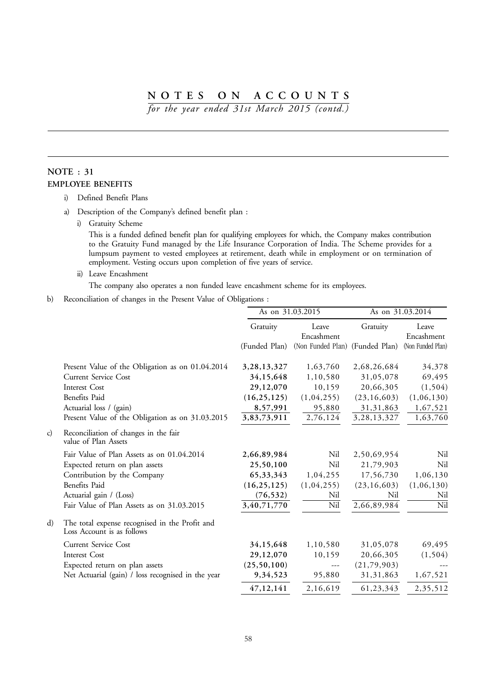*for the year ended 31st March 2015 (contd.)*

## **NOTE : 31 EMPLOYEE BENEFITS**

- i) Defined Benefit Plans
- a) Description of the Company's defined benefit plan :
	- i) Gratuity Scheme

This is a funded defined benefit plan for qualifying employees for which, the Company makes contribution to the Gratuity Fund managed by the Life Insurance Corporation of India. The Scheme provides for a lumpsum payment to vested employees at retirement, death while in employment or on termination of employment. Vesting occurs upon completion of five years of service.

ii) Leave Encashment

The company also operates a non funded leave encashment scheme for its employees.

b) Reconciliation of changes in the Present Value of Obligations :

|    |                                                                              | As on 31.03.2015 |                                 | As on 31.03.2014 |                     |
|----|------------------------------------------------------------------------------|------------------|---------------------------------|------------------|---------------------|
|    |                                                                              | Gratuity         | Leave<br>Encashment             | Gratuity         | Leave<br>Encashment |
|    |                                                                              | (Funded Plan)    | (Non Funded Plan) (Funded Plan) |                  | (Non Funded Plan)   |
|    | Present Value of the Obligation as on 01.04.2014                             | 3, 28, 13, 327   | 1,63,760                        | 2,68,26,684      | 34,378              |
|    | <b>Current Service Cost</b>                                                  | 34,15,648        | 1,10,580                        | 31,05,078        | 69,495              |
|    | Interest Cost                                                                | 29,12,070        | 10,159                          | 20,66,305        | (1, 504)            |
|    | Benefits Paid                                                                | (16, 25, 125)    | (1,04,255)                      | (23, 16, 603)    | (1,06,130)          |
|    | Actuarial loss / (gain)                                                      | 8,57,991         | 95,880                          | 31, 31, 863      | 1,67,521            |
|    | Present Value of the Obligation as on 31.03.2015                             | 3,83,73,911      | 2,76,124                        | 3, 28, 13, 327   | 1,63,760            |
| c) | Reconciliation of changes in the fair<br>value of Plan Assets                |                  |                                 |                  |                     |
|    | Fair Value of Plan Assets as on 01.04.2014                                   | 2,66,89,984      | Nil                             | 2,50,69,954      | Nil                 |
|    | Expected return on plan assets                                               | 25,50,100        | Nil                             | 21,79,903        | Nil                 |
|    | Contribution by the Company                                                  | 65, 33, 343      | 1,04,255                        | 17,56,730        | 1,06,130            |
|    | Benefits Paid                                                                | (16, 25, 125)    | (1,04,255)                      | (23, 16, 603)    | (1,06,130)          |
|    | Actuarial gain / (Loss)                                                      | (76, 532)        | Nil                             | Nil              | Nil                 |
|    | Fair Value of Plan Assets as on 31.03.2015                                   | 3,40,71,770      | Nil                             | 2,66,89,984      | Nil                 |
| d) | The total expense recognised in the Profit and<br>Loss Account is as follows |                  |                                 |                  |                     |
|    | <b>Current Service Cost</b>                                                  | 34,15,648        | 1,10,580                        | 31,05,078        | 69,495              |
|    | Interest Cost                                                                | 29,12,070        | 10,159                          | 20,66,305        | (1, 504)            |
|    | Expected return on plan assets                                               | (25,50,100)      | $\cdots$                        | (21,79,903)      |                     |
|    | Net Actuarial (gain) / loss recognised in the year                           | 9,34,523         | 95,880                          | 31, 31, 863      | 1,67,521            |
|    |                                                                              | 47,12,141        | 2,16,619                        | 61,23,343        | 2,35,512            |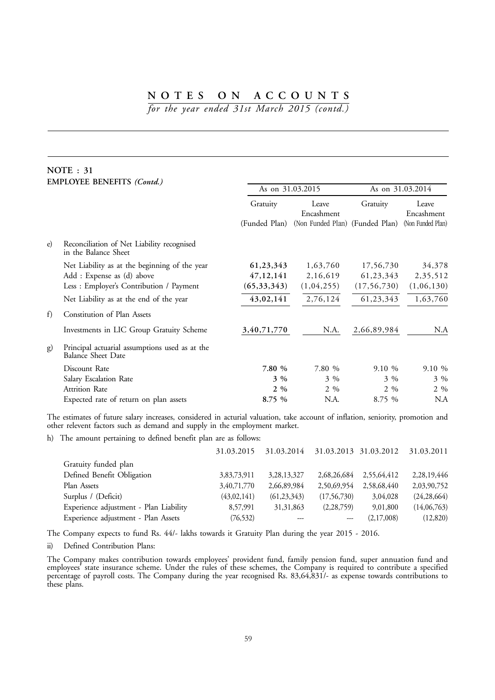*for the year ended 31st March 2015 (contd.)*

## **NOTE : 31 EMPLOYEE BENEFITS** *(Contd.)*

|            |                                                                             | As on 31.03.2015 |                                                                 | As on 31.03.2014 |                     |
|------------|-----------------------------------------------------------------------------|------------------|-----------------------------------------------------------------|------------------|---------------------|
|            |                                                                             | Gratuity         | Leave<br>Encashment                                             | Gratuity         | Leave<br>Encashment |
|            |                                                                             |                  | (Funded Plan) (Non Funded Plan) (Funded Plan) (Non Funded Plan) |                  |                     |
| $\epsilon$ | Reconciliation of Net Liability recognised<br>in the Balance Sheet          |                  |                                                                 |                  |                     |
|            | Net Liability as at the beginning of the year                               | 61,23,343        | 1,63,760                                                        | 17,56,730        | 34,378              |
|            | Add: Expense as (d) above                                                   | 47, 12, 141      | 2,16,619                                                        | 61, 23, 343      | 2,35,512            |
|            | Less : Employer's Contribution / Payment                                    | (65, 33, 343)    | (1,04,255)                                                      | (17, 56, 730)    | (1,06,130)          |
|            | Net Liability as at the end of the year                                     | 43,02,141        | 2,76,124                                                        | 61,23,343        | 1,63,760            |
| f)         | Constitution of Plan Assets                                                 |                  |                                                                 |                  |                     |
|            | Investments in LIC Group Gratuity Scheme                                    | 3,40,71,770      | N.A.                                                            | 2,66,89,984      | N.A                 |
| g)         | Principal actuarial assumptions used as at the<br><b>Balance Sheet Date</b> |                  |                                                                 |                  |                     |
|            | Discount Rate                                                               | 7.80 %           | 7.80 %                                                          | $9.10\%$         | 9.10%               |
|            | Salary Escalation Rate                                                      | $3\%$            | $3\%$                                                           | $3\%$            | $3\%$               |
|            | Attrition Rate                                                              | $2\%$            | $2\%$                                                           | $2\%$            | $2 \frac{9}{6}$     |
|            | Expected rate of return on plan assets                                      | 8.75 %           | N.A.                                                            | 8.75 %           | N.A                 |

The estimates of future salary increases, considered in acturial valuation, take account of inflation, seniority, promotion and other relevent factors such as demand and supply in the employment market.

h) The amount pertaining to defined benefit plan are as follows:

| 31.03.2015  |                |               |             | 31.03.2011                       |
|-------------|----------------|---------------|-------------|----------------------------------|
|             |                |               |             |                                  |
| 3,83,73,911 | 3, 28, 13, 327 | 2,68,26,684   | 2,55,64,412 | 2,28,19,446                      |
| 3,40,71,770 | 2,66,89,984    | 2,50,69,954   | 2,58,68,440 | 2,03,90,752                      |
| (43,02,141) | (61, 23, 343)  | (17, 56, 730) | 3,04,028    | (24, 28, 664)                    |
| 8,57,991    | 31, 31, 863    | (2, 28, 759)  | 9,01,800    | (14,06,763)                      |
| (76, 532)   | ---            | ---           | (2,17,008)  | (12,820)                         |
|             |                |               |             | 31.03.2014 31.03.2013 31.03.2012 |

The Company expects to fund Rs. 44/- lakhs towards it Gratuity Plan during the year 2015 - 2016.

ii) Defined Contribution Plans:

The Company makes contribution towards employees' provident fund, family pension fund, super annuation fund and employees' state insurance scheme. Under the rules of these schemes, the Company is required to contribute a specified percentage of payroll costs. The Company during the year recognised Rs. 83,64,831/- as expense towards contributions to these plans.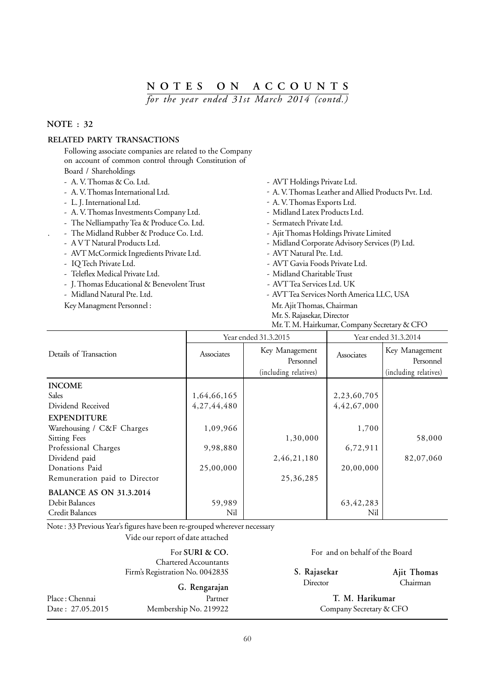*for the year ended 31st March 2014 (contd.)*

## **NOTE : 32**

## **RELATED PARTY TRANSACTIONS**

Following associate companies are related to the Company on account of common control through Constitution of

- Board / Shareholdings
- 
- 
- 
- A. V. Thomas Investments Company Ltd. Midland Latex Products Ltd.
- The Nelliampathy Tea & Produce Co. Ltd. Sermatech Private Ltd.
- 
- 
- AVT McCormick Ingredients Private Ltd. AVT Natural Pte. Ltd.
- 
- Teleflex Medical Private Ltd. <a>>
Midland Charitable Trust<br/>  $\blacksquare$ <br/>
Midland Charitable Trust
- J. Thomas Educational & Benevolent Trust AVT Tea Services Ltd. UK
- 
- Key Managment Personnel : Mr. Ajit Thomas, Chairman
- A. V. Thomas & Co. Ltd.  $\blacksquare$
- A. V. Thomas International Ltd.  $\blacksquare$  A. V. Thomas Leather and Allied Products Pvt. Ltd.
- L. J. International Ltd.  $\blacksquare$ 
	-
	-
- . The Midland Rubber & Produce Co. Ltd. Ajit Thomas Holdings Private Limited
- A V T Natural Products Ltd.  $\blacksquare$  Midland Corporate Advisory Services (P) Ltd.
	-
- IQ Tech Private Ltd.  $\blacksquare$ 
	-
	-
- Midland Natural Pte. Ltd.  $\blacksquare$  AVT Tea Services North America LLC, USA
	-

Mr. S. Rajasekar, Director

Mr. T. M. Hairkumar, Company Secretary & CFO

|                                | Year ended 31.3.2015 |                             | Year ended 31.3.2014 |                             |  |  |
|--------------------------------|----------------------|-----------------------------|----------------------|-----------------------------|--|--|
| Details of Transaction         | Associates           | Key Management<br>Personnel | Associates           | Key Management<br>Personnel |  |  |
|                                |                      | (including relatives)       |                      | (including relatives)       |  |  |
| <b>INCOME</b>                  |                      |                             |                      |                             |  |  |
| <b>Sales</b>                   | 1,64,66,165          |                             | 2,23,60,705          |                             |  |  |
| Dividend Received              | 4,27,44,480          |                             | 4,42,67,000          |                             |  |  |
| <b>EXPENDITURE</b>             |                      |                             |                      |                             |  |  |
| Warehousing / C&F Charges      | 1,09,966             |                             | 1,700                |                             |  |  |
| <b>Sitting Fees</b>            |                      | 1,30,000                    |                      | 58,000                      |  |  |
| Professional Charges           | 9,98,880             |                             | 6,72,911             |                             |  |  |
| Dividend paid                  |                      | 2,46,21,180                 |                      | 82,07,060                   |  |  |
| Donations Paid                 | 25,00,000            |                             | 20,00,000            |                             |  |  |
| Remuneration paid to Director  |                      | 25,36,285                   |                      |                             |  |  |
| <b>BALANCE AS ON 31.3.2014</b> |                      |                             |                      |                             |  |  |
| Debit Balances                 | 59,989               |                             | 63, 42, 283          |                             |  |  |
| Credit Balances                | Nil                  |                             | Nil                  |                             |  |  |

Note : 33 Previous Year's figures have been re-grouped wherever necessary

Vide our report of date attached

 Chartered Accountants Firm's Registration No. 004283S

|                  | G. Rengarajan         |
|------------------|-----------------------|
| Place: Chennai   | Partner               |
| Date: 27.05.2015 | Membership No. 219922 |

For **SURI & CO.** For and on behalf of the Board

**S. Rajasekar** Director

**Ajit Thomas** Chairman

Place : Chennai Partner **T. M. Harikumar** Company Secretary & CFO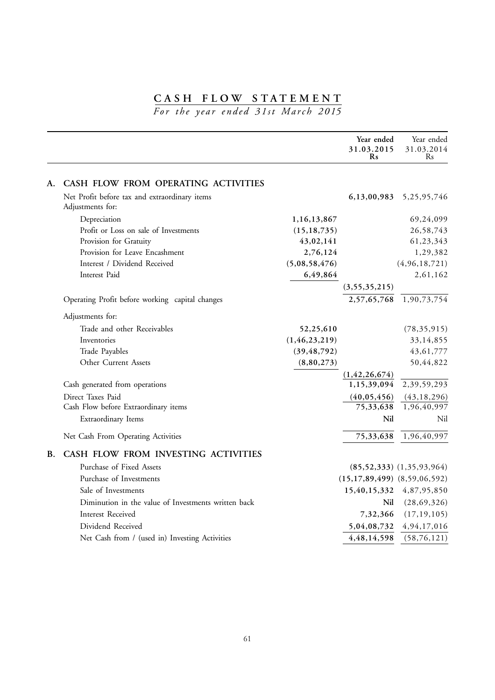# **CASH FLOW STATEMENT**

*For the year ended 31st March 2015*

|           |                                                     |                  | Year ended<br>31.03.2015<br>R <sub>s</sub> | Year ended<br>31.03.2014<br>Rs |
|-----------|-----------------------------------------------------|------------------|--------------------------------------------|--------------------------------|
| А.        | CASH FLOW FROM OPERATING ACTIVITIES                 |                  |                                            |                                |
|           | Net Profit before tax and extraordinary items       |                  | 6,13,00,983                                | 5, 25, 95, 746                 |
|           | Adjustments for:                                    |                  |                                            |                                |
|           | Depreciation                                        | 1,16,13,867      |                                            | 69,24,099                      |
|           | Profit or Loss on sale of Investments               | (15, 18, 735)    |                                            | 26,58,743                      |
|           | Provision for Gratuity                              | 43,02,141        |                                            | 61,23,343                      |
|           | Provision for Leave Encashment                      | 2,76,124         |                                            | 1,29,382                       |
|           | Interest / Dividend Received                        | (5,08,58,476)    |                                            | (4, 96, 18, 721)               |
|           | Interest Paid                                       | 6,49,864         |                                            | 2,61,162                       |
|           |                                                     |                  | (3, 55, 35, 215)                           |                                |
|           | Operating Profit before working capital changes     |                  | 2,57,65,768                                | 1,90,73,754                    |
|           | Adjustments for:                                    |                  |                                            |                                |
|           | Trade and other Receivables                         | 52,25,610        |                                            | (78, 35, 915)                  |
|           | Inventories                                         | (1, 46, 23, 219) |                                            | 33,14,855                      |
|           | Trade Payables                                      | (39, 48, 792)    |                                            | 43, 61, 777                    |
|           | Other Current Assets                                | (8,80,273)       |                                            | 50,44,822                      |
|           |                                                     |                  | (1, 42, 26, 674)                           |                                |
|           | Cash generated from operations                      |                  | 1,15,39,094                                | 2,39,59,293                    |
|           | Direct Taxes Paid                                   |                  | (40, 05, 456)                              | (43, 18, 296)                  |
|           | Cash Flow before Extraordinary items                |                  | 75,33,638                                  | 1,96,40,997                    |
|           | Extraordinary Items                                 |                  | Nil                                        | Nil                            |
|           | Net Cash From Operating Activities                  |                  | 75,33,638                                  | 1,96,40,997                    |
| <b>B.</b> | CASH FLOW FROM INVESTING ACTIVITIES                 |                  |                                            |                                |
|           | Purchase of Fixed Assets                            |                  |                                            | $(85,52,333)$ $(1,35,93,964)$  |
|           | Purchase of Investments                             |                  | $(15,17,89,499)$ $(8,59,06,592)$           |                                |
|           | Sale of Investments                                 |                  | 15,40,15,332                               | 4,87,95,850                    |
|           | Diminution in the value of Investments written back |                  | Nil                                        | (28, 69, 326)                  |
|           | Interest Received                                   |                  | 7,32,366                                   | (17, 19, 105)                  |
|           | Dividend Received                                   |                  | 5,04,08,732                                | 4, 94, 17, 016                 |
|           | Net Cash from / (used in) Investing Activities      |                  | 4,48,14,598                                | (58, 76, 121)                  |
|           |                                                     |                  |                                            |                                |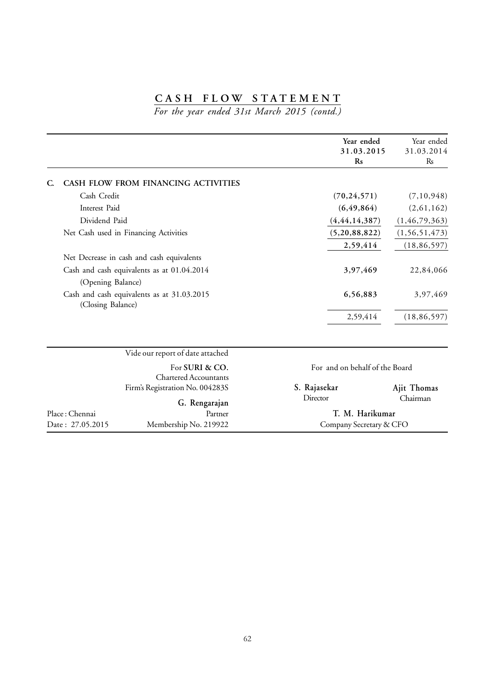# **CASH FLOW STATEMENT**

*For the year ended 31st March 2015 (contd.)*

|                   |                                                | Year ended<br>31.03.2015<br>$\mathbf{Rs}$ | Year ended<br>31.03.2014<br>R <sub>s</sub> |
|-------------------|------------------------------------------------|-------------------------------------------|--------------------------------------------|
| C.                | CASH FLOW FROM FINANCING ACTIVITIES            |                                           |                                            |
| Cash Credit       |                                                | (70, 24, 571)                             | (7, 10, 948)                               |
| Interest Paid     |                                                | (6, 49, 864)                              | (2,61,162)                                 |
| Dividend Paid     |                                                | (4, 44, 14, 387)                          | (1, 46, 79, 363)                           |
|                   | Net Cash used in Financing Activities          | (5,20,88,822)                             | (1, 56, 51, 473)                           |
|                   |                                                | 2,59,414                                  | (18, 86, 597)                              |
|                   | Net Decrease in cash and cash equivalents      |                                           |                                            |
|                   | Cash and cash equivalents as at 01.04.2014     | 3,97,469                                  | 22,84,066                                  |
| (Opening Balance) |                                                |                                           |                                            |
| (Closing Balance) | Cash and cash equivalents as at 31.03.2015     | 6,56,883                                  | 3,97,469                                   |
|                   |                                                | 2,59,414                                  | (18, 86, 597)                              |
|                   | Vide our report of date attached               |                                           |                                            |
|                   | For SURI & CO.<br><b>Chartered Accountants</b> | For and on behalf of the Board            |                                            |
|                   | Firm's Registration No. 004283S                | S. Rajasekar                              | Ajit Thomas                                |
|                   | G. Rengarajan                                  | Director                                  | Chairman                                   |
| Place: Chennai    | Partner                                        | T. M. Harikumar                           |                                            |
| Date: 27.05.2015  | Membership No. 219922                          | Company Secretary & CFO                   |                                            |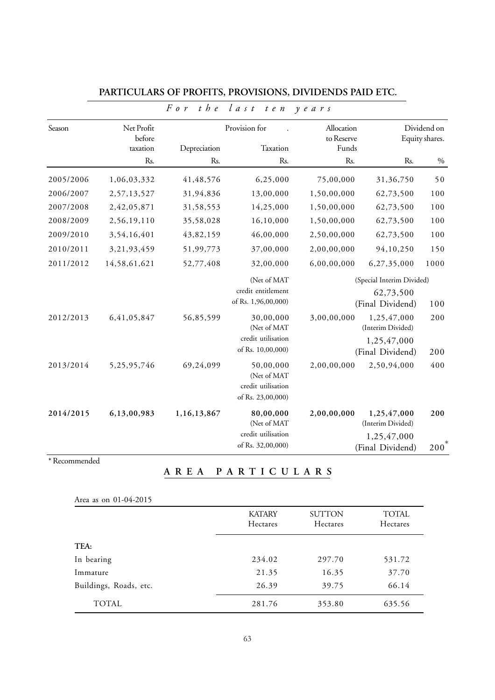|           |                                  | $F \circ r$<br>$t$ <i>h</i> $e$ | $l$ as t<br>t e n                                                   | $y$ e a r s                       |                                                                     |                               |
|-----------|----------------------------------|---------------------------------|---------------------------------------------------------------------|-----------------------------------|---------------------------------------------------------------------|-------------------------------|
| Season    | Net Profit<br>before<br>taxation | Depreciation                    | Provision for<br>Taxation                                           | Allocation<br>to Reserve<br>Funds |                                                                     | Dividend on<br>Equity shares. |
|           | Rs.                              | Rs.                             | Rs.                                                                 | Rs.                               | Rs.                                                                 | $\%$                          |
| 2005/2006 | 1,06,03,332                      | 41, 48, 576                     | 6,25,000                                                            | 75,00,000                         | 31,36,750                                                           | 50                            |
| 2006/2007 | 2,57,13,527                      | 31,94,836                       | 13,00,000                                                           | 1,50,00,000                       | 62,73,500                                                           | 100                           |
| 2007/2008 | 2,42,05,871                      | 31,58,553                       | 14,25,000                                                           | 1,50,00,000                       | 62,73,500                                                           | 100                           |
| 2008/2009 | 2,56,19,110                      | 35,58,028                       | 16,10,000                                                           | 1,50,00,000                       | 62,73,500                                                           | 100                           |
| 2009/2010 | 3,54,16,401                      | 43,82,159                       | 46,00,000                                                           | 2,50,00,000                       | 62,73,500                                                           | 100                           |
| 2010/2011 | 3,21,93,459                      | 51,99,773                       | 37,00,000                                                           | 2,00,00,000                       | 94,10,250                                                           | 150                           |
| 2011/2012 | 14,58,61,621                     | 52,77,408                       | 32,00,000                                                           | 6,00,00,000                       | 6,27,35,000                                                         | 1000                          |
|           |                                  |                                 | (Net of MAT<br>credit entitlement                                   |                                   | (Special Interim Divided)<br>62,73,500                              |                               |
|           |                                  |                                 | of Rs. 1,96,00,000)                                                 |                                   | (Final Dividend)                                                    | 100                           |
| 2012/2013 | 6,41,05,847                      | 56,85,599                       | 30,00,000<br>(Net of MAT<br>credit utilisation<br>of Rs. 10,00,000) | 3,00,00,000                       | 1,25,47,000<br>(Interim Divided)<br>1,25,47,000<br>(Final Dividend) | 200<br>200                    |
| 2013/2014 | 5,25,95,746                      | 69,24,099                       | 50,00,000<br>(Net of MAT<br>credit utilisation<br>of Rs. 23,00,000) | 2,00,00,000                       | 2,50,94,000                                                         | 400                           |
| 2014/2015 | 6,13,00,983                      | 1,16,13,867                     | 80,00,000<br>(Net of MAT<br>credit utilisation<br>of Rs. 32,00,000) | 2,00,00,000                       | 1,25,47,000<br>(Interim Divided)<br>1,25,47,000<br>(Final Dividend) | 200<br>$200^*$                |

## **PARTICULARS OF PROFITS, PROVISIONS, DIVIDENDS PAID ETC.**

# \* Recommended

**AREA PARTICULARS**

| Area as on 01-04-2015 |  |
|-----------------------|--|
|-----------------------|--|

| *********************  |                           |                           |                          |
|------------------------|---------------------------|---------------------------|--------------------------|
|                        | <b>KATARY</b><br>Hectares | <b>SUTTON</b><br>Hectares | <b>TOTAL</b><br>Hectares |
| TEA:                   |                           |                           |                          |
| In bearing             | 234.02                    | 297.70                    | 531.72                   |
| Immature               | 21.35                     | 16.35                     | 37.70                    |
| Buildings, Roads, etc. | 26.39                     | 39.75                     | 66.14                    |
| TOTAL                  | 281.76                    | 353.80                    | 635.56                   |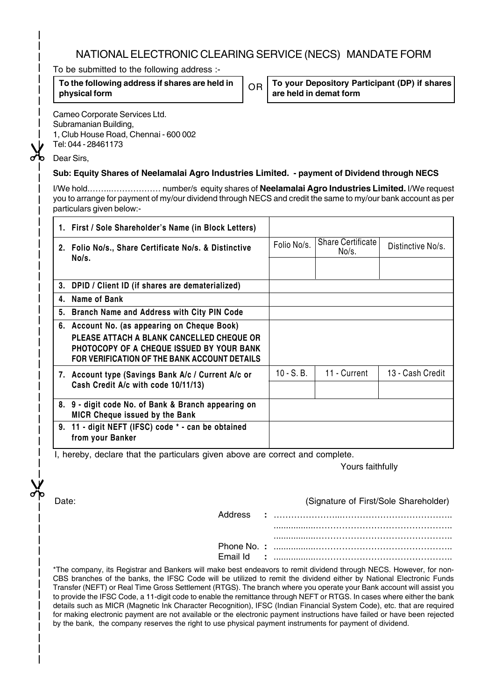# NATIONAL ELECTRONIC CLEARING SERVICE (NECS) MANDATE FORM

To be submitted to the following address :-

**To the following address if shares are held in physical form**

**To your Depository Participant (DP) if shares DR** | **10 your Depository Pa**<br>| are held in demat form

Subramanian Building, 1, Club House Road, Chennai - 600 002

Cameo Corporate Services Ltd.

Tel: 044 - 28461173

Dear Sirs,

 $\chi$ 

## **Sub: Equity Shares of Neelamalai Agro Industries Limited. - payment of Dividend through NECS**

I/We hold.……..……………… number/s equity shares of **Neelamalai Agro Industries Limited.** I/We request you to arrange for payment of my/our dividend through NECS and credit the same to my/our bank account as per particulars given below:-

|    | 1. First / Sole Shareholder's Name (in Block Letters)                                                                                  |              |                                   |                   |
|----|----------------------------------------------------------------------------------------------------------------------------------------|--------------|-----------------------------------|-------------------|
|    | 2. Folio No/s., Share Certificate No/s. & Distinctive                                                                                  | Folio No/s.  | <b>Share Certificate</b><br>No/s. | Distinctive No/s. |
|    | No/s.                                                                                                                                  |              |                                   |                   |
| 3. | DPID / Client ID (if shares are dematerialized)                                                                                        |              |                                   |                   |
| 4. | Name of Bank                                                                                                                           |              |                                   |                   |
| 5. | Branch Name and Address with City PIN Code                                                                                             |              |                                   |                   |
| 6. | Account No. (as appearing on Cheque Book)                                                                                              |              |                                   |                   |
|    | PLEASE ATTACH A BLANK CANCELLED CHEQUE OR<br>PHOTOCOPY OF A CHEQUE ISSUED BY YOUR BANK<br>FOR VERIFICATION OF THE BANK ACCOUNT DETAILS |              |                                   |                   |
|    | 7. Account type (Savings Bank A/c / Current A/c or                                                                                     | $10 - S. B.$ | 11 - Current                      | 13 - Cash Credit  |
|    | Cash Credit A/c with code 10/11/13)                                                                                                    |              |                                   |                   |
|    | 8. 9 - digit code No. of Bank & Branch appearing on<br><b>MICR Cheque issued by the Bank</b>                                           |              |                                   |                   |
|    | 9. 11 - digit NEFT (IFSC) code * - can be obtained<br>from your Banker                                                                 |              |                                   |                   |

I, hereby, declare that the particulars given above are correct and complete.

Yours faithfully

 $\chi$ 

Address **:** …………………...……………………………….. Date:(Signature of First/Sole Shareholder)

> .................……………………………………….. .................……………………………………….. Phone No. **:** .................……………………………………….. Email Id **:** .................………………………………………..

\*The company, its Registrar and Bankers will make best endeavors to remit dividend through NECS. However, for non-CBS branches of the banks, the IFSC Code will be utilized to remit the dividend either by National Electronic Funds Transfer (NEFT) or Real Time Gross Settlement (RTGS). The branch where you operate your Bank account will assist you to provide the IFSC Code, a 11-digit code to enable the remittance through NEFT or RTGS. In cases where either the bank details such as MICR (Magnetic Ink Character Recognition), IFSC (Indian Financial System Code), etc. that are required for making electronic payment are not available or the electronic payment instructions have failed or have been rejected by the bank, the company reserves the right to use physical payment instruments for payment of dividend.